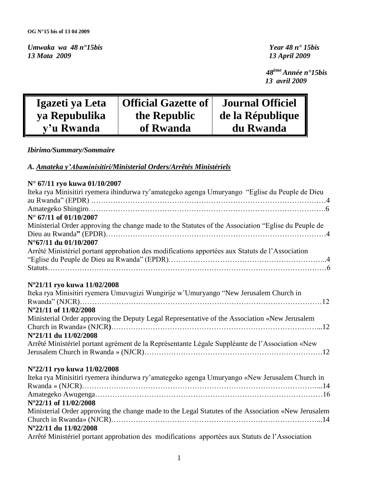*Umwaka wa 48 n°15bis**Year 48 n° 15bis*

*13 Mata 2009 13 April 2009*

 *48ème Année n°15bis 13 avril 2009*

| Igazeti ya Leta | <b>Official Gazette of</b> | <b>Journal Officiel</b> |
|-----------------|----------------------------|-------------------------|
| ya Repubulika   | the Republic               | de la République        |
| y'u Rwanda      | of Rwanda                  | du Rwanda               |

*Ibirimo/Summary/Sommaire* 

*A. Amateka y'Abaminisitiri/Ministerial Orders/Arrêtés Ministériels*

|  |  |  |  | N° 67/11 ryo kuwa 01/10/2007 |
|--|--|--|--|------------------------------|
|--|--|--|--|------------------------------|

| Iteka rya Minisitiri ryemera ihindurwa ry'amategeko agenga Umuryango "Eglise du Peuple de Dieu      |
|-----------------------------------------------------------------------------------------------------|
|                                                                                                     |
| $N^{\circ}$ 67/11 of 01/10/2007                                                                     |
|                                                                                                     |
| Ministerial Order approving the change made to the Statutes of the Association "Eglise du Peuple de |
|                                                                                                     |
| N°67/11 du 01/10/2007                                                                               |
| Arrêté Ministériel portant approbation des modifications apportées aux Statuts de l'Association     |
|                                                                                                     |
|                                                                                                     |
|                                                                                                     |
| N°21/11 ryo kuwa 11/02/2008                                                                         |
| Iteka rya Minisitiri ryemera Umuvugizi Wungirije w'Umuryango "New Jerusalem Church in               |
|                                                                                                     |
| N°21/11 of 11/02/2008                                                                               |
| Ministerial Order approving the Deputy Legal Representative of the Association «New Jerusalem       |
|                                                                                                     |
| N°21/11 du 11/02/2008                                                                               |
| Arrêté Ministériel portant agrément de la Représentante Légale Suppléante de l'Association «New     |
|                                                                                                     |
|                                                                                                     |
| N°22/11 ryo kuwa 11/02/2008                                                                         |
| Iteka rya Minisitiri ryemera ihindurwa ry'amategeko agenga Umuryango «New Jerusalem Church in       |
|                                                                                                     |
|                                                                                                     |
| N°22/11 of 11/02/2008                                                                               |
| Ministerial Order approving the change made to the Legal Statutes of the Association «New Jerusalem |
|                                                                                                     |
| N°22/11 du 11/02/2008                                                                               |
|                                                                                                     |

Arrêté Ministériel portant approbation des modifications apportées aux Statuts de l"Association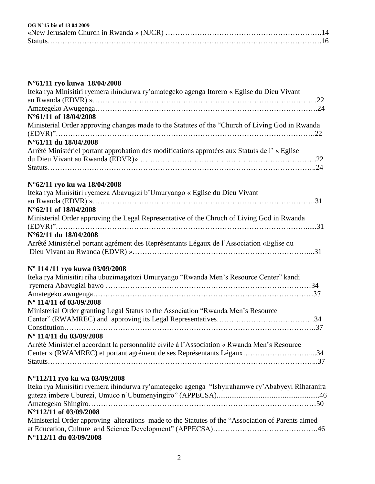| $OG N°15$ bis of 13 04 2009 |  |  |
|-----------------------------|--|--|
|                             |  |  |

# **N°61/11 ryo kuwa 18/04/2008**

| Iteka rya Minisitiri ryemera ihindurwa ry'amategeko agenga Itorero « Eglise du Dieu Vivant        |
|---------------------------------------------------------------------------------------------------|
|                                                                                                   |
|                                                                                                   |
| N°61/11 of 18/04/2008                                                                             |
| Ministerial Order approving changes made to the Statutes of the "Church of Living God in Rwanda"  |
|                                                                                                   |
| N°61/11 du 18/04/2008                                                                             |
| Arrêté Ministériel portant approbation des modifications approtées aux Statuts de l'« Eglise      |
|                                                                                                   |
|                                                                                                   |
| N°62/11 ryo ku wa 18/04/2008                                                                      |
| Iteka rya Minisitiri ryemeza Abavugizi b'Umuryango « Eglise du Dieu Vivant                        |
|                                                                                                   |
| N°62/11 of 18/04/2008                                                                             |
| Ministerial Order approving the Legal Representative of the Chruch of Living God in Rwanda        |
|                                                                                                   |
| N°62/11 du 18/04/2008                                                                             |
| Arrêté Ministériel portant agrément des Représentants Légaux de l'Association «Eglise du          |
|                                                                                                   |
| Nº 114/11 ryo kuwa 03/09/2008                                                                     |
| Iteka rya Minisitiri riha ubuzimagatozi Umuryango "Rwanda Men's Resource Center" kandi            |
|                                                                                                   |
|                                                                                                   |
| N° 114/11 of 03/09/2008                                                                           |
| Ministerial Order granting Legal Status to the Association "Rwanda Men's Resource                 |
|                                                                                                   |
|                                                                                                   |
| Nº 114/11 du 03/09/2008                                                                           |
| Arrêté Ministériel accordant la personnalité civile à l'Association « Rwanda Men's Resource       |
| Center » (RWAMREC) et portant agrément de ses Représentants Légaux34                              |
|                                                                                                   |
| N°112/11 ryo ku wa 03/09/2008                                                                     |
| Iteka rya Minisitiri ryemera ihindurwa ry'amategeko agenga "Ishyirahamwe ry'Ababyeyi Riharanira   |
|                                                                                                   |
|                                                                                                   |
| N°112/11 of 03/09/2008                                                                            |
| Ministerial Order approving alterations made to the Statutes of the "Association of Parents aimed |

| $N^{\circ}112/11$ du 03/09/2008                                                                  |  |
|--------------------------------------------------------------------------------------------------|--|
|                                                                                                  |  |
| Ministerial Order approving atterations made to the Statutes of the Association of Parents anned |  |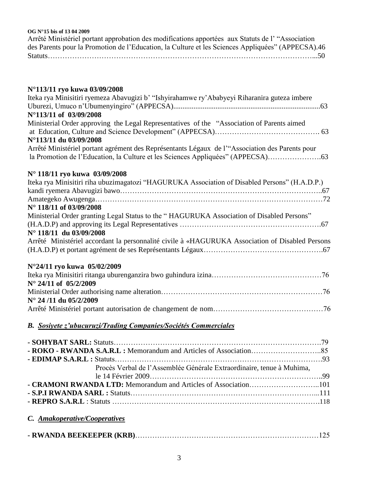**OG N°15 bis of 13 04 2009**

| Arrêté Ministériel portant approbation des modifications apportées aux Statuts de l' "Association" |
|----------------------------------------------------------------------------------------------------|
| des Parents pour la Promotion de l'Education, la Culture et les Sciences Appliquées" (APPECSA).46  |
|                                                                                                    |

# **N°113/11 ryo kuwa 03/09/2008**

| Iteka rya Minisitiri ryemeza Abavugizi b' "Ishyirahamwe ry'Ababyeyi Riharanira guteza imbere                                                                                     |
|----------------------------------------------------------------------------------------------------------------------------------------------------------------------------------|
|                                                                                                                                                                                  |
| N°113/11 of 03/09/2008                                                                                                                                                           |
| Ministerial Order approving the Legal Representatives of the "Association of Parents aimed                                                                                       |
| N°113/11 du 03/09/2008                                                                                                                                                           |
| Arrêté Ministériel portant agrément des Représentants Légaux de l'"Association des Parents pour<br>la Promotion de l'Education, la Culture et les Sciences Appliquées" (APPECSA) |
| N° 118/11 ryo kuwa 03/09/2008                                                                                                                                                    |
| Iteka rya Minisitiri riha ubuzimagatozi "HAGURUKA Association of Disabled Persons" (H.A.D.P.)                                                                                    |
|                                                                                                                                                                                  |
|                                                                                                                                                                                  |
| N° 118/11 of 03/09/2008                                                                                                                                                          |
| Ministerial Order granting Legal Status to the "HAGURUKA Association of Disabled Persons"                                                                                        |
|                                                                                                                                                                                  |
| N° 118/11 du 03/09/2008                                                                                                                                                          |
| Arrêté Ministériel accordant la personnalité civile à «HAGURUKA Association of Disabled Persons                                                                                  |
| N°24/11 ryo kuwa 05/02/2009                                                                                                                                                      |
|                                                                                                                                                                                  |
| $N^{\circ}$ 24/11 of 05/2/2009                                                                                                                                                   |
| N° 24/11 du 05/2/2009                                                                                                                                                            |
|                                                                                                                                                                                  |

# *B. Sosiyete z'ubucuruzi/Trading Companies/Sociétés Commerciales*

| Procès Verbal de l'Assemblée Générale Extraordinaire, tenue à Muhima, |  |
|-----------------------------------------------------------------------|--|
|                                                                       |  |
|                                                                       |  |
|                                                                       |  |
|                                                                       |  |
|                                                                       |  |

| C. Amakoperative/Cooperatives |  |
|-------------------------------|--|
|                               |  |

|--|--|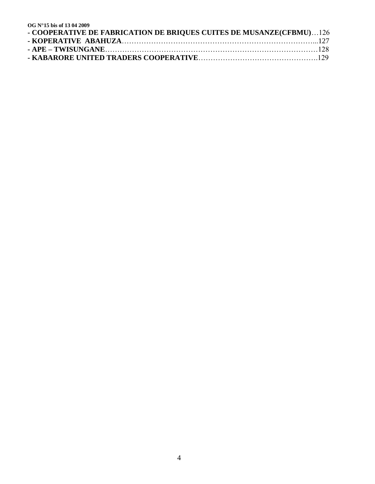| OG N°15 bis of 1304 2009                                            |  |
|---------------------------------------------------------------------|--|
| - COOPERATIVE DE FABRICATION DE BRIQUES CUITES DE MUSANZE(CFBMU)126 |  |
|                                                                     |  |
|                                                                     |  |
|                                                                     |  |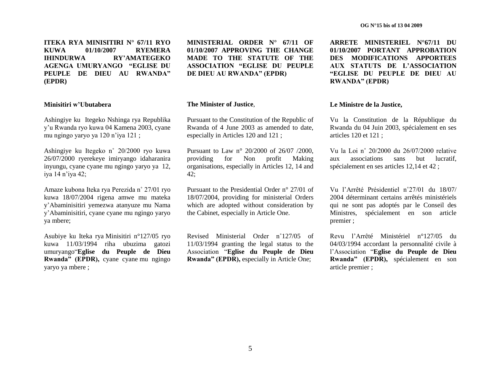**ITEKA RYA MINISITIRI N° 67/11 RYO KUWA 01/10/2007 RYEMERA IHINDURWA RY"AMATEGEKO AGENGA UMURYANGO "EGLISE DU PEUPLE DE DIEU AU RWANDA" (EPDR)**

#### **Minisitiri w"Ubutabera**

Ashingiye ku Itegeko Nshinga rya Republika y"u Rwanda ryo kuwa 04 Kamena 2003, cyane mu ngingo yaryo ya 120 n"iya 121 ;

Ashingiye ku Itegeko n˚ 20/2000 ryo kuwa 26/07/2000 ryerekeye imiryango idaharanira inyungu, cyane cyane mu ngingo yaryo ya 12, iya 14 n"iya 42;

Amaze kubona Iteka rya Perezida n˚ 27/01 ryo kuwa 18/07/2004 rigena amwe mu mateka y"Abaminisitiri yemezwa atanyuze mu Nama y"Abaminisitiri, cyane cyane mu ngingo yaryo ya mbere;

Asubiye ku Iteka rya Minisitiri n°127/05 ryo kuwa 11/03/1994 riha ubuzima gatozi umuryango"**Eglise du Peuple de Dieu Rwanda" (EPDR),** cyane cyane mu ngingo yaryo ya mbere ;

**MINISTERIAL ORDER N° 67/11 OF 01/10/2007 APPROVING THE CHANGE MADE TO THE STATUTE OF THE ASSOCIATION "EGLISE DU PEUPLE DE DIEU AU RWANDA" (EPDR)**

#### **The Minister of Justice**,

Pursuant to the Constitution of the Republic of Rwanda of 4 June 2003 as amended to date, especially in Articles 120 and 121 ;

Pursuant to Law n° 20/2000 of 26/07 /2000, providing for Non profit Making organisations, especially in Articles 12, 14 and  $42:$ 

Pursuant to the Presidential Order n° 27/01 of 18/07/2004, providing for ministerial Orders which are adopted without consideration by the Cabinet, especially in Article One.

Revised Ministerial Order n˚127/05 of 11/03/1994 granting the legal status to the Association "**Eglise du Peuple de Dieu Rwanda" (EPDR),** especially in Article One;

**ARRETE MINISTERIEL N°67/11 DU 01/10/2007 PORTANT APPROBATION DES MODIFICATIONS APPORTEES AUX STATUTS DE L"ASSOCIATION "EGLISE DU PEUPLE DE DIEU AU RWANDA" (EPDR)**

#### **Le Ministre de la Justice,**

Vu la Constitution de la République du Rwanda du 04 Juin 2003, spécialement en ses articles 120 et 121 ;

Vu la Loi n˚ 20/2000 du 26/07/2000 relative aux associations sans but lucratif, spécialement en ses articles 12,14 et 42 ;

Vu l"Arrêté Présidentiel n˚27/01 du 18/07/ 2004 déterminant certains arrêtés ministériels qui ne sont pas adoptés par le Conseil des Ministres, spécialement en son article premier ;

Revu l"Arrêté Ministériel n°127/05 du 04/03/1994 accordant la personnalité civile à l"Association "**Eglise du Peuple de Dieu Rwanda" (EPDR),** spécialement en son article premier ;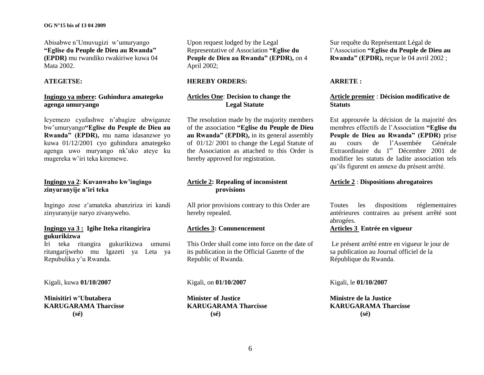#### **OG N°15 bis of 13 04 2009**

Abisabwe n"Umuvugizi w"umuryango **"Eglise du Peuple de Dieu au Rwanda" (EPDR)** mu rwandiko rwakiriwe kuwa 04 Mata 2002.

#### **ATEGETSE:**

# **Ingingo ya mbere: Guhindura amategeko agenga umuryango**

Icyemezo cyafashwe n"abagize ubwiganze bw"umuryango**"Eglise du Peuple de Dieu au Rwanda" (EPDR),** mu nama idasanzwe yo kuwa 01/12/2001 cyo guhindura amategeko agenga uwo muryango nk"uko ateye ku mugereka w"iri teka kiremewe.

# **Ingingo ya 2**: **Kuvanwaho kw"ingingo zinyuranyije n"iri teka**

Ingingo zose z"amateka abanziriza iri kandi zinyuranyije naryo zivanyweho.

# **Ingingo ya 3 : Igihe Iteka ritangirira gukurikizwa**

Iri teka ritangira gukurikizwa umunsi ritangarijweho mu Igazeti ya Leta ya Repubulika y"u Rwanda.

Kigali, kuwa **01/10/2007**

**Minisitiri w"Ubutabera KARUGARAMA Tharcisse (sé)**

Upon request lodged by the Legal Representative of Association **"Eglise du Peuple de Dieu au Rwanda" (EPDR),** on 4 April 2002;

### **HEREBY ORDERS:**

# **Articles One**: **Decision to change the Legal Statute**

The resolution made by the majority members of the association **"Eglise du Peuple de Dieu au Rwanda" (EPDR),** in its general assembly of 01/12/ 2001 to change the Legal Statute of the Association as attached to this Order is hereby approved for registration.

# **Article 2: Repealing of inconsistent provisions**

All prior provisions contrary to this Order are hereby repealed.

# **Articles 3: Commencement**

This Order shall come into force on the date of its publication in the Official Gazette of the Republic of Rwanda.

#### Kigali, on **01/10/2007**

**Minister of Justice KARUGARAMA Tharcisse (sé)**

Sur requête du Représentant Légal de l"Association **"Eglise du Peuple de Dieu au Rwanda" (EPDR),** reçue le 04 avril 2002 ;

## **ARRETE :**

# **Article premier** : **Décision modificative de Statuts**

Est approuvée la décision de la majorité des membres effectifs de l"Association **"Eglise du Peuple de Dieu au Rwanda" (EPDR)** prise au cours de l"Assembée Générale Extraordinaire du 1<sup>er</sup> Décembre 2001 de modifier les statuts de ladite association tels qu"ils figurent en annexe du présent arrêté.

# **Article 2** : **Dispositions abrogatoires**

Toutes les dispositions réglementaires antérieures contraires au présent arrêté sont abrogées.

# **Articles 3 Entrée en vigueur**

Le présent arrêté entre en vigueur le jour de sa publication au Journal officiel de la République du Rwanda.

Kigali, le **01/10/2007**

**Ministre de la Justice KARUGARAMA Tharcisse (sé)**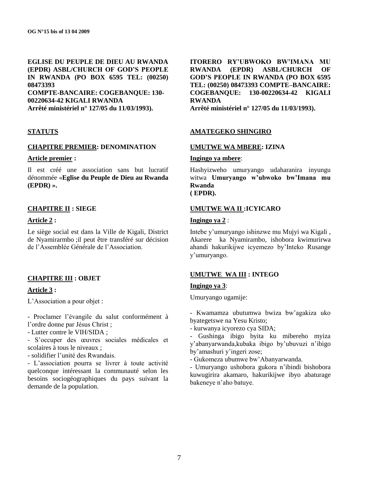**EGLISE DU PEUPLE DE DIEU AU RWANDA (EPDR) ASBL/CHURCH OF GOD"S PEOPLE IN RWANDA (PO BOX 6595 TEL: (00250) 08473393 COMPTE-BANCAIRE: COGEBANQUE: 130- 00220634-42 KIGALI RWANDA Arrêté ministériel n° 127/05 du 11/03/1993).**

## **STATUTS**

#### **CHAPITRE PREMIER: DENOMINATION**

#### **Article premier :**

Il est créé une association sans but lucratif dénommée «**Eglise du Peuple de Dieu au Rwanda (EPDR) ».**

#### **CHAPITRE II : SIEGE**

## **Article 2 :**

Le siège social est dans la Ville de Kigali, District de Nyamirarmbo ;il peut être transféré sur décision de l"Assemblée Générale de l"Association.

# **CHAPITRE III : OBJET**

## **Article 3 :**

L"Association a pour objet :

- Proclamer l"évangile du salut conformément à l"ordre donne par Jésus Christ ;

- Lutter contre le VIH/SIDA ;

- S"occuper des œuvres sociales médicales et scolaires à tous le niveaux :

- solidifier l"unité des Rwandais.

- L"association pourra se livrer à toute activité quelconque intéressant la communauté selon les besoins sociogéographiques du pays suivant la demande de la population.

**ITORERO RY"UBWOKO BW"IMANA MU RWANDA (EPDR) ASBL/CHURCH OF GOD"S PEOPLE IN RWANDA (PO BOX 6595 TEL: (00250) 08473393 COMPTE–BANCAIRE: COGEBANQUE: 130-00220634-42 KIGALI RWANDA Arrêté ministériel n° 127/05 du 11/03/1993).**

## **AMATEGEKO SHINGIRO**

#### **UMUTWE WA MBERE: IZINA**

## **Ingingo ya mbere**:

Hashyizweho umuryango udaharanira inyungu witwa **Umuryango w"ubwoko bw"Imana mu Rwanda ( EPDR).**

## **UMUTWE WA II :ICYICARO**

# **Ingingo ya 2** :

Intebe y"umuryango ishinzwe mu Mujyi wa Kigali , Akarere ka Nyamirambo, ishobora kwimurirwa ahandi hakurikijwe icyemezo by"Inteko Rusange y"umuryango.

## **UMUTWE WA III : INTEGO**

#### **Ingingo ya 3**:

Umuryango ugamije:

- Kwamamza ubutumwa bwiza bw"agakiza uko byategetswe na Yesu Kristo;

- kurwanya icyorezo cya SIDA;

- Gushinga ibigo byita ku mibereho myiza y"abanyarwanda,kubaka ibigo by"ubuvuzi n"ibigo by"amashuri y"ingeri zose;

- Gukomeza ubumwe bw"Abanyarwanda.

- Umuryango ushobora gukora n"ibindi bishobora kuwugirira akamaro, hakurikijwe ibyo abaturage bakeneye n"aho batuye.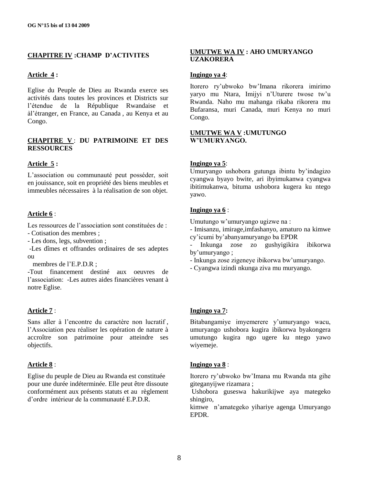# **CHAPITRE IV :CHAMP D"ACTIVITES**

## **Article 4 :**

Eglise du Peuple de Dieu au Rwanda exerce ses activités dans toutes les provinces et Districts sur l"étendue de la République Rwandaise et àl"étranger, en France, au Canada , au Kenya et au Congo.

# **CHAPITRE V** : **DU PATRIMOINE ET DES RESSOURCES**

## **Article 5 :**

L"association ou communauté peut posséder, soit en jouissance, soit en propriété des biens meubles et immeubles nécessaires à la réalisation de son objet.

# **Article 6** :

Les ressources de l'association sont constituées de :

- Cotisation des membres ;

- Les dons, legs, subvention ;

-Les dîmes et offrandes ordinaires de ses adeptes ou

membres de l"E.P.D.R ;

-Tout financement destiné aux oeuvres de l"association: -Les autres aides financières venant à notre Eglise.

## **Article 7** :

Sans aller à l'encontre du caractère non lucratif, l"Association peu réaliser les opération de nature à accroître son patrimoine pour atteindre ses objectifs.

## **Article 8** :

Eglise du peuple de Dieu au Rwanda est constituée pour une durée indéterminée. Elle peut être dissoute conformément aux présents statuts et au règlement d"ordre intérieur de la communauté E.P.D.R.

# **UMUTWE WA IV : AHO UMURYANGO UZAKORERA**

# **Ingingo ya 4**:

Itorero ry"ubwoko bw"Imana rikorera imirimo yaryo mu Ntara, Imijyi n'Uturere twose tw'u Rwanda. Naho mu mahanga rikaba rikorera mu Bufaransa, muri Canada, muri Kenya no muri Congo.

# **UMUTWE WA V :UMUTUNGO W"UMURYANGO.**

## **Ingingo ya 5**:

Umuryango ushobora gutunga ibintu by"indagizo cyangwa byayo bwite, ari ibyimukanwa cyangwa ibitimukanwa, bituma ushobora kugera ku ntego yawo.

# **Ingingo ya 6** :

Umutungo w"umuryango ugizwe na :

- Imisanzu, imirage,imfashanyo, amaturo na kimwe cy"icumi by"abanyamuryango ba EPDR
- Inkunga zose zo gushyigikira ibikorwa by"umuryango ;
- Inkunga zose zigeneye ibikorwa bw"umuryango.
- Cyangwa izindi nkunga ziva mu muryango.

# **Ingingo ya 7:**

Bitabangamiye imyemerere y'umuryango wacu, umuryango ushobora kugira ibikorwa byakongera umutungo kugira ngo ugere ku ntego yawo wiyemeje.

## **Ingingo ya 8** :

Itorero ry"ubwoko bw"Imana mu Rwanda nta gihe giteganyijwe rizamara ;

Ushobora guseswa hakurikijwe aya mategeko shingiro,

kimwe n"amategeko yihariye agenga Umuryango EPDR.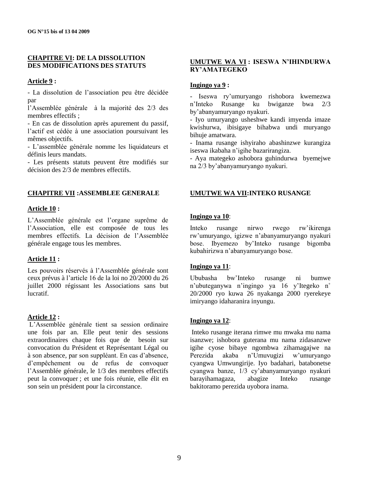# **CHAPITRE VI: DE LA DISSOLUTION DES MODIFICATIONS DES STATUTS**

# **Article 9 :**

- La dissolution de l"association peu être décidée par

l"Assemblée générale à la majorité des 2/3 des membres effectifs ;

- En cas de dissolution après apurement du passif, l"actif est cédée à une association poursuivant les mêmes objectifs.

- L"assemblée générale nomme les liquidateurs et définis leurs mandats.

- Les présents statuts peuvent être modifiés sur décision des 2/3 de membres effectifs.

# **CHAPITRE VII :ASSEMBLEE GENERALE**

## **Article 10 :**

L"Assemblée générale est l"organe suprême de l"Association, elle est composée de tous les membres effectifs. La décision de l"Assemblée générale engage tous les membres.

# **Article 11 :**

Les pouvoirs réservés à l'Assemblée générale sont ceux prévus à l"article 16 de la loi no 20/2000 du 26 juillet 2000 régissant les Associations sans but lucratif.

# **Article 12 :**

L"Assemblée générale tient sa session ordinaire une fois par an. Elle peut tenir des sessions extraordinaires chaque fois que de besoin sur convocation du Président et Représentant Légal ou à son absence, par son suppléant. En cas d"absence, d"empêchement ou de refus de convoquer l"Assemblée générale, le 1/3 des membres effectifs peut la convoquer ; et une fois réunie, elle élit en son sein un président pour la circonstance.

# **UMUTWE WA VI : ISESWA N"IHINDURWA RY"AMATEGEKO**

## **Ingingo ya 9 :**

- Iseswa ry"umuryango rishobora kwemezwa n"Inteko Rusange ku bwiganze bwa 2/3 by"abanyamuryango nyakuri.

- Iyo umuryango usheshwe kandi imyenda imaze kwishurwa, ibisigaye bihabwa undi muryango bihuje amatwara.

- Inama rusange ishyiraho abashinzwe kurangiza iseswa ikabaha n"igihe bazarirangiza.

- Aya mategeko ashobora guhindurwa byemejwe na 2/3 by"abanyamuryango nyakuri.

# **UMUTWE WA VII:INTEKO RUSANGE**

# **Ingingo ya 10**:

Inteko rusange nirwo rwego rw"ikirenga rw"umuryango, igizwe n"abanyamuryango nyakuri bose. Ibyemezo by"Inteko rusange bigomba kubahirizwa n"abanyamuryango bose.

# **Ingingo ya 11**:

Ububasha bw"Inteko rusange ni bumwe n"ubuteganywa n"ingingo ya 16 y"Itegeko n˚ 20/2000 ryo kuwa 26 nyakanga 2000 ryerekeye imiryango idaharanira inyungu.

# **Ingingo ya 12**:

Inteko rusange iterana rimwe mu mwaka mu nama isanzwe; ishobora guterana mu nama zidasanzwe igihe cyose bibaye ngombwa zihamagajwe na Perezida akaba n"Umuvugizi w"umuryango cyangwa Umwungirije. Iyo badahari, batabonetse cyangwa banze, 1/3 cy"abanyamuryango nyakuri barayihamagaza, abagize Inteko rusange bakitoramo perezida uyobora inama.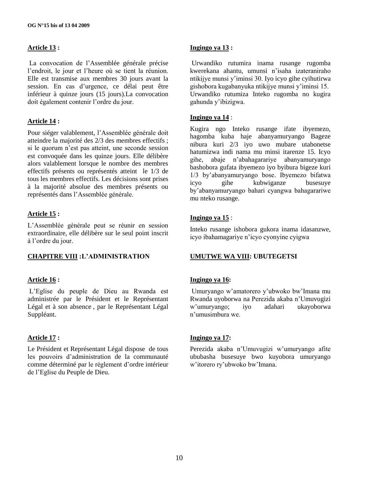# **Article 13 :**

La convocation de l"Assemblée générale précise l"endroit, le jour et l"heure où se tient la réunion. Elle est transmise aux membres 30 jours avant la session. En cas d"urgence, ce délai peut être inférieur à quinze jours (15 jours).La convocation doit également contenir l"ordre du jour.

# **Article 14 :**

Pour siéger valablement, l"Assemblée générale doit atteindre la majorité des 2/3 des membres effectifs ; si le quorum n"est pas atteint, une seconde session est convoquée dans les quinze jours. Elle délibère alors valablement lorsque le nombre des membres effectifs présents ou représentés atteint le 1/3 de tous les membres effectifs. Les décisions sont prises à la majorité absolue des membres présents ou représentés dans l"Assemblée générale.

# **Article 15 :**

L"Assemblée générale peut se réunir en session extraordinaire, elle délibère sur le seul point inscrit à l"ordre du jour.

# **CHAPITRE VIII :L"ADMINISTRATION**

# **Article 16 :**

L"Eglise du peuple de Dieu au Rwanda est administrée par le Président et le Représentant Légal et à son absence , par le Représentant Légal Suppléant.

## **Article 17 :**

Le Président et Représentant Légal dispose de tous les pouvoirs d"administration de la communauté comme déterminé par le règlement d"ordre intérieur de l"Eglise du Peuple de Dieu.

### **Ingingo ya 13 :**

Urwandiko rutumira inama rusange rugomba kwerekana ahantu, umunsi n"isaha izateraniraho ntikijye munsi y"iminsi 30. Iyo icyo gihe cyihutirwa gishobora kugabanyuka ntikijye munsi y"iminsi 15. Urwandiko rutumiza Inteko rugomba no kugira gahunda y"ibizigwa.

## **Ingingo ya 14** :

Kugira ngo Inteko rusange ifate ibyemezo, hagomba kuba haje abanyamuryango Bageze nibura kuri 2/3 iyo uwo mubare utabonetse hatumizwa indi nama mu minsi itarenze 15. Icyo gihe, abaje n"abahagarariye abanyamuryango bashobora gufata ibyemezo iyo byibura bigeze kuri 1/3 by"abanyamuryango bose. Ibyemezo bifatwa icyo gihe kubwiganze by"abanyamuryango bahari cyangwa bahagarariwe mu nteko rusange.

# **Ingingo ya 15** :

Inteko rusange ishobora gukora inama idasanzwe, icyo ibahamagariye n"icyo cyonyine cyigwa

# **UMUTWE WA VIII: UBUTEGETSI**

## **Ingingo ya 16:**

Umuryango w"amatorero y"ubwoko bw"Imana mu Rwanda uyoborwa na Perezida akaba n"Umuvugizi w"umuryango; iyo adahari ukayoborwa n"umusimbura we.

## **Ingingo ya 17:**

Perezida akaba n"Umuvugizi w"umuryango afite ububasha busesuye bwo kuyobora umuryango w"itorero ry"ubwoko bw"Imana.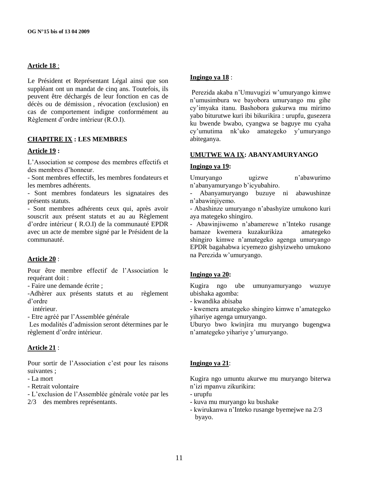# **Article 18** :

Le Président et Représentant Légal ainsi que son suppléant ont un mandat de cinq ans. Toutefois, ils peuvent être déchargés de leur fonction en cas de décès ou de démission , révocation (exclusion) en cas de comportement indigne conformément au Règlement d"ordre intérieur (R.O.I).

# **CHAPITRE IX : LES MEMBRES**

## **Article 19 :**

L"Association se compose des membres effectifs et des membres d"honneur.

- Sont membres effectifs, les membres fondateurs et les membres adhérents.

- Sont membres fondateurs les signataires des présents statuts.

- Sont membres adhérents ceux qui, après avoir souscrit aux présent statuts et au au Règlement d"ordre intérieur ( R.O.I) de la communauté EPDR avec un acte de membre signé par le Président de la communauté.

## **Article 20** :

Pour être membre effectif de l"Association le requérant doit :

- Faire une demande écrite ;

-Adhèrer aux présents statuts et au règlement d"ordre

intérieur.

- Etre agréé par l"Assemblée générale

Les modalités d"admission seront détermines par le règlement d"ordre intérieur.

## **Article 21** :

Pour sortir de l'Association c'est pour les raisons suivantes ;

- La mort

- Retrait volontaire

- L"exclusion de l"Assemblée générale votée par les

2/3 des membres représentants.

## **Ingingo ya 18** :

Perezida akaba n"Umuvugizi w"umuryango kimwe n"umusimbura we bayobora umuryango mu gihe cy"imyaka itanu. Bashobora gukurwa mu mirimo yabo biturutwe kuri ibi bikurikira : urupfu, gusezera ku bwende bwabo, cyangwa se baguye mu cyaha cy"umutima nk"uko amategeko y"umuryango abiteganya.

#### **UMUTWE WA IX: ABANYAMURYANGO**

#### **Ingingo ya 19:**

Umuryango ugizwe n"abawurimo n"abanyamuryango b"icyubahiro.

- Abanyamuryango buzuye ni abawushinze n"abawinjiyemo.

- Abashinze umuryango n"abashyize umukono kuri aya mategeko shingiro.

- Abawinjiwemo n"abamerewe n"Inteko rusange bamaze kwemera kuzakurikiza amategeko shingiro kimwe n"amategeko agenga umuryango EPDR bagahabwa icyemezo gishyizweho umukono na Perezida w"umuryango.

## **Ingingo ya 20:**

Kugira ngo ube umunyamuryango wuzuye ubishaka agomba:

- kwandika abisaba

- kwemera amategeko shingiro kimwe n"amategeko yihariye agenga umuryango.

Uburyo bwo kwinjira mu muryango bugengwa n"amategeko yihariye y"umuryango.

# **Ingingo ya 21**:

Kugira ngo umuntu akurwe mu muryango biterwa n"izi mpanvu zikurikira:

- urupfu
- kuva mu muryango ku bushake
- kwirukanwa n"Inteko rusange byemejwe na 2/3 byayo.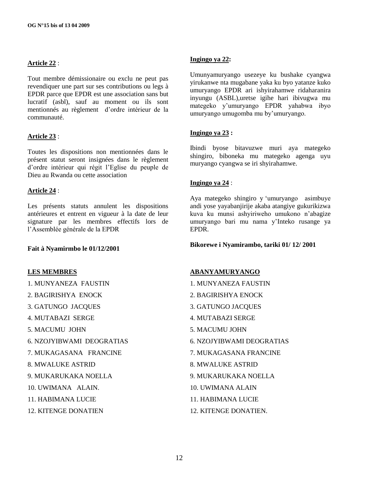# **Article 22** :

Tout membre démissionaire ou exclu ne peut pas revendiquer une part sur ses contributions ou legs à EPDR parce que EPDR est une association sans but lucratif (asbl), sauf au moment ou ils sont mentionnés au règlement d"ordre intérieur de la communauté.

# **Article 23** :

Toutes les dispositions non mentionnées dans le présent statut seront insignées dans le règlement d"ordre intérieur qui régit l"Eglise du peuple de Dieu au Rwanda ou cette association

# **Article 24** :

Les présents statuts annulent les dispositions antérieures et entrent en vigueur à la date de leur signature par les membres effectifs lors de l"Assemblée générale de la EPDR

## **Fait à Nyamirmbo le 01/12/2001**

## **LES MEMBRES**

- 1. MUNYANEZA FAUSTIN
- 2. BAGIRISHYA ENOCK
- 3. GATUNGO JACQUES
- 4. MUTABAZI SERGE
- 5. MACUMU JOHN
- 6. NZOJYIBWAMI DEOGRATIAS
- 7. MUKAGASANA FRANCINE
- 8. MWALUKE ASTRID
- 9. MUKARUKAKA NOELLA
- 10. UWIMANA ALAIN.
- 11. HABIMANA LUCIE
- 12. KITENGE DONATIEN

#### **Ingingo ya 22:**

Umunyamuryango usezeye ku bushake cyangwa yirukanwe nta mugabane yaka ku byo yatanze kuko umuryango EPDR ari ishyirahamwe ridaharanira inyungu (ASBL),uretse igihe hari ibivugwa mu mategeko y"umuryango EPDR yahabwa ibyo umuryango umugomba mu by"umuryango.

# **Ingingo ya 23 :**

Ibindi byose bitavuzwe muri aya mategeko shingiro, biboneka mu mategeko agenga uyu muryango cyangwa se iri shyirahamwe.

## **Ingingo ya 24** :

Aya mategeko shingiro y "umuryango asimbuye andi yose yayabanjirije akaba atangiye gukurikizwa kuva ku munsi ashyiriweho umukono n"abagize umuryango bari mu nama y"Inteko rusange ya EPDR.

## **Bikorewe i Nyamirambo, tariki 01/ 12/ 2001**

## **ABANYAMURYANGO**

- 1. MUNYANEZA FAUSTIN
- 2. BAGIRISHYA ENOCK
- 3. GATUNGO JACQUES
- 4. MUTABAZI SERGE
- 5. MACUMU JOHN
- 6. NZOJYIBWAMI DEOGRATIAS
- 7. MUKAGASANA FRANCINE
- 8. MWALUKE ASTRID
- 9. MUKARUKAKA NOELLA
- 10. UWIMANA ALAIN
- 11. HABIMANA LUCIE
- 12. KITENGE DONATIEN.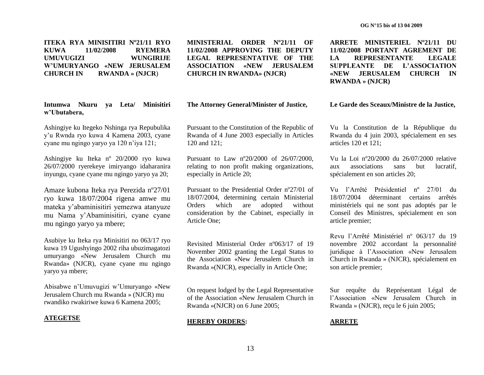**ITEKA RYA MINISITIRI Nº21/11 RYO KUWA 11/02/2008 RYEMERA UMUVUGIZI WUNGIRIJE W"UMURYANGO «NEW JERUSALEM CHURCH IN RWANDA » (NJCR**)

**Intumwa Nkuru ya Leta/ Minisitiri w"Ubutabera,**

Ashingiye ku Itegeko Nshinga rya Repubulika y"u Rwnda ryo kuwa 4 Kamena 2003, cyane cyane mu ngingo yaryo ya 120 n"iya 121;

Ashingiye ku Iteka nº 20/2000 ryo kuwa 26/07/2000 ryerekeye imiryango idaharanira inyungu, cyane cyane mu ngingo yaryo ya 20;

Amaze kubona Iteka rya Perezida nº27/01 ryo kuwa 18/07/2004 rigena amwe mu mateka y"abaminisitiri yemezwa atanyuze mu Nama y"Abaminisitiri, cyane cyane mu ngingo yaryo ya mbere;

Asubiye ku Iteka rya Minisitiri no 063/17 ryo kuwa 19 Ugushyingo 2002 riha ubuzimagatozi umuryango «New Jerusalem Church mu Rwanda» (NJCR), cyane cyane mu ngingo yaryo ya mbere;

Abisabwe n"Umuvugizi w"Umuryango «New Jerusalem Church mu Rwanda » (NJCR) mu rwandiko rwakiriwe kuwa 6 Kamena 2005;

#### **ATEGETSE**

**MINISTERIAL ORDER Nº21/11 OF 11/02/2008 APPROVING THE DEPUTY LEGAL REPRESENTATIVE OF THE ASSOCIATION «NEW JERUSALEM CHURCH IN RWANDA» (NJCR)**

#### **The Attorney General/Minister of Justice,**

Pursuant to the Constitution of the Republic of Rwanda of 4 June 2003 especially in Articles 120 and 121;

Pursuant to Law nº20/2000 of 26/07/2000, relating to non profit making organizations, especially in Article 20;

Pursuant to the Presidential Order nº27/01 of 18/07/2004, determining certain Ministerial Orders which are adopted without consideration by the Cabinet, especially in Article One;

Revisited Ministerial Order nº063/17 of 19 November 2002 granting the Legal Status to the Association «New Jerusalem Church in Rwanda »(NJCR), especially in Article One;

On request lodged by the Legal Representative of the Association «New Jerusalem Church in Rwanda »(NJCR) on 6 June 2005;

#### **HEREBY ORDERS:**

**ARRETE MINISTERIEL Nº21/11 DU 11/02/2008 PORTANT AGREMENT DE LA REPRESENTANTE LEGALE SUPPLEANTE DE L"ASSOCIATION «NEW JERUSALEM CHURCH IN RWANDA » (NJCR)**

#### **Le Garde des Sceaux/Ministre de la Justice,**

Vu la Constitution de la République du Rwanda du 4 juin 2003, spécialement en ses articles 120 et 121;

Vu la Loi nº20/2000 du 26/07/2000 relative aux associations sans but lucratif, spécialement en son articles 20;

Vu l"Arrêté Présidentiel nº 27/01 du 18/07/2004 déterminant certains arrêtés ministériels qui ne sont pas adoptés par le Conseil des Ministres, spécialement en son article premier;

Revu l"Arrêté Ministériel nº 063/17 du 19 novembre 2002 accordant la personnalité juridique à l"Association «New Jerusalem Church in Rwanda » (NJCR), spécialement en son article premier;

Sur requête du Représentant Légal de l"Association «New Jerusalem Church in Rwanda » (NJCR), reçu le 6 juin 2005;

#### **ARRETE**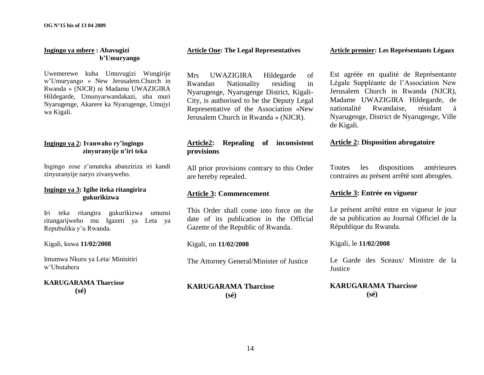# **Ingingo ya mbere : Abavugizi b"Umuryango**

Uwemerewe kuba Umuvugizi Wungirije w"Umuryango « New Jerusalem.Church in Rwanda » (NJCR) ni Madamu UWAZIGIRA Hildegarde, Umunyarwandakazi, uba muri Nyarugenge, Akarere ka Nyarugenge, Umujyi wa Kigali.

# **Ingingo ya 2: Ivanwaho ry"ingingo zinyuranyije n"iri teka**

Ingingo zose z"amateka abanziriza iri kandi zinyuranyije naryo zivanyweho.

# **Ingingo ya 3: Igihe iteka ritangirira gukurikizwa**

Iri teka ritangira gukurikizwa umunsi ritangarijweho mu Igazeti ya Leta ya Repubulika y"u Rwanda.

## Kigali, kuwa **11/02/2008**

Intumwa Nkuru ya Leta/ Minisitiri w"Ubutabera

# **KARUGARAMA Tharcisse (sé)**

#### **Article One: The Legal Representatives**

Mrs UWAZIGIRA Hildegarde of Rwandan Nationality residing in Nyarugenge, Nyarugenge District, Kigali-City, is authorised to be the Deputy Legal Representative of the Association «New Jerusalem Church in Rwanda » (NJCR).

# **Article2: Repealing of inconsistent provisions**

All prior provisions contrary to this Order are hereby repealed.

# **Article 3: Commencement**

This Order shall come into force on the date of its publication in the Official Gazette of the Republic of Rwanda.

# Kigali, on **11/02/2008**

The Attorney General/Minister of Justice

## **KARUGARAMA Tharcisse (sé)**

#### **Article premier: Les Représentants Légaux**

Est agréée en qualité de Représentante Légale Suppléante de l"Association New Jerusalem Church in Rwanda (NJCR), Madame UWAZIGIRA Hildegarde, de nationalité Rwandaise, résidant à Nyarugenge, District de Nyarugenge, Ville de Kigali.

# **Article 2: Disposition abrogatoire**

Toutes les dispositions antérieures contraires au présent arrêté sont abrogées.

# **Article 3: Entrée en vigueur**

Le présent arrêté entre en vigueur le jour de sa publication au Journal Officiel de la République du Rwanda.

## Kigali, le **11/02/2008**

Le Garde des Sceaux/ Ministre de la **Justice** 

# **KARUGARAMA Tharcisse (sé)**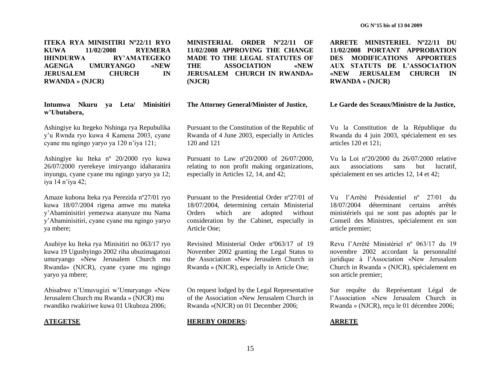**ITEKA RYA MINISITIRI Nº22/11 RYO KUWA 11/02/2008 RYEMERA IHINDURWA RY"AMATEGEKO AGENGA UMURYANGO «NEW JERUSALEM CHURCH IN RWANDA » (NJCR)**

**Intumwa Nkuru ya Leta/ Minisitiri w"Ubutabera,**

Ashingiye ku Itegeko Nshinga rya Repubulika y"u Rwnda ryo kuwa 4 Kamena 2003, cyane cyane mu ngingo yaryo ya 120 n"iya 121;

Ashingiye ku Iteka nº 20/2000 ryo kuwa 26/07/2000 ryerekeye imiryango idaharanira inyungu, cyane cyane mu ngingo yaryo ya 12; iya 14 n"iya 42;

Amaze kubona Iteka rya Perezida nº27/01 ryo kuwa 18/07/2004 rigena amwe mu mateka y"Abaminisitiri yemezwa atanyuze mu Nama y"Abaminisitiri, cyane cyane mu ngingo yaryo ya mbere;

Asubiye ku Iteka rya Minisitiri no 063/17 ryo kuwa 19 Ugushyingo 2002 riha ubuzimagatozi umuryango «New Jerusalem Church mu Rwanda» (NJCR), cyane cyane mu ngingo yaryo ya mbere;

Abisabwe n"Umuvugizi w"Umuryango «New Jerusalem Church mu Rwanda » (NJCR) mu rwandiko rwakiriwe kuwa 01 Ukuboza 2006;

#### **ATEGETSE**

**MINISTERIAL ORDER Nº22/11 OF 11/02/2008 APPROVING THE CHANGE MADE TO THE LEGAL STATUTES OF THE ASSOCIATION «NEW JERUSALEM CHURCH IN RWANDA» (NJCR)**

**The Attorney General/Minister of Justice,**

Pursuant to the Constitution of the Republic of Rwanda of 4 June 2003, especially in Articles 120 and 121

Pursuant to Law nº20/2000 of 26/07/2000, relating to non profit making organizations, especially in Articles 12, 14, and 42;

Pursuant to the Presidential Order nº27/01 of 18/07/2004, determining certain Ministerial Orders which are adopted without consideration by the Cabinet, especially in Article One;

Revisited Ministerial Order nº063/17 of 19 November 2002 granting the Legal Status to the Association «New Jerusalem Church in Rwanda » (NJCR), especially in Article One;

On request lodged by the Legal Representative of the Association «New Jerusalem Church in Rwanda »(NJCR) on 01 December 2006;

# **HEREBY ORDERS:**

**ARRETE MINISTERIEL Nº22/11 DU 11/02/2008 PORTANT APPROBATION DES MODIFICATIONS APPORTEES AUX STATUTS DE L"ASSOCIATION «NEW JERUSALEM CHURCH IN RWANDA » (NJCR)**

#### **Le Garde des Sceaux/Ministre de la Justice,**

Vu la Constitution de la République du Rwanda du 4 juin 2003, spécialement en ses articles 120 et 121;

Vu la Loi nº20/2000 du 26/07/2000 relative aux associations sans but lucratif, spécialement en ses articles 12, 14 et 42;

Vu l"Arrêté Présidentiel nº 27/01 du 18/07/2004 déterminant certains arrêtés ministériels qui ne sont pas adoptés par le Conseil des Ministres, spécialement en son article premier;

Revu l"Arrêté Ministériel nº 063/17 du 19 novembre 2002 accordant la personnalité juridique à l"Association «New Jerusalem Church in Rwanda » (NJCR), spécialement en son article premier;

Sur requête du Représentant Légal de l"Association «New Jerusalem Church in Rwanda » (NJCR), reçu le 01 décembre 2006;

#### **ARRETE**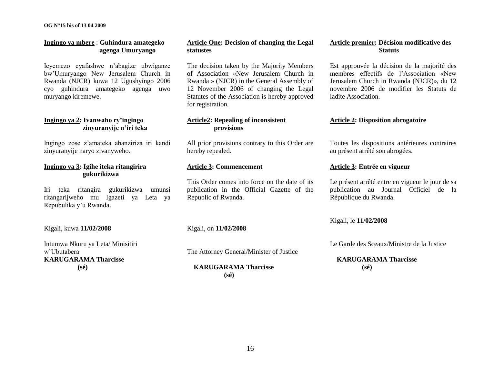**OG N°15 bis of 13 04 2009**

# **Ingingo ya mbere** : **Guhindura amategeko agenga Umuryango**

Icyemezo cyafashwe n"abagize ubwiganze bw"Umuryango New Jerusalem Church in Rwanda (NJCR) kuwa 12 Ugushyingo 2006 cyo guhindura amategeko agenga uwo muryango kiremewe.

### **Ingingo ya 2: Ivanwaho ry"ingingo zinyuranyije n"iri teka**

Ingingo zose z"amateka abanziriza iri kandi zinyuranyije naryo zivanyweho.

# **Ingingo ya 3: Igihe iteka ritangirira gukurikizwa**

Iri teka ritangira gukurikizwa umunsi ritangarijweho mu Igazeti ya Leta ya Repubulika y"u Rwanda.

Kigali, kuwa **11/02/2008**

Intumwa Nkuru ya Leta/ Minisitiri w"Ubutabera **KARUGARAMA Tharcisse (sé)**

# **Article One: Decision of changing the Legal statustes**

The decision taken by the Majority Members of Association «New Jerusalem Church in Rwanda » (NJCR) in the General Assembly of 12 November 2006 of changing the Legal Statutes of the Association is hereby approved for registration.

# **Article2: Repealing of inconsistent provisions**

All prior provisions contrary to this Order are hereby repealed.

# **Article 3: Commencement**

This Order comes into force on the date of its publication in the Official Gazette of the Republic of Rwanda.

# Kigali, on **11/02/2008**

The Attorney General/Minister of Justice

# **KARUGARAMA Tharcisse (sé)**

# **Article premier: Décision modificative des Statuts**

Est approuvée la décision de la majorité des membres effectifs de l"Association «New Jerusalem Church in Rwanda (NJCR)», du 12 novembre 2006 de modifier les Statuts de ladite Association.

# **Article 2: Disposition abrogatoire**

Toutes les dispositions antérieures contraires au présent arrêté son abrogées.

## **Article 3: Entrée en vigueur**

Le présent arrêté entre en vigueur le jour de sa publication au Journal Officiel de la République du Rwanda.

## Kigali, le **11/02/2008**

Le Garde des Sceaux/Ministre de la Justice

# **KARUGARAMA Tharcisse (sé)**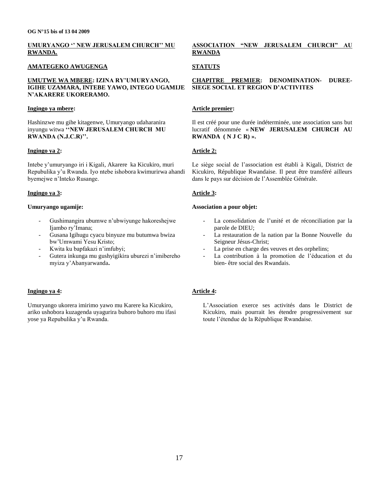# **UMURYANGO " NEW JERUSALEM CHURCH" MU RWANDA.**

#### **AMATEGEKO AWUGENGA**

### **UMUTWE WA MBERE: IZINA RY"UMURYANGO, IGIHE UZAMARA, INTEBE YAWO, INTEGO UGAMIJE N"AKARERE UKORERAMO.**

#### **Ingingo ya mbere:**

Hashinzwe mu gihe kitagenwe, Umuryango udaharanira inyungu witwa "NEW JERUSALEM CHURCH MU RWANDA (N.J.C.R)".

#### **Ingingo ya 2:**

Intebe y"umuryango iri i Kigali, Akarere ka Kicukiro, muri Repubulika y"u Rwanda. Iyo ntebe ishobora kwimurirwa ahandi byemejwe n"Inteko Rusange.

#### **Ingingo ya 3:**

#### **Umuryango ugamije:**

- Gushimangira ubumwe n"ubwiyunge hakoreshejwe Ijambo ry'Imana:
- Gusana Igihugu cyacu binyuze mu butumwa bwiza bw"Umwami Yesu Kristo;
- Kwita ku bapfakazi n'imfubyi:
- Gutera inkunga mu gushyigikira uburezi n'imibereho myiza y"Abanyarwanda**.**

## **Ingingo ya 4:**

Umuryango ukorera imirimo yawo mu Karere ka Kicukiro, ariko ushobora kuzagenda uyagurira buhoro buhoro mu ifasi yose ya Repubulika y"u Rwanda.

## **ASSOCIATION "NEW JERUSALEM CHURCH" AU RWANDA**

## **STATUTS**

#### **CHAPITRE PREMIER: DENOMINATION- DUREE-SIEGE SOCIAL ET REGION D"ACTIVITES**

## **Article premier:**

Il est créé pour une durée indéterminée, une association sans but lucratif dénommée « **NEW JERUSALEM CHURCH AU RWANDA ( N J C R) ».**

## **Article 2:**

Le siège social de l"association est établi à Kigali, District de Kicukiro, République Rwandaise. Il peut être transféré ailleurs dans le pays sur décision de l"Assemblée Générale.

## **Article 3:**

#### **Association a pour objet:**

- La consolidation de l'unité et de réconciliation par la parole de DIEU;
- La restauration de la nation par la Bonne Nouvelle du Seigneur Jésus-Christ;
- La prise en charge des veuves et des orphelins;
- La contribution à la promotion de l'éducation et du bien- être social des Rwandais.

# **Article 4:**

L"Association exerce ses activités dans le District de Kicukiro, mais pourrait les étendre progressivement sur toute l"étendue de la République Rwandaise.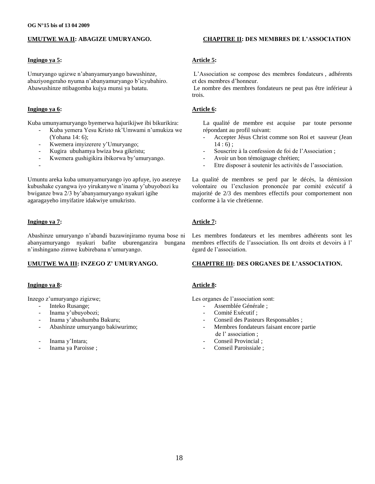## **UMUTWE WA II: ABAGIZE UMURYANGO.**

#### **Ingingo ya 5:**

Umuryango ugizwe n"abanyamuryango bawushinze, abaziyongeraho nyuma n"abanyamuryango b"icyubahiro. Abawushinze ntibagomba kujya munsi ya batatu.

#### **Ingingo ya 6:**

-

Kuba umunyamuryango byemerwa hajurikijwe ibi bikurikira:

- Kuba yemera Yesu Kristo nk"Umwami n"umukiza we (Yohana 14: 6);
- Kwemera imyizerere y'Umuryango;
- Kugira ubuhamya bwiza bwa gikristu;
- Kwemera gushigikira ibikorwa by'umuryango.

Umuntu areka kuba umunyamuryango iyo apfuye, iyo asezeye kubushake cyangwa iyo yirukanywe n"inama y"ubuyobozi ku bwiganze bwa 2/3 by"abanyamuryango nyakuri igihe agaragayeho imyifatire idakwiye umukristo.

### **Ingingo ya 7:**

Abashinze umuryango n"abandi bazawinjiramo nyuma bose ni abanyamuryango nyakuri bafite uburenganzira bungana n"inshingano zimwe kubirebana n"umuryango.

## **UMUTWE WA III: INZEGO Z" UMURYANGO.**

#### **Ingingo ya 8:**

Inzego z"umuryango zigizwe;

- Inteko Rusange;
- Inama y"ubuyobozi;
- Inama y"abashumba Bakuru;
- Abashinze umuryango bakiwurimo;
- Inama y'Intara;
- Inama ya Paroisse ;

#### **CHAPITRE II: DES MEMBRES DE L"ASSOCIATION**

## **Article 5:**

L"Association se compose des membres fondateurs , adhérents et des membres d"honneur.

Le nombre des membres fondateurs ne peut pas être inférieur à trois.

#### **Article 6:**

La qualité de membre est acquise par toute personne répondant au profil suivant:

- Accepter Jésus Christ comme son Roi et sauveur (Jean  $14:6$ :
- Souscrire à la confession de foi de l'Association;
- Avoir un bon témoignage chrétien;
- Etre disposer à soutenir les activités de l'association.

La qualité de membres se perd par le décès, la démission volontaire ou l"exclusion prononcée par comité exécutif à majorité de 2/3 des membres effectifs pour comportement non conforme à la vie chrétienne.

## **Article 7:**

Les membres fondateurs et les membres adhérents sont les membres effectifs de l"association. Ils ont droits et devoirs à l" égard de l"association.

#### **CHAPITRE III: DES ORGANES DE L"ASSOCIATION.**

#### **Article 8:**

Les organes de l'association sont:

- Assemblée Générale :
- Comité Exécutif :
- Conseil des Pasteurs Responsables;
- Membres fondateurs faisant encore partie de l" association ;
- Conseil Provincial :
- Conseil Paroissiale ;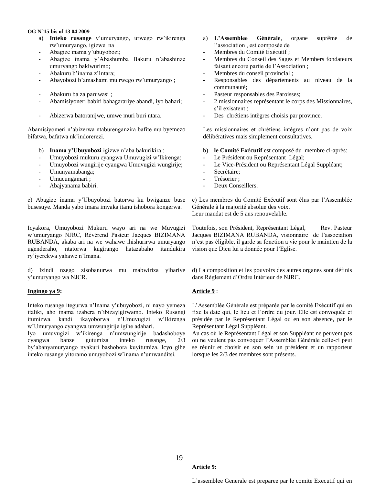#### **OG N°15 bis of 13 04 2009**

- a) **Inteko rusange** y"umuryango, urwego rw"ikirenga rw"umuryango, igizwe na
- Abagize inama y"ubuyobozi;
- Abagize inama y"Abashumba Bakuru n"abashinze umuryangp bakiwurimo;
- Abakuru b"inama z"Intara;
- Abayobozi b"amashami mu rwego rw"umuryango ;
- Abakuru ba za paruwasi ;
- Abamisiyoneri babiri bahagarariye abandi, iyo bahari;
- Abizerwa batoranijwe, umwe muri buri ntara.

Abamisiyomeri n"abizerwa ntaburenganzira bafite mu byemezo bifatwa, bafatwa nk"indorerezi.

- b) **Inama y"Ubuyobozi** igizwe n"aba bakurikira :
- Umuyobozi mukuru cyangwa Umuvugizi w"Ikirenga;
- Umuyobozi wungirije cyangwa Umuvugizi wungirije;
- Umunyamabanga;
- Umucungamari ;
- Abajyanama babiri.

c) Abagize inama y"Ubuyobozi batorwa ku bwiganze buse busesuye. Manda yabo imara imyaka itanu ishobora kongerwa.

Icyakora, Umuyobozi Mukuru wayo ari na we Muvugizi w"umuryango NJRC, Révérend Pasteur Jacques BIZIMANA RUBANDA, akaba ari na we wahawe ihishurirwa umuryango ugenderaho, ntatorwa kugirango hatazabaho itandukira ry"iyerekwa yahawe n"Imana.

d) Izindi nzego zisobanurwa mu mabwiriza yihariye y"umuryango wa NJCR.

#### **Ingingo ya 9:**

Inteko rusange itegurwa n"Inama y"ubuyobozi, ni nayo yemeza italiki, aho inama izabera n"ibizayigirwamo. Inteko Rusangi itumizwa kandi ikayoborwa n"Umuvugizi w"Ikirenga w"Umuryango cyangwa umwungirije igihe adahari.

Iyo umuvugizi w"ikirenga n"umwungirije badashoboye cyangwa banze gutumiza inteko rusange, 2/3 by"abanyamuryango nyakuri bashobora kuyitumiza. Icyo gihe inteko rusange yitoramo umuyobozi w"inama n"umwanditsi.

- a) **L"Assemblee Générale**, organe suprême de l"association , est composée de
- Membres du Comité Exécutif :
- Membres du Conseil des Sages et Members fondateurs faisant encore partie de l"Association ;
- Membres du conseil provincial ;
- Responsables des départements au niveau de la communauté;
- Pasteur responsables des Paroisses;
- 2 missionnaires représentant le corps des Missionnaires, s'il exisatent ;
- Des chrétiens intègres choisis par province.

Les missionnaires et chrétiens intègres n'ont pas de voix délibératives mais simplement consultatives.

- b) **le Comit**é **Ex**é**cutif** est composé du membre ci-après:
- Le Président ou Représentant Légal;
- Le Vice-Président ou Représentant Légal Suppléant;
- Secrétaire:
- Trésorier :
- Deux Conseillers.

c) Les membres du Comité Exécutif sont élus par l"Assemblée Générale à la majorité absolue des voix. Leur mandat est de 5 ans renouvelable.

Toutefois, son Président, Représentant Légal, Rev. Pasteur Jacques BIZIMANA RUBANDA, visionnaire de l"association n"est pas éligible, il garde sa fonction a vie pour le maintien de la vision que Dieu lui a donnée pour l"Eglise.

d) La composition et les pouvoirs des autres organes sont définis dans Règlement d"Ordre Intérieur de NJRC.

# **Article 9** :

L"Assemblée Générale est préparée par le comité Exécutif qui en fixe la date qui, le lieu et l"ordre du jour. Elle est convoquée et présidée par le Représentant Légal ou en son absence, par le Représentant Légal Suppléant.

Au cas où le Représentant Légal et son Suppléant ne peuvent pas ou ne veulent pas convoquer l"Assemblée Générale celle-ci peut se réunir et choisir en son sein un président et un rapporteur lorsque les 2/3 des membres sont présents.

#### **Article 9:**

L"assemblee Generale est preparee par le comite Executif qui en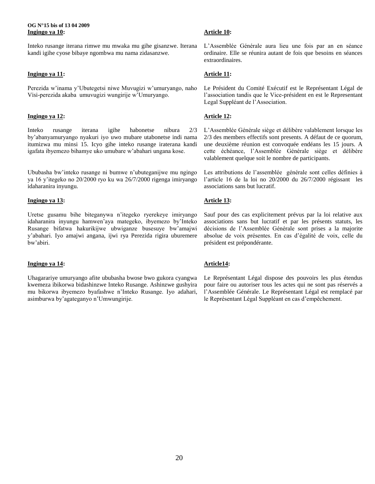#### **OG N°15 bis of 13 04 2009 Ingingo ya 10:**

Inteko rusange iterana rimwe mu mwaka mu gihe gisanzwe. Iterana kandi igihe cyose bibaye ngombwa mu nama zidasanzwe.

# **Ingingo ya 11:**

Perezida w"inama y"Ubutegetsi niwe Muvugizi w"umuryango, naho Visi-perezida akaba umuvugizi wungirije w"Umuryango.

## **Ingingo ya 12:**

Inteko rusange iterana igihe habonetse nibura 2/3 by"abanyamuryango nyakuri iyo uwo mubare utabonetse indi nama itumizwa mu minsi 15. Icyo gihe inteko rusange iraterana kandi igafata ibyemezo bihamye uko umubare w"abahari ungana kose.

Ububasha bw"inteko rusange ni bumwe n"ubuteganijwe mu ngingo ya 16 y"itegeko no 20/2000 ryo ku wa 26/7/2000 rigenga imiryango idaharanira inyungu.

## **Ingingo ya 13:**

Uretse gusamu bihe biteganywa n"itegeko ryerekeye imiryango idaharanira inyungu hamwen"aya mategeko, ibyemezo by"Inteko Rusange bifatwa hakurikijwe ubwiganze busesuye bw"amajwi y"abahari. Iyo amajwi angana, ijwi rya Perezida rigira uburemere bw"abiri.

## **Ingingo ya 14:**

Uhagarariye umuryango afite ububasha bwose bwo gukora cyangwa kwemeza ibikorwa bidashinzwe Inteko Rusange. Ashinzwe gushyira mu bikorwa ibyemezo byafashwe n"Inteko Rusange. Iyo adahari, asimburwa by"agateganyo n"Umwungirije.

# **Article 10:**

L"Assemblée Générale aura lieu une fois par an en séance ordinaire. Elle se réunira autant de fois que besoins en séances extraordinaires.

# **Article 11:**

Le Président du Comité Exécutif est le Représentant Légal de l"association tandis que le Vice-président en est le Representant Legal Suppléant de l"Association.

# **Article 12:**

L"Assemblée Générale siège et délibère valablement lorsque les 2/3 des members effectifs sont presents. A défaut de ce quorum, une deuxième réunion est convoquée endéans les 15 jours. A cette échéance, l"Assemblée Générale siège et délibère valablement quelque soit le nombre de participants.

Les attributions de l'assemblée générale sont celles définies à l"article 16 de la loi no 20/2000 du 26/7/2000 régissant les associations sans but lucratif.

# **Article 13:**

Sauf pour des cas explicitement prévus par la loi relative aux associations sans but lucratif et par les présents statuts, les décisions de l"Assemblée Générale sont prises a la majorite absolue de voix présentes. En cas d"égalité de voix, celle du président est prépondérante.

# **Article14:**

Le Représentant Légal dispose des pouvoirs les plus étendus pour faire ou autoriser tous les actes qui ne sont pas réservés a l"Assemblée Générale. Le Représentant Légal est remplacé par le Représentant Légal Suppléant en cas d"empêchement.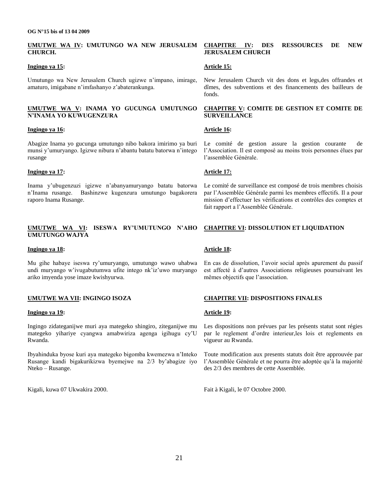#### **UMUTWE WA IV: UMUTUNGO WA NEW JERUSALEM CHURCH.**

#### **Ingingo ya 15:**

Umutungo wa New Jerusalem Church ugizwe n"impano, imirage, amaturo, imigabane n"imfashanyo z"abaterankunga.

#### **UMUTWE WA V: INAMA YO GUCUNGA UMUTUNGO N"INAMA YO KUWUGENZURA**

#### **Ingingo ya 16:**

Abagize Inama yo gucunga umutungo nibo bakora imirimo ya buri munsi y"umuryango. Igizwe nibura n"abantu batatu batorwa n"intego rusange

#### **Ingingo ya 17:**

Inama y"ubugenzuzi igizwe n"abanyamuryango batatu batorwa n"Inama rusange. Bashinzwe kugenzura umutungo bagakorera raporo Inama Rusange.

#### **UMUTWE WA VI: ISESWA RY"UMUTUNGO N"AHO UMUTUNGO WAJYA**

#### **Ingingo ya 18:**

Mu gihe habaye iseswa ry"umuryango, umutungo wawo uhabwa undi muryango w'ivugabutumwa ufite intego nk'iz'uwo muryango ariko imyenda yose imaze kwishyurwa.

## **UMUTWE WA VII: INGINGO ISOZA**

#### **Ingingo ya 19:**

Ingingo zidateganijwe muri aya mategeko shingiro, ziteganijwe mu mategeko yihariye cyangwa amabwiriza agenga igihugu cy"U Rwanda.

Ibyahinduka byose kuri aya mategeko bigomba kwemezwa n"Inteko Rusange kandi bigakurikizwa byemejwe na 2/3 by"abagize iyo Nteko – Rusange.

Kigali, kuwa 07 Ukwakira 2000.

#### **CHAPITRE IV: DES RESSOURCES DE NEW JERUSALEM CHURCH**

#### **Article 15:**

New Jerusalem Church vit des dons et legs,des offrandes et dîmes, des subventions et des financements des bailleurs de fonds.

#### **CHAPITRE V: COMITE DE GESTION ET COMITE DE SURVEILLANCE**

#### **Article 16:**

Le comité de gestion assure la gestion courante de l"Association. Il est composé au moins trois personnes élues par l"assemblée Générale.

#### **Article 17:**

Le comité de surveillance est composé de trois membres choisis par l"Assemblée Générale parmi les membres effectifs. Il a pour mission d"effectuer les vérifications et contrôles des comptes et fait rapport a l"Assemblée Générale.

## **CHAPITRE VI: DISSOLUTION ET LIQUIDATION**

## **Article 18:**

En cas de dissolution, l"avoir social après apurement du passif est affecté à d"autres Associations religieuses poursuivant les mêmes objectifs que l"association.

## **CHAPITRE VII: DISPOSITIONS FINALES**

#### **Article 19:**

Les dispositions non prévues par les présents statut sont régies par le reglement d"ordre interieur,les lois et reglements en vigueur au Rwanda.

Toute modification aux presents statuts doit être approuvée par l"Assemblée Générale et ne pourra être adoptée qu"à la majorité des 2/3 des membres de cette Assemblée.

Fait à Kigali, le 07 Octobre 2000.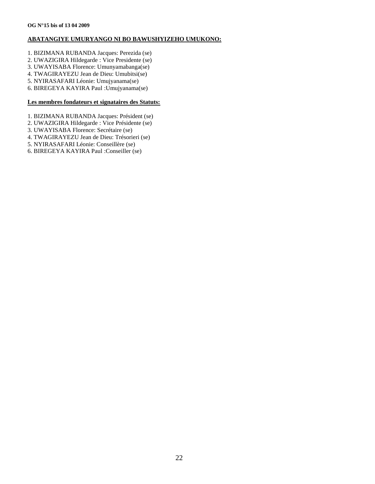### **ABATANGIYE UMURYANGO NI BO BAWUSHYIZEHO UMUKONO:**

- 1. BIZIMANA RUBANDA Jacques: Perezida (se)
- 2. UWAZIGIRA Hildegarde : Vice Presidente (se)
- 3. UWAYISABA Florence: Umunyamabanga(se)
- 4. TWAGIRAYEZU Jean de Dieu: Umubitsi(se)
- 5. NYIRASAFARI Léonie: Umujyanama(se)
- 6. BIREGEYA KAYIRA Paul :Umujyanama(se)

# **Les membres fondateurs et signataires des Statuts:**

- 1. BIZIMANA RUBANDA Jacques: Président (se)
- 2. UWAZIGIRA Hildegarde : Vice Présidente (se)
- 3. UWAYISABA Florence: Secrétaire (se)
- 4. TWAGIRAYEZU Jean de Dieu: Trésorieri (se)
- 5. NYIRASAFARI Léonie: Conseillère (se)
- 6. BIREGEYA KAYIRA Paul :Conseiller (se)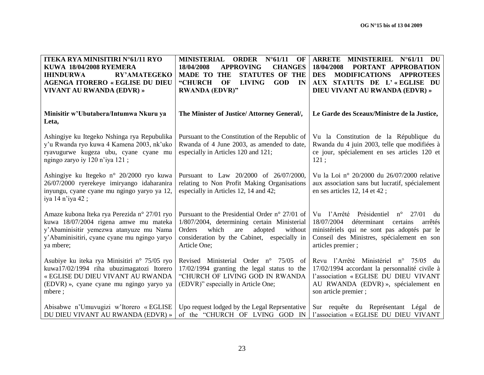| <b>ITEKA RYA MINISITIRI N°61/11 RYO</b><br><b>KUWA 18/04/2008 RYEMERA</b><br><b>RY'AMATEGEKO</b><br><b>IHINDURWA</b><br><b>AGENGA ITORERO « EGLISE DU DIEU</b><br>VIVANT AU RWANDA (EDVR) »   | MINISTERIAL ORDER N°61/11<br>OF<br>18/04/2008<br><b>CHANGES</b><br><b>APPROVING</b><br><b>STATUTES OF THE</b><br><b>MADE TO THE</b><br>"CHURCH<br><b>OF</b><br><b>LIVING</b><br><b>GOD</b><br>IN<br><b>RWANDA (EDVR)"</b> | <b>ARRETE</b><br>MINISTERIEL N°61/11 DU<br>18/04/2008<br>PORTANT APPROBATION<br><b>MODIFICATIONS</b><br><b>APPROTEES</b><br><b>DES</b><br>AUX STATUTS DE L'«EGLISE DU<br>DIEU VIVANT AU RWANDA (EDVR) »       |
|-----------------------------------------------------------------------------------------------------------------------------------------------------------------------------------------------|---------------------------------------------------------------------------------------------------------------------------------------------------------------------------------------------------------------------------|---------------------------------------------------------------------------------------------------------------------------------------------------------------------------------------------------------------|
| Minisitir w'Ubutabera/Intumwa Nkuru ya<br>Leta,                                                                                                                                               | The Minister of Justice/ Attorney General/,                                                                                                                                                                               | Le Garde des Sceaux/Ministre de la Justice,                                                                                                                                                                   |
| Ashingiye ku Itegeko Nshinga rya Repubulika<br>y'u Rwanda ryo kuwa 4 Kamena 2003, nk'uko<br>ryavugurwe kugeza ubu, cyane cyane mu<br>ngingo zaryo iy 120 n'iya 121;                           | Pursuant to the Constitution of the Republic of<br>Rwanda of 4 June 2003, as amended to date,<br>especially in Articles 120 and 121;                                                                                      | Vu la Constitution de la République du<br>Rwanda du 4 juin 2003, telle que modifiées à<br>ce jour, spécialement en ses articles 120 et<br>121:                                                                |
| Ashingiye ku Itegeko n° 20/2000 ryo kuwa<br>26/07/2000 ryerekeye imiryango idaharanira<br>inyungu, cyane cyane mu ngingo yaryo ya 12,<br>iya 14 n'iya 42;                                     | Pursuant to Law 20/2000 of 26/07/2000,<br>relating to Non Profit Making Organisations<br>especially in Articles 12, 14 and 42;                                                                                            | Vu la Loi nº 20/2000 du 26/07/2000 relative<br>aux association sans but lucratif, spécialement<br>en ses articles 12, 14 et 42;                                                                               |
| Amaze kubona Iteka rya Perezida n° 27/01 ryo<br>kuwa 18/07/2004 rigena amwe mu mateka<br>y'Abaminisitir yemezwa atanyuze mu Nama<br>y'Abaminisitiri, cyane cyane mu ngingo yaryo<br>ya mbere; | Pursuant to the Presidential Order n° 27/01 of<br>1/807/2004, determining certain Ministerial<br>which<br>Orders<br>are<br>adopted<br>without<br>consideration by the Cabinet, especially in<br>Article One;              | Vu l'Arrêté Présidentiel n°<br>27/01<br>du<br>18/07/2004<br>déterminant certains<br>arrêtés<br>ministériels qui ne sont pas adoptés par le<br>Conseil des Ministres, spécialement en son<br>articles premier; |
| Asubiye ku iteka rya Minisitiri n° 75/05 ryo<br>kuwa17/02/1994 riha ubuzimagatozi Itorero<br>« EGLISE DU DIEU VIVANT AU RWANDA<br>(EDVR) », cyane cyane mu ngingo yaryo ya<br>mbere;          | Revised Ministerial Order n° 75/05<br>- of<br>17/02/1994 granting the legal status to the<br>"CHURCH OF LIVING GOD IN RWANDA<br>(EDVR)" especially in Article One;                                                        | Revu l'Arrêté Ministériel n° 75/05 du<br>17/02/1994 accordant la personnalité civile à<br>l'association « EGLISE DU DIEU VIVANT<br>AU RWANDA (EDVR) », spécialement en<br>son article premier;                |
| Abisabwe n'Umuvugizi w'Itorero « EGLISE<br>DU DIEU VIVANT AU RWANDA (EDVR) »                                                                                                                  | Upo request lodged by the Legal Reprsentative<br>of the "CHURCH OF LVING GOD IN                                                                                                                                           | Sur requête du Représentant Légal de<br>l'association « EGLISE DU DIEU VIVANT                                                                                                                                 |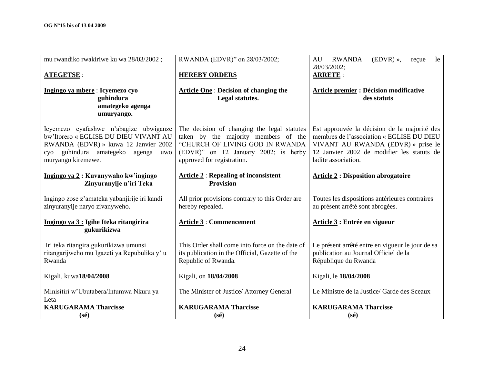| mu rwandiko rwakiriwe ku wa 28/03/2002;                                                                                                                                                | RWANDA (EDVR)" on 28/03/2002;                                                                                                                                                                | <b>RWANDA</b><br>$(EDVR)$ »,<br>AU<br>le<br>reçue                                                                                                                                                    |
|----------------------------------------------------------------------------------------------------------------------------------------------------------------------------------------|----------------------------------------------------------------------------------------------------------------------------------------------------------------------------------------------|------------------------------------------------------------------------------------------------------------------------------------------------------------------------------------------------------|
| <b>ATEGETSE:</b>                                                                                                                                                                       | <b>HEREBY ORDERS</b>                                                                                                                                                                         | 28/03/2002;<br><b>ARRETE:</b>                                                                                                                                                                        |
| Ingingo ya mbere: Icyemezo cyo<br>guhindura<br>amategeko agenga<br>umuryango.                                                                                                          | <b>Article One: Decision of changing the</b><br>Legal statutes.                                                                                                                              | <b>Article premier : Décision modificative</b><br>des statuts                                                                                                                                        |
| Icyemezo cyafashwe n'abagize ubwiganze<br>bw'Itorero « EGLISE DU DIEU VIVANT AU<br>RWANDA (EDVR) » kuwa 12 Janvier 2002<br>cyo guhindura amategeko agenga<br>uwo<br>muryango kiremewe. | The decision of changing the legal statutes<br>taken by the majority members of the<br>"CHURCH OF LIVING GOD IN RWANDA<br>(EDVR)" on 12 January 2002; is herby<br>approved for registration. | Est approuvée la décision de la majorité des<br>membres de l'association « EGLISE DU DIEU<br>VIVANT AU RWANDA (EDVR) » prise le<br>12 Janvier 2002 de modifier les statuts de<br>ladite association. |
| Ingingo ya 2: Kuvanywaho kw'ingingo<br>Zinyuranyije n'iri Teka                                                                                                                         | <b>Article 2: Repealing of inconsistent</b><br><b>Provision</b>                                                                                                                              | <b>Article 2: Disposition abrogatoire</b>                                                                                                                                                            |
| Ingingo zose z'amateka yabanjirije iri kandi<br>zinyuranyije naryo zivanyweho.                                                                                                         | All prior provisions contrary to this Order are<br>hereby repealed.                                                                                                                          | Toutes les dispositions antérieures contraires<br>au présent arrêté sont abrogées.                                                                                                                   |
| Ingingo ya 3 : Igihe Iteka ritangirira<br>gukurikizwa                                                                                                                                  | <b>Article 3 : Commencement</b>                                                                                                                                                              | Article 3 : Entrée en vigueur                                                                                                                                                                        |
| Iri teka ritangira gukurikizwa umunsi<br>ritangarijweho mu Igazeti ya Repubulika y'u<br>Rwanda                                                                                         | This Order shall come into force on the date of<br>its publication in the Official, Gazette of the<br>Republic of Rwanda.                                                                    | Le présent arrêté entre en vigueur le jour de sa<br>publication au Journal Officiel de la<br>République du Rwanda                                                                                    |
| Kigali, kuwa18/04/2008                                                                                                                                                                 | Kigali, on 18/04/2008                                                                                                                                                                        | Kigali, le 18/04/2008                                                                                                                                                                                |
| Minisitiri w'Ubutabera/Intumwa Nkuru ya<br>Leta                                                                                                                                        | The Minister of Justice/ Attorney General                                                                                                                                                    | Le Ministre de la Justice/ Garde des Sceaux                                                                                                                                                          |
| <b>KARUGARAMA Tharcisse</b><br>$(s\acute{e})$                                                                                                                                          | <b>KARUGARAMA Tharcisse</b><br>$(s\acute{e})$                                                                                                                                                | <b>KARUGARAMA Tharcisse</b><br>$(s\acute{e})$                                                                                                                                                        |
|                                                                                                                                                                                        |                                                                                                                                                                                              |                                                                                                                                                                                                      |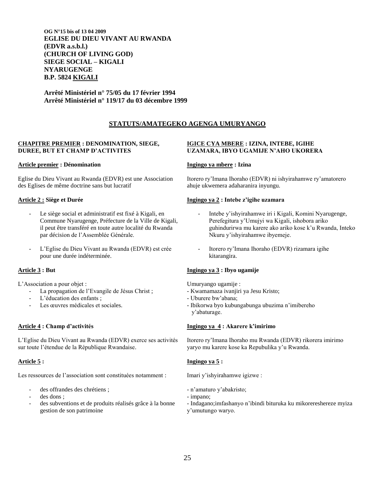**OG N°15 bis of 13 04 2009 EGLISE DU DIEU VIVANT AU RWANDA (EDVR a.s.b.l.) (CHURCH OF LIVING GOD) SIEGE SOCIAL – KIGALI NYARUGENGE B.P. 5824 KIGALI**

**Arrêté Ministériel n° 75/05 du 17 février 1994 Arrêté Ministériel n° 119/17 du 03 décembre 1999**

# **STATUTS/AMATEGEKO AGENGA UMURYANGO**

#### **CHAPITRE PREMIER : DENOMINATION, SIEGE, DUREE, BUT ET CHAMP D"ACTIVITES**

#### **Article premier : Dénomination**

Eglise du Dieu Vivant au Rwanda (EDVR) est une Association des Eglises de même doctrine sans but lucratif

#### **Article 2 : Siège et Durée**

- Le siège social et administratif est fixé à Kigali, en Commune Nyarugenge, Préfecture de la Ville de Kigali, il peut être transféré en toute autre localité du Rwanda par décision de l"Assemblée Générale.
- L"Eglise du Dieu Vivant au Rwanda (EDVR) est crée pour une durée indéterminée.

## **Article 3 : But**

L"Association a pour objet :

- La propagation de l'Evangile de Jésus Christ ;
- L'éducation des enfants ;
- Les œuvres médicales et sociales.

## **Article 4 : Champ d"activités**

L"Eglise du Dieu Vivant au Rwanda (EDVR) exerce ses activités sur toute l"étendue de la République Rwandaise.

## **Article 5 :**

Les ressources de l'association sont constituées notamment :

- des offrandes des chrétiens ;
- des dons :
- des subventions et de produits réalisés grâce à la bonne gestion de son patrimoine

## **IGICE CYA MBERE : IZINA, INTEBE, IGIHE UZAMARA, IBYO UGAMIJE N"AHO UKORERA**

#### **Ingingo ya mbere : Izina**

Itorero ry"Imana Ihoraho (EDVR) ni ishyirahamwe ry"amatorero ahuje ukwemera adaharanira inyungu.

#### **Ingingo ya 2 : Intebe z"igihe uzamara**

- Intebe y'ishyirahamwe iri i Kigali, Komini Nyarugenge, Perefegitura y"Umujyi wa Kigali, ishobora ariko guhindurirwa mu karere ako ariko kose k"u Rwanda, Inteko Nkuru y"ishyirahamwe ibyemeje.
- Itorero ry'Imana Ihoraho (EDVR) rizamara igihe kitarangira.

## **Ingingo ya 3 : Ibyo ugamije**

Umuryango ugamije :

- Kwamamaza ivanjiri ya Jesu Kristo;
- Uburere bw"abana;
- Ibikorwa byo kubungabunga ubuzima n"imiberehoy"abaturage.

## **Ingingo ya 4 : Akarere k"imirimo**

Itorero ry"Imana Ihoraho mu Rwanda (EDVR) rikorera imirimo yaryo mu karere kose ka Repubulika y"u Rwanda.

## **Ingingo ya 5 :**

Imari y"ishyirahamwe igizwe :

- n"amaturo y"abakristo;
- impano;
- Indagano;imfashanyo n"ibindi bituruka ku mikorereshereze myiza
- y"umutungo waryo.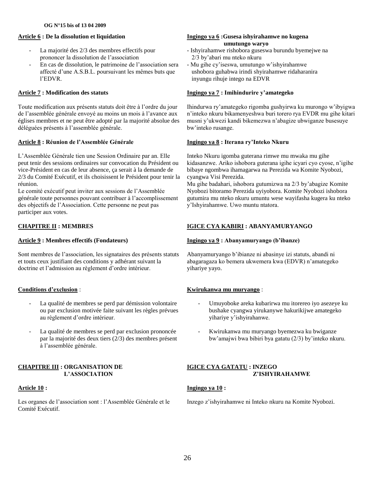### **Article 6 : De la dissolution et liquidation**

- La majorité des 2/3 des membres effectifs pour prononcer la dissolution de l"association
- En cas de dissolution, le patrimoine de l"association sera affecté d"une A.S.B.L. poursuivant les mêmes buts que l"EDVR.

## **Article 7 : Modification des statuts**

Toute modification aux présents statuts doit être à l"ordre du jour de l"assemblée générale envoyé au moins un mois à l"avance aux églises membres et ne peut être adopté par la majorité absolue des déléguées présents à l"assemblée générale.

## **Article 8 : Réunion de l"Assemblée Générale**

L"Assemblée Générale tien une Session Ordinaire par an. Elle peut tenir des sessions ordinaires sur convocation du Président ou vice-Président en cas de leur absence, ça serait à la demande de 2/3 du Comité Exécutif, et ils choisissent le Président pour tenir la réunion.

Le comité exécutif peut inviter aux sessions de l"Assemblée générale toute personnes pouvant contribuer à l"accomplissement des objectifs de l"Association. Cette personne ne peut pas participer aux votes.

# **CHAPITRE II : MEMBRES**

## **Article 9 : Membres effectifs (Fondateurs)**

Sont membres de l"association, les signataires des présents statuts et touts ceux justifiant des conditions y adhérant suivant la doctrine et l"admission au règlement d"ordre intérieur.

## **Conditions d"exclusion** :

- La qualité de membres se perd par démission volontaire ou par exclusion motivée faite suivant les règles prévues au règlement d"ordre intérieur.
- La qualité de membres se perd par exclusion prononcée par la majorité des deux tiers (2/3) des membres présent à l"assemblée générale.

#### **CHAPITRE III : ORGANISATION DE L"ASSOCIATION**

## **Article 10 :**

Les organes de l"association sont : l"Assemblée Générale et le Comité Exécutif.

## **Ingingo ya 6 :Gusesa ishyirahamwe no kugena umutungo waryo**

- Ishyirahamwe rishobora guseswa burundu byemejwe na 2/3 by"abari mu nteko nkuru
- Mu gihe cy"iseswa, umutungo w"ishyirahamwe ushobora guhabwa irindi shyirahamwe ridaharanira inyungu rihuje intego na EDVR

#### **Ingingo ya 7 : Imihindurire y"amategeko**

Ihindurwa ry"amategeko rigomba gushyirwa ku murongo w"ibyigwa n"inteko nkuru bikamenyeshwa buri torero rya EVDR mu gihe kitari musni y"ukwezi kandi bikemezwa n"abagize ubwiganze busesuye bw"inteko rusange.

## **Ingingo ya 8 : Iterana ry"Inteko Nkuru**

Inteko Nkuru igomba guterana rimwe mu mwaka mu gihe kidasanzwe. Ariko ishobora guterana igihe icyari cyo cyose, n"igihe bibaye ngombwa ihamagarwa na Perezida wa Komite Nyobozi, cyangwa Visi Perezida.

Mu gihe badahari, ishobora gutumizwa na 2/3 by"abagize Komite Nyobozi bitoramo Perezida uyiyobora. Komite Nyobozi ishobora gutumira mu nteko nkuru umuntu wese wayifasha kugera ku nteko y"Ishyirahamwe. Uwo muntu ntatora.

## **IGICE CYA KABIRI : ABANYAMURYANGO**

## **Ingingo ya 9 : Abanyamuryango (b"ibanze)**

Abanyamuryango b"ibianze ni abasinye izi statuts, abandi ni abagaragaza ko bemera ukwemera kwa (EDVR) n"amategeko yihariye yayo.

## **Kwirukanwa mu muryango** :

- Umuyoboke areka kubarirwa mu itorereo iyo asezeye ku bushake cyangwa yirukanywe hakurikijwe amategeko yihariye y"ishyirahanwe.
- Kwirukanwa mu muryango byemezwa ku bwiganze bw"amajwi bwa bibiri bya gatatu (2/3) by"inteko nkuru.

# **IGICE CYA GATATU : INZEGO Z"ISHYIRAHAMWE**

## **Ingingo ya 10 :**

Inzego z"ishyirahamwe ni Inteko nkuru na Komite Nyobozi.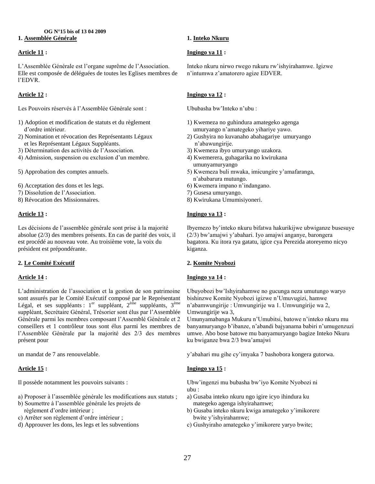#### **OG N°15 bis of 13 04 2009 1. Assemblée Générale**

## **Article 11 :**

L"Assemblée Générale est l"organe suprême de l"Association. Elle est composée de déléguées de toutes les Eglises membres de l"EDVR.

# **Article 12 :**

Les Pouvoirs réservés à l"Assemblée Générale sont :

- 1) Adoption et modification de statuts et du règlement d"ordre intérieur.
- 2) Nomination et révocation des Représentants Légaux et les Représentant Légaux Suppléants.
- 3) Détermination des activités de l"Association.
- 4) Admission, suspension ou exclusion d"un membre.
- 5) Approbation des comptes annuels.
- 6) Acceptation des dons et les legs.
- 7) Dissolution de l"Association.
- 8) Révocation des Missionnaires.

## **Article 13 :**

Les décisions de l"assemblée générale sont prise à la majorité absolue (2/3) des membres présents. En cas de parité des voix, il est procédé au nouveau vote. Au troisième vote, la voix du président est prépondérante.

## **2. Le Comité Exécutif**

## **Article 14 :**

L"administration de l"association et la gestion de son patrimoine sont assurés par le Comité Exécutif composé par le Représentant Légal, et ses suppléants :  $1<sup>er</sup>$  suppléant,  $2<sup>eme</sup>$  suppléants,  $3<sup>eme</sup>$ suppléant, Secrétaire Général, Trésorier sont élus par l"Assemblée Générale parmi les membres composant l"Assemblé Générale et 2 conseillers et 1 contrôleur tous sont élus parmi les membres de l"Assemblée Générale par la majorité des 2/3 des membres présent pour

un mandat de 7 ans renouvelable.

# **Article 15 :**

Il possède notamment les pouvoirs suivants :

- a) Proposer à l"assemblée générale les modifications aux statuts ;
- b) Soumettre à l"assemblée générale les projets de règlement d"ordre intérieur ;
- c) Arrêter son règlement d"ordre intérieur ;
- d) Approuver les dons, les legs et les subventions

### **1. Inteko Nkuru**

## **Ingingo ya 11 :**

Inteko nkuru nirwo rwego rukuru rw"ishyirahamwe. Igizwe n"intumwa z"amatorero agize EDVER.

## **Ingingo ya 12 :**

Ububasha bw"Inteko n"ubu :

- 1) Kwemeza no guhindura amategeko agenga umuryango n"amategeko yihariye yawo.
- 2) Gushyira no kuvanaho abahagariye umuryango n"abawungirije.
- 3) Kwemeza ibyo umuryango uzakora.
- 4) Kwemerera, guhagarika no kwirukana umunyamuryango
- 5) Kwemeza buli mwaka, imicungire y"amafaranga, n"ababarura mutungo.
- 6) Kwemera impano n"indangano.
- 7) Gusesa umuryango.
- 8) Kwirukana Umumisiyoneri.

## **Ingingo ya 13 :**

Ibyemezo by"inteko nkuru bifatwa hakurikijwe ubwiganze busesuye (2/3) bw"amajwi y"abahari. Iyo amajwi anganye, barongera bagatora. Ku itora rya gatatu, igice cya Perezida atoreyemo nicyo kiganza.

## **2. Komite Nyobozi**

## **Ingingo ya 14 :**

Ubuyobozi bw"Ishyirahamwe no gucunga neza umutungo waryo bishinzwe Komite Nyobozi igizwe n"Umuvugizi, hamwe n"abamwungirije : Umwungirije wa 1. Umwungirije wa 2, Umwungirije wa 3,

Umunyamabanga Mukuru n"Umubitsi, batowe n"inteko nkuru mu banyamuryango b"ibanze, n"abandi bajyanama babiri n"umugenzuzi umwe. Abo bose batowe mu banyamuryango bagize Inteko Nkuru ku bwiganze bwa 2/3 bwa"amajwi

y"abahari mu gihe cy"imyaka 7 bashobora kongera gutorwa.

# **Ingingo ya 15 :**

Ubw"ingenzi mu bubasha bw"iyo Komite Nyobozi ni ubu :

- a) Gusaba inteko nkuru ngo igire icyo ihindura ku mategeko agenga ishyirahamwe;
- b) Gusaba inteko nkuru kwiga amategeko y"imikorere bwite y"ishyirahamwe;
- c) Gushyiraho amategeko y"imikorere yaryo bwite;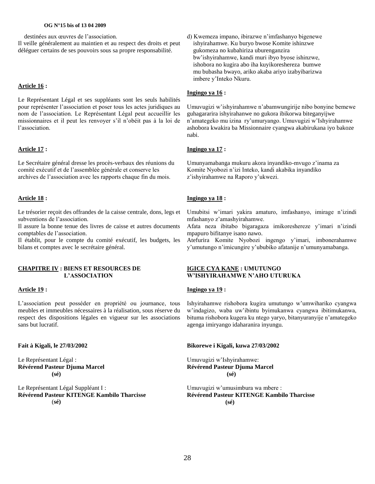#### **OG N°15 bis of 13 04 2009**

destinées aux œuvres de l"association.

Il veille généralement au maintien et au respect des droits et peut déléguer certains de ses pouvoirs sous sa propre responsabilité.

## **Article 16 :**

Le Représentant Légal et ses suppléants sont les seuls habilités pour représenter l"association et poser tous les actes juridiques au nom de l"association. Le Représentant Légal peut accueillir les missionnaires et il peut les renvoyer s"il n"obéit pas à la loi de l"association.

# **Article 17 :**

Le Secrétaire général dresse les procès-verbaux des réunions du comité exécutif et de l"assemblée générale et conserve les archives de l"association avec les rapports chaque fin du mois.

# **Article 18 :**

Le trésorier reçoit des offrandes de la caisse centrale, dons, legs et subventions de l"association.

Il assure la bonne tenue des livres de caisse et autres documents comptables de l"association.

Il établit, pour le compte du comité exécutif, les budgets, les bilans et comptes avec le secrétaire général.

#### **CHAPITRE IV : BIENS ET RESOURCES DE L"ASSOCIATION**

## **Article 19 :**

L"association peut posséder en propriété ou journance, tous meubles et immeubles nécessaires à la réalisation, sous réserve du respect des dispositions légales en vigueur sur les associations sans but lucratif.

**Fait à Kigali, le 27/03/2002**

Le Représentant Légal : **Révérend Pasteur Djuma Marcel (sé)**

Le Représentant Légal Suppléant I : **Révérend Pasteur KITENGE Kambilo Tharcisse** (**sé)**

d) Kwemeza impano, ibirazwe n"imfashanyo bigenewe ishyirahamwe. Ku buryo bwose Komite ishinzwe gukomeza no kubahiriza uburenganzira bw"ishyirahamwe, kandi muri ibyo byose ishinzwe, ishobora no kugira abo iha kuyikoreshereza bumwe mu bubasha bwayo, ariko akaba ariyo izabyibarizwa imbere y"Inteko Nkuru.

# **Ingingo ya 16 :**

Umuvugizi w"ishyirahamwe n"abamwungirije nibo bonyine bemewe guhagararira ishyirahanwe no gukora ibikorwa biteganyijwe n"amategeko mu izina ry"umuryango. Umuvugizi w"Ishyirahamwe ashobora kwakira ba Missionnaire cyangwa akabirukana iyo bakoze nabi.

## **Ingingo ya 17 :**

Umunyamabanga mukuru akora inyandiko-mvugo z"inama za Komite Nyobozi n"izi Inteko, kandi akabika inyandiko z"ishyirahamwe na Raporo y"ukwezi.

## **Ingingo ya 18 :**

Umubitsi w"imari yakira amaturo, imfashanyo, imirage n"izindi mfashanyo z"amashyirahamwe.

Afata neza ibitabo bigaragaza imikoreshereze y"imari n"izindi mpapuro bifitanye isano nawo.

Atefurira Komite Nyobozi ingengo y"imari, imbonerahamwe y"umutungo n"imicungire y"ububiko afatanije n"umunyamabanga.

#### **IGICE CYA KANE : UMUTUNGO W"ISHYIRAHAMWE N"AHO UTURUKA**

#### **Ingingo ya 19 :**

Ishyirahamwe rishobora kugira umutungo w"umwihariko cyangwa w"indagizo, waba uw"ibintu byimukanwa cyangwa ibitimukanwa, bituma rishobora kugera ku ntego yaryo, bitanyuranyije n"amategeko agenga imiryango idaharanira inyungu.

#### **Bikorewe i Kigali, kuwa 27/03/2002**

Umuvugizi w"Ishyirahamwe: **Révérend Pasteur Djuma Marcel (sé)**

Umuvugizi w"umusimbura wa mbere : **Révérend Pasteur KITENGE Kambilo Tharcisse (sé)**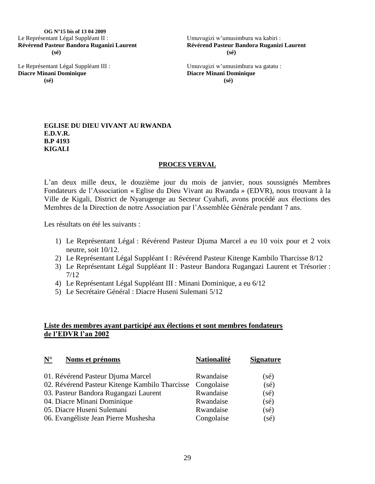**OG N°15 bis of 13 04 2009** Le Représentant Légal Suppléant II : **Révérend Pasteur Bandora Ruganizi Laurent (sé)**

Le Représentant Légal Suppléant III : **Diacre Minani Dominique (sé)**

Umuvugizi w"umusimbura wa kabiri : **Révérend Pasteur Bandora Ruganizi Laurent (sé)**

Umuvugizi w"umusimbura wa gatatu : **Diacre Minani Dominique (sé)**

## **EGLISE DU DIEU VIVANT AU RWANDA E.D.V.R. B.P 4193 KIGALI**

# **PROCES VERVAL**

L"an deux mille deux, le douzième jour du mois de janvier, nous soussignés Membres Fondateurs de l"Association « Eglise du Dieu Vivant au Rwanda » (EDVR), nous trouvant à la Ville de Kigali, District de Nyarugenge au Secteur Cyahafi, avons procédé aux élections des Membres de la Direction de notre Association par l"Assemblée Générale pendant 7 ans.

Les résultats on été les suivants :

- 1) Le Représentant Légal : Révérend Pasteur Djuma Marcel a eu 10 voix pour et 2 voix neutre, soit 10/12.
- 2) Le Représentant Légal Suppléant I : Révérend Pasteur Kitenge Kambilo Tharcisse 8/12
- 3) Le Représentant Légal Suppléant II : Pasteur Bandora Rugangazi Laurent et Trésorier : 7/12
- 4) Le Représentant Légal Suppléant III : Minani Dominique, a eu 6/12
- 5) Le Secrétaire Général : Diacre Huseni Sulemani 5/12

# **Liste des membres ayant participé aux élections et sont membres fondateurs de l"EDVR l"an 2002**

| $\underline{\mathbf{N}}^\circ$<br>Noms et prénoms | <b>Nationalité</b> | <b>Signature</b> |
|---------------------------------------------------|--------------------|------------------|
| 01. Révérend Pasteur Djuma Marcel                 | Rwandaise          | $(s\acute{e})$   |
| 02. Révérend Pasteur Kitenge Kambilo Tharcisse    | Congolaise         | $(s\acute{e})$   |
| 03. Pasteur Bandora Rugangazi Laurent             | Rwandaise          | $(s\acute{e})$   |
| 04. Diacre Minani Dominique                       | Rwandaise          | $(s\acute{e})$   |
| 05. Diacre Huseni Sulemani                        | Rwandaise          | $(s\acute{e})$   |
| 06. Evangéliste Jean Pierre Mushesha              | Congolaise         | $(s\acute{e})$   |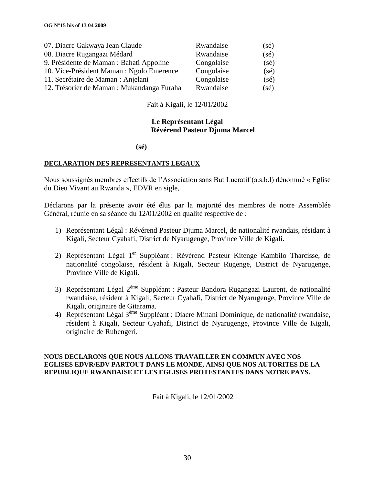| 07. Diacre Gakwaya Jean Claude             | Rwandaise  | $(s\acute{e})$ |
|--------------------------------------------|------------|----------------|
| 08. Diacre Rugangazi Médard                | Rwandaise  | $(s\acute{e})$ |
| 9. Présidente de Maman : Bahati Appoline   | Congolaise | $(s\acute{e})$ |
| 10. Vice-Président Maman : Ngolo Emerence  | Congolaise | $(s\acute{e})$ |
| 11. Secrétaire de Maman : Anjelani         | Congolaise | $(s\acute{e})$ |
| 12. Trésorier de Maman : Mukandanga Furaha | Rwandaise  | $(s\acute{e})$ |

Fait à Kigali, le 12/01/2002

# **Le Représentant Légal Révérend Pasteur Djuma Marcel**

 **(sé)**

# **DECLARATION DES REPRESENTANTS LEGAUX**

Nous soussignés membres effectifs de l"Association sans But Lucratif (a.s.b.l) dénommé « Eglise du Dieu Vivant au Rwanda », EDVR en sigle,

Déclarons par la présente avoir été élus par la majorité des membres de notre Assemblée Général, réunie en sa séance du 12/01/2002 en qualité respective de :

- 1) Représentant Légal : Révérend Pasteur Djuma Marcel, de nationalité rwandais, résidant à Kigali, Secteur Cyahafi, District de Nyarugenge, Province Ville de Kigali.
- 2) Représentant Légal 1<sup>er</sup> Suppléant : Révérend Pasteur Kitenge Kambilo Tharcisse, de nationalité congolaise, résident à Kigali, Secteur Rugenge, District de Nyarugenge, Province Ville de Kigali.
- 3) Représentant Légal 2ème Suppléant : Pasteur Bandora Rugangazi Laurent, de nationalité rwandaise, résident à Kigali, Secteur Cyahafi, District de Nyarugenge, Province Ville de Kigali, originaire de Gitarama.
- 4) Représentant Légal 3ème Suppléant : Diacre Minani Dominique, de nationalité rwandaise, résident à Kigali, Secteur Cyahafi, District de Nyarugenge, Province Ville de Kigali, originaire de Ruhengeri.

# **NOUS DECLARONS QUE NOUS ALLONS TRAVAILLER EN COMMUN AVEC NOS EGLISES EDVR/EDV PARTOUT DANS LE MONDE, AINSI QUE NOS AUTORITES DE LA REPUBLIQUE RWANDAISE ET LES EGLISES PROTESTANTES DANS NOTRE PAYS.**

Fait à Kigali, le 12/01/2002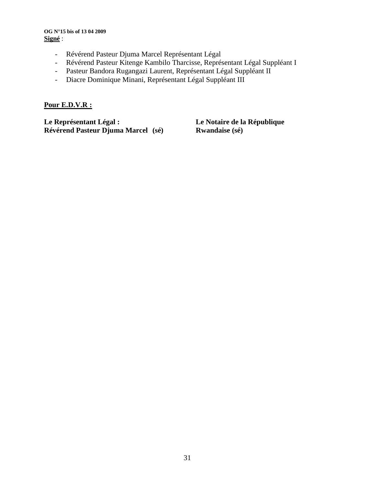## **OG N°15 bis of 13 04 2009 Signé** :

- Révérend Pasteur Djuma Marcel Représentant Légal
- Révérend Pasteur Kitenge Kambilo Tharcisse, Représentant Légal Suppléant I
- Pasteur Bandora Rugangazi Laurent, Représentant Légal Suppléant II
- Diacre Dominique Minani, Représentant Légal Suppléant III

# **Pour E.D.V.R :**

**Le Représentant Légal : Le Notaire de la République Révérend Pasteur Djuma Marcel** (sé)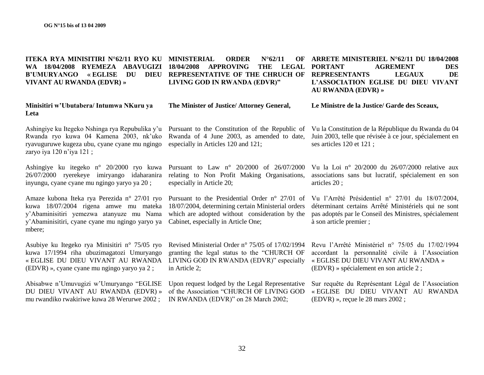**ITEKA RYA MINISITIRI N°62/11 RYO KU MINISTERIAL ORDER N°62/11 OF WA 18/04/2008 RYEMEZA ABAVUGIZI B"UMURYANGO « EGLISE DU DIEU VIVANT AU RWANDA (EDVR) » Minisitiri w"Ubutabera/ Intumwa NKuru ya Leta 18/04/2008 APPROVING THE LEGAL REPRESENTATIVE OF THE CHRUCH OF REPRESENTANTS LEGAUX DE LIVING GOD IN RWANDA (EDVR)" The Minister of Justice/ Attorney General, ARRETE MINISTERIEL N°62/11 DU 18/04/2008 PORTANT AGREMENT DES L"ASSOCIATION EGLISE DU DIEU VIVANT AU RWANDA (EDVR) » Le Ministre de la Justice/ Garde des Sceaux,**

Ashingiye ku Itegeko Nshinga rya Repubulika y"u Rwanda ryo kuwa 04 Kamena 2003, nk"uko ryavuguruwe kugeza ubu, cyane cyane mu ngingo zaryo iya 120 n'iya 121 ;

Ashingiye ku itegeko n° 20/2000 ryo kuwa 26/07/2000 ryerekeye imiryango idaharanira inyungu, cyane cyane mu ngingo yaryo ya 20 ;

Amaze kubona Iteka rya Perezida n° 27/01 ryo kuwa 18/07/2004 rigena amwe mu mateka y"Abaminisitiri yemezwa atanyuze mu Nama y"Abaminisitiri, cyane cyane mu ngingo yaryo ya mbere;

Asubiye ku Itegeko rya Minisitiri n° 75/05 ryo kuwa 17/1994 riha ubuzimagatozi Umuryango « EGLISE DU DIEU VIVANT AU RWANDA (EDVR) », cyane cyane mu ngingo yaryo ya 2 ;

Abisabwe n"Umuvugizi w"Umuryango "EGLISE DU DIEU VIVANT AU RWANDA (EDVR) » mu rwandiko rwakiriwe kuwa 28 Werurwe 2002 ;

Pursuant to the Constitution of the Republic of Rwanda of 4 June 2003, as amended to date, especially in Articles 120 and 121;

Pursuant to Law n° 20/2000 of 26/07/2000 relating to Non Profit Making Organisations, especially in Article 20;

18/07/2004, determining certain Ministerial orders which are adopted without consideration by the Cabinet, especially in Article One;

Revised Ministerial Order n° 75/05 of 17/02/1994 granting the legal status to the "CHURCH OF LIVING GOD IN RWANDA (EDVR)" especially in Article 2;

Upon request lodged by the Legal Representative of the Association "CHURCH OF LIVING GOD IN RWANDA (EDVR)" on 28 March 2002;

Vu la Constitution de la République du Rwanda du 04 Juin 2003, telle que révisée à ce jour, spécialement en ses articles 120 et 121 ;

Vu la Loi n° 20/2000 du 26/07/2000 relative aux associations sans but lucratif, spécialement en son articles 20 ;

Pursuant to the Presidential Order n° 27/01 of Vu l'Arrêté Présidentiel n° 27/01 du 18/07/2004, déterminant certains Arrêté Ministériels qui ne sont pas adoptés par le Conseil des Ministres, spécialement à son article premier ;

> Revu l"Arrêté Ministériel n° 75/05 du 17/02/1994 accordant la personnalité civile à l"Association « EGLISE DU DIEU VIVANT AU RWANDA » (EDVR) » spécialement en son article 2 ;

> Sur requête du Représentant Légal de l"Association « EGLISE DU DIEU VIVANT AU RWANDA (EDVR) », reçue le 28 mars 2002 ;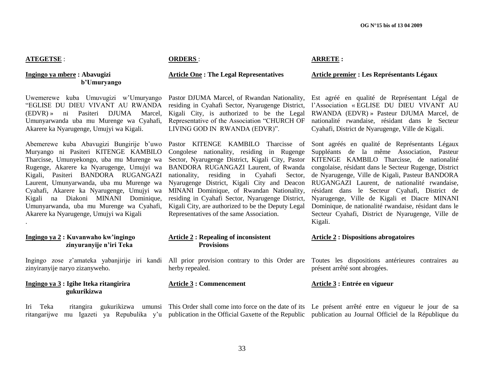# **ATEGETSE** :

.

## **Ingingo ya mbere : Abavugizi b"Umuryango**

Uwemerewe kuba Umuvugizi w"Umuryango "EGLISE DU DIEU VIVANT AU RWANDA (EDVR) » ni Pasiteri DJUMA Marcel, Umunyarwanda uba mu Murenge wa Cyahafi, Akarere ka Nyarugenge, Umujyi wa Kigali.

Abemerewe kuba Abavugizi Bungirije b"uwo Muryango ni Pasiteri KITENGE KAMBILO Tharcisse, Umunyekongo, uba mu Murenge wa Rugenge, Akarere ka Nyarugenge, Umujyi wa Kigali, Pasiteri BANDORA RUGANGAZI Laurent, Umunyarwanda, uba mu Murenge wa Cyahafi, Akarere ka Nyarugenge, Umujyi wa Kigali na Diakoni MINANI Dominique, Umunyarwanda, uba mu Murenge wa Cyahafi, Akarere ka Nyarugenge, Umujyi wa Kigali

# $Ingingo va<sub>2</sub>:$  **zinyuranyije n"iri Teka**

Ingingo zose zinyiranyije nar

# **Ingingo ya 3: gukurikizwa**

**ORDERS** :

## **Article One : The Legal Representatives**

Pastor DJUMA Marcel, of Rwandan Nationality, residing in Cyahafi Sector, Nyarugenge District, Kigali City, is authorized to be the Legal Representative of the Association "CHURCH OF LIVING GOD IN RWANDA (EDVR)".

Pastor KITENGE KAMBILO Tharcisse of Congolese nationality, residing in Rugenge Sector, Nyarugenge District, Kigali City, Pastor BANDORA RUGANGAZI Laurent, of Rwanda nationality, residing in Cyahafi Sector, Nyarugenge District, Kigali City and Deacon MINANI Dominique, of Rwandan Nationality, residing in Cyahafi Sector, Nyarugenge District, Kigali City, are authorized to be the Deputy Legal Representatives of the same Association.

#### **ARRETE :**

#### **Article premier : Les Représentants Légaux**

Est agréé en qualité de Représentant Légal de l"Association « EGLISE DU DIEU VIVANT AU RWANDA (EDVR) » Pasteur DJUMA Marcel, de nationalité rwandaise, résidant dans le Secteur Cyahafi, District de Nyarugenge, Ville de Kigali.

Sont agréés en qualité de Représentants Légaux Suppléants de la même Association, Pasteur KITENGE KAMBILO Tharcisse, de nationalité congolaise, résidant dans le Secteur Rugenge, District de Nyarugenge, Ville de Kigali, Pasteur BANDORA RUGANGAZI Laurent, de nationalité rwandaise, résidant dans le Secteur Cyahafi, District de Nyarugenge, Ville de Kigali et Diacre MINANI Dominique, de nationalité rwandaise, résidant dans le Secteur Cyahafi, District de Nyarugenge, Ville de Kigali.

| Kuvanwaho kw'ingingo<br>zinyuranyije n'iri Teka | <b>Article 2: Repealing of inconsistent</b><br><b>Provisions</b> | <b>Article 2 : Dispositions abrogatoires</b>                                                                                                                      |
|-------------------------------------------------|------------------------------------------------------------------|-------------------------------------------------------------------------------------------------------------------------------------------------------------------|
| ryo zizanyweho.                                 | herby repealed.                                                  | z'amateka yabanjirije iri kandi All prior provision contrary to this Order are Toutes les dispositions antérieures contraires au<br>présent arrêté sont abrogées. |
| Igihe Iteka ritangirira<br>gukurikizwa          | <b>Article 3 : Commencement</b>                                  | Article 3 : Entrée en vigueur                                                                                                                                     |

Iri Teka ritangira gukurikizwa umunsi This Order shall come into force on the date of its Le présent arrêté entre en vigueur le jour de sa ritangarijwe mu Igazeti ya Repubulika y'u publication in the Official Gaxette of the Republic publication au Journal Officiel de la République du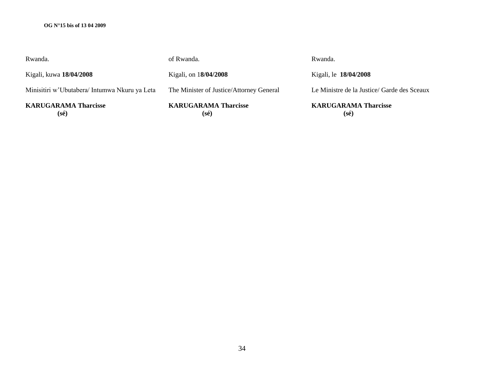## **OG N°15 bis of 13 04 2009**

| Rwanda.                                       | of Rwanda.                               | Rwanda.                                       |
|-----------------------------------------------|------------------------------------------|-----------------------------------------------|
| Kigali, kuwa 18/04/2008                       | Kigali, on 18/04/2008                    | Kigali, le 18/04/2008                         |
| Minisitiri w'Ubutabera/ Intumwa Nkuru ya Leta | The Minister of Justice/Attorney General | Le Ministre de la Justice/ Garde des Sceaux   |
| <b>KARUGARAMA Tharcisse</b><br>$(s\acute{e})$ | <b>KARUGARAMA Tharcisse</b><br>(sé)      | <b>KARUGARAMA Tharcisse</b><br>$(s\acute{e})$ |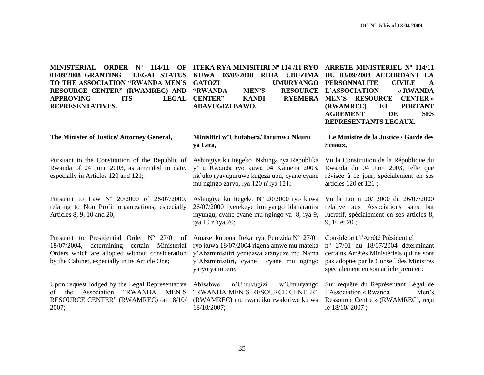**MINISTERIAL ORDER Nº 114/11 OF ITEKA RYA MINISITIRI Nº 114 /11 RYO ARRETE MINISTERIEL Nº 114/11 03/09/2008 GRANTING TO THE ASSOCIATION "RWANDA MEN"S RESOURCE CENTER" (RWAMREC) AND APPROVING ITS LEGAL REPRESENTATIVES.**

**KUWA 03/09/2008 RIHA UBUZIMA DU 03/09/2008 ACCORDANT LA GATOZI UMURYANGO PERSONNALITE CIVILE A "RWANDA MEN"S RESOURCE L"ASSOCIATION « RWANDA CENTER" KANDI RYEMERA MEN"S RESOURCE CENTER » ABAVUGIZI BAWO.**

**(RWAMREC) ET PORTANT AGREMENT DE SES REPRESENTANTS LEGAUX.**

## **Minisitiri w"Ubutabera/ Intumwa Nkuru ya Leta,**

nk"uko ryavuguruwe kugeza ubu, cyane cyane

Ashingiye ku Itegeko Nº 20/2000 ryo kuwa 26/07/2000 ryerekeye imiryango idaharanira inyungu, cyane cyane mu ngingo ya 8, iya 9,

Amaze kubona Iteka rya Perezida Nº 27/01 ryo kuwa 18/07/2004 rigena amwe mu mateka y"Abaminisitiri yemezwa atanyuze mu Nama

mu ngingo zaryo, iya 120 n"iya 121;

iya 10 n"iya 20;

18/10/2007;

Ashingiye ku Itegeko Nshinga rya Republika y" u Rwanda ryo kuwa 04 Kamena 2003, **Sceaux,** Vu la Constitution de la République du Rwanda du 04 Juin 2003, telle que

révisée à ce jour, spécialement en ses articles 120 et 121 ;

**Le Ministre de la Justice / Garde des** 

Vu la Loi n 20/ 2000 du 26/07/2000 relative aux Associations sans but lucratif, spécialement en ses articles 8, 9, 10 et 20 ;

Considérant l"Arrêté Présidentiel n° 27/01 du 18/07/2004 déterminant certains Arrêtés Ministériels qui ne sont pas adoptés par le Conseil des Ministres

y"Abaminisitiri, cyane cyane mu ngingo yaryo ya mbere; Abisabwe n"Umuvugizi w"Umuryango "RWANDA MEN"S RESOURCE CENTER" spécialement en son article premier ; Sur requête du Représentant Légal de

(RWAMREC) mu rwandiko rwakiriwe ku wa Ressource Centre » (RWAMREC), reçu l'Association « Rwanda Men's le 18/10/ 2007 ;

**The Minister of Justice/ Attorney General,**

Pursuant to the Constitution of the Republic of Rwanda of 04 June 2003, as amended to date, especially in Articles 120 and 121;

Pursuant to Law Nº 20/2000 of 26/07/2000, relating to Non Profit organizations, especially Articles 8, 9, 10 and 20;

Pursuant to Presidential Order N° 27/01 of 18/07/2004, determining certain Ministerial Orders which are adopted without consideration by the Cabinet, especially in its Article One;

Upon request lodged by the Legal Representative of the Association "RWANDA MEN"S RESOURCE CENTER" (RWAMREC) on 18/10/ 2007;

35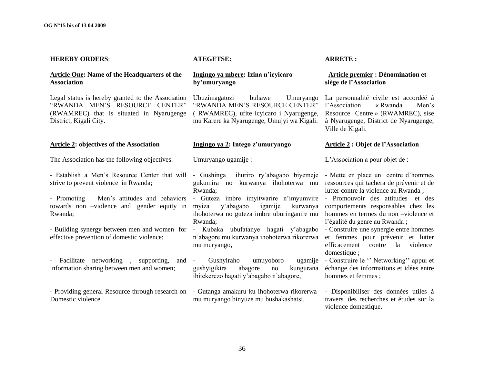#### **HEREBY ORDERS**:

## **Article One: Name of the Headquarters of the Association**

Legal status is hereby granted to the Association "RWANDA MEN"S RESOURCE CENTER" (RWAMREC) that is situated in Nyarugenge District, Kigali City.

# **Article 2: objectives of the Association**

The Association has the following objectives.

- Establish a Men's Resource Center that will - Gushinga ihuriro ry'abagabo biyemeje - Mette en place un centre d'hommes strive to prevent violence in Rwanda;

- Promoting Men"s attitudes and behaviors towards non –violence and gender equity in Rwanda;

- Building synergy between men and women for - Kubaka ubufatanye hagati y'abagabo - Construire une synergie entre hommes effective prevention of domestic violence;

- Facilitate networking, supporting, and information sharing between men and women;

Domestic violence.

#### **ATEGETSE:**

## **Ingingo ya mbere: Izina n"icyicaro by"umuryango**

Ubuzimagatozi buhawe Umuryango "RWANDA MEN"S RESOURCE CENTER" ( RWAMREC), ufite icyicaro i Nyarugenge, mu Karere ka Nyarugenge, Umujyi wa Kigali.

## **Ingingo ya 2: Intego z"umuryango**

Umuryango ugamije :

gukumira no kurwanya ihohoterwa mu ressources qui tachera de prévenir et de Rwanda;

- Guteza imbre imyitwarire n"imyumvire - Promouvoir des attitudes et des myiza y'abagabo igamije ihohoterwa no guteza imbre uburinganire mu hommes en termes du non –violence et Rwanda;

n"abagore mu kurwanya ihohoterwa rikorerwa mu muryango,

Gushyiraho umuyoboro gushyigikira abagore no kungurana ibitekerezo hagati y"abagabo n"abagore,

- Providing general Resource through research on - Gutanga amakuru ku ihohoterwa rikorerwa mu muryango binyuze mu bushakashatsi.

#### **ARRETE :**

## **Article premier : Dénomination et siège de l"Association**

La personnalité civile est accordéé à l"Association « Rwanda Men"s Resource Centre » (RWAMREC), sise à Nyarugenge, District de Nyarugenge, Ville de Kigali.

#### **Article 2 : Objet de l"Association**

L"Association a pour objet de :

lutter contre la violence au Rwanda ;

kurwanya comportements responsables chez les l"égalité du genre au Rwanda ;

> et femmes pour prévenir et lutter efficacement contre la violence domestique ;

ugamije - Construire le "Networking" appui et échange des informations et idées entre hommes et femmes ;

> - Disponibiliser des données utiles à travers des recherches et études sur la violence domestique.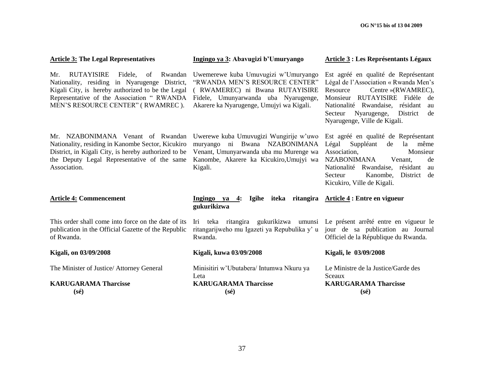| <b>Article 3: The Legal Representatives</b>                                                                                                                                                                                                   | Ingingo ya 3: Abavugizi b'Umuryango                                                                                                                                                           | <b>Article 3 : Les Représentants Légaux</b>                                                                                                                                                                                                                              |
|-----------------------------------------------------------------------------------------------------------------------------------------------------------------------------------------------------------------------------------------------|-----------------------------------------------------------------------------------------------------------------------------------------------------------------------------------------------|--------------------------------------------------------------------------------------------------------------------------------------------------------------------------------------------------------------------------------------------------------------------------|
| <b>RUTAYISIRE</b><br>Fidele,<br>of<br>Mr.<br>Rwandan<br>Nationality, residing in Nyarugenge District,<br>Kigali City, is hereby authorized to be the Legal<br>Representative of the Association " RWANDA<br>MEN'S RESOURCE CENTER" (RWAMREC). | Uwemerewe kuba Umuvugizi w'Umuryango<br>"RWANDA MEN'S RESOURCE CENTER"<br>( RWAMEREC) ni Bwana RUTAYISIRE<br>Fidele, Umunyarwanda uba Nyarugenge,<br>Akarere ka Nyarugenge, Umujyi wa Kigali. | Est agréé en qualité de Représentant<br>Légal de l'Association « Rwanda Men's<br>Centre »(RWAMREC),<br>Resource<br>Monsieur RUTAYISIRE Fidèle<br>de<br>Nationalité Rwandaise, résidant<br>au<br>de<br>Secteur<br>Nyarugenge,<br>District<br>Nyarugenge, Ville de Kigali. |
| Mr. NZABONIMANA Venant of Rwandan<br>Nationality, residing in Kanombe Sector, Kicukiro<br>District, in Kigali City, is hereby authorized to be<br>the Deputy Legal Representative of the same<br>Association.                                 | Uwerewe kuba Umuvugizi Wungirije w'uwo<br>muryango ni Bwana NZABONIMANA<br>Venant, Umunyarwanda uba mu Murenge wa<br>Kanombe, Akarere ka Kicukiro, Umujyi wa<br>Kigali.                       | Est agréé en qualité de Représentant<br>Légal<br>Suppléant<br>de<br>la<br>même<br>Association,<br>Monsieur<br><b>NZABONIMANA</b><br>Venant,<br>de<br>Nationalité Rwandaise, résidant<br>au<br>Kanombe,<br>District<br>Secteur<br>de<br>Kicukiro, Ville de Kigali.        |
| <b>Article 4: Commencement</b>                                                                                                                                                                                                                | Ingingo ya<br>4:<br>gukurikizwa                                                                                                                                                               | Igihe iteka ritangira Article 4 : Entre en vigueur                                                                                                                                                                                                                       |
| This order shall come into force on the date of its<br>publication in the Official Gazette of the Republic<br>of Rwanda.                                                                                                                      | Iri teka ritangira gukurikizwa umunsi Le présent arrêté entre en vigueur le<br>ritangarijweho mu Igazeti ya Repubulika y' u jour de sa publication au Journal<br>Rwanda.                      | Officiel de la République du Rwanda.                                                                                                                                                                                                                                     |
| Kigali, on 03/09/2008                                                                                                                                                                                                                         | Kigali, kuwa 03/09/2008                                                                                                                                                                       | Kigali, le 03/09/2008                                                                                                                                                                                                                                                    |
| The Minister of Justice/ Attorney General                                                                                                                                                                                                     | Minisitiri w'Ubutabera/ Intumwa Nkuru ya<br>Leta                                                                                                                                              | Le Ministre de la Justice/Garde des<br>Sceaux                                                                                                                                                                                                                            |
| <b>KARUGARAMA Tharcisse</b><br>$(s\acute{e})$                                                                                                                                                                                                 | <b>KARUGARAMA Tharcisse</b><br>$(s\acute{e})$                                                                                                                                                 | <b>KARUGARAMA Tharcisse</b><br>$(s\acute{e})$                                                                                                                                                                                                                            |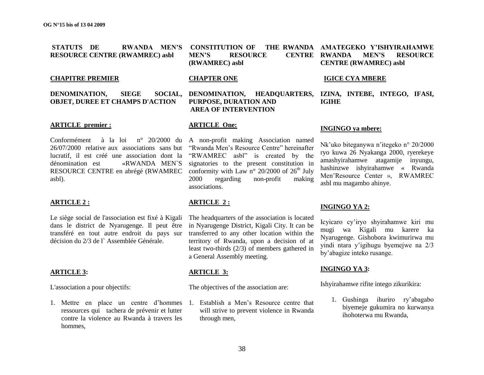**STATUTS DE RWANDA MEN"S CONSTITUTION OF THE RWANDA RESOURCE CENTRE (RWAMREC) asbl MEN"S RESOURCE CENTRE (RWAMREC) asbl** THE RWANDA AMATEGEKO Y'ISHYIRAHAMWE **CENTRE (RWAMREC) asbl**

#### **CHAPITRE PREMIER**

**DENOMINATION, SIEGE OBJET, DUREE ET CHAMPS D'ACTION**

### **CHAPTER ONE**

### **PURPOSE, DURATION AND AREA OF INTERVENTION**

#### **ARTICLE premier :**

Conformément à la loi n° 20/2000 du A non-profit making Association named 26/07/2000 relative aux associations sans but "Rwanda Men"s Resource Centre" hereinafter lucratif, il est créé une association dont la dénomination est «RWANDA MEN`S RESOURCE CENTRE en abrégé (RWAMREC conformity with Law n° 20/2000 of  $26<sup>th</sup>$  July asbl).

#### **ARTICLE 2 :**

Le siège social de l'association est fixé à Kigali dans le district de Nyarugenge. Il peut être transféré en tout autre endroit du pays sur décision du 2/3 de l` Assemblée Générale.

#### **ARTICLE 3:**

L'association a pour objectifs:

1. Mettre en place un centre d"hommes ressources qui tachera de prévenir et lutter contre la violence au Rwanda à travers les hommes,

#### **ARTICLE One:**

"RWAMREC asbl" is created by the signatories to the present constitution in 2000 regarding non-profit making associations.

#### **ARTICLE 2 :**

The headquarters of the association is located in Nyarugenge District, Kigali City. It can be transferred to any other location within the territory of Rwanda, upon a decision of at least two-thirds (2/3) of members gathered in a General Assembly meeting.

#### **ARTICLE 3:**

The objectives of the association are:

1. Establish a Men"s Resource centre that will strive to prevent violence in Rwanda through men,

# **MEN'S RESOURCE**

#### **IGICE CYA MBERE**

**DENOMINATION, HEADQUARTERS, IZINA, INTEBE, INTEGO, IFASI, IGIHE**

#### **INGINGO ya mbere:**

Nk"uko biteganywa n"itegeko n° 20/2000 ryo kuwa 26 Nyakanga 2000, ryerekeye amashyirahamwe atagamije inyungu, hashinzwe ishyirahamwe « Rwanda Men"Resource Center », RWAMREC asbl mu magambo ahinye.

#### **INGINGO YA 2:**

Icyicaro cy"iryo shyirahamwe kiri mu mugi wa Kigali mu karere ka Nyarugenge. Gishobora kwimurirwa mu yindi ntara y"igihugu byemejwe na 2/3 by"abagize inteko rusange.

#### **INGINGO YA 3:**

Ishyirahamwe rifite intego zikurikira:

1. Gushinga ihuriro ry"abagabo biyemeje gukumira no kurwanya ihohoterwa mu Rwanda,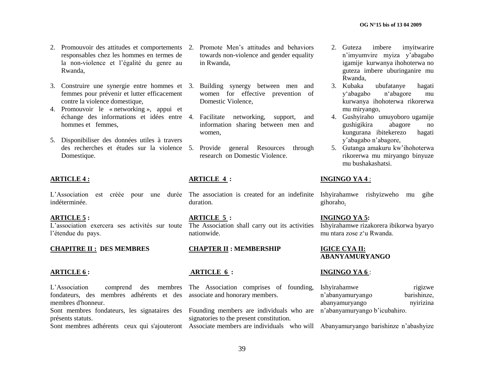- 2. Promouvoir des attitudes et comportements 2. Promote Men"s attitudes and behaviors responsables chez les hommes en termes de la non-violence et l"égalité du genre au Rwanda,
- 3. Construire une synergie entre hommes et 3. Building synergy between men and femmes pour prévenir et lutter efficacement contre la violence domestique,
- 4. Promouvoir le « networking », appui et échange des informations et idées entre 4. Facilitate networking, support, and hommes et femmes,
- 5. Disponibiliser des données utiles à travers des recherches et études sur la violence 5. Provide [general Resources through](http://www.stopvaw.org/index.asp?Type=B_BASIC&SEC=%7bF4B7D2CE-CCE8-41F1-93CE-4532B784641F%7d)  Domestique.

#### **ARTICLE 4 :**

L'Association est créée pour une durée The association is created for an indefinite Ishyirahamwe rishyizweho mu gihe indéterminée.

#### **ARTICLE 5 :**

L"association exercera ses activités sur toute l'étendue du pays.

#### **CHAPITRE II : DES MEMBRES**

#### **ARTICLE 6 :**

towards non-violence and gender equality in Rwanda,

- women for effective prevention of Domestic Violence,
- information sharing between men and women,
- research on [Domestic Violence.](http://www.stopvaw.org/index.asp?Type=B_BASIC&SEC=%7bF4B7D2CE-CCE8-41F1-93CE-4532B784641F%7d)

### **ARTICLE 4 :**

- duration.
- **ARTICLE 5 :** The Association shall carry out its activities nationwide.

#### **CHAPTER II : MEMBERSHIP**

#### **ARTICLE 6 :**

L"Association comprend des membres The Association comprises of founding, fondateurs, des membres adhérents et des associate and honorary members. membres d'honneur. Sont membres fondateurs, les signataires des Founding members are individuals who are n'abanyamuryango b'icubahiro. présents statuts. Sont membres adhérents ceux qui s'ajouteront Associate members are individuals who will Abanyamuryango barishinze n'abashyize signatories to the present constitution. Ishyirahamwe rigizwe<br>
n'abanyamuryango barishinze. n'abanyamuryango abanyamuryango nyirizina

- 2. Guteza imbere imyitwarire n"imyumvire myiza y"abagabo igamije kurwanya ihohoterwa no guteza imbere uburinganire mu Rwanda,
- 3. Kubaka ubufatanye hagati y"abagabo n"abagore mu kurwanya ihohoterwa rikorerwa mu miryango,
- 4. Gushyiraho umuyoboro ugamije gushigikira abagore no kungurana ibitekerezo hagati y"abagabo n"abagore,
- 5. Gutanga amakuru kw"ihohoterwa rikorerwa mu miryango binyuze mu bushakashatsi.

#### **INGINGO YA 4** :

gihoraho.

**INGINGO YA 5:** Ishyirahamwe rizakorera ibikorwa byaryo mu ntara zose z"u Rwanda.

**IGICE CYA II: ABANYAMURYANGO**

#### **INGINGO YA 6** :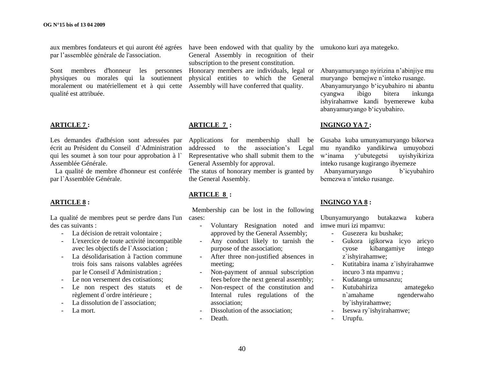aux membres fondateurs et qui auront été agrées have been endowed with that quality by the umukono kuri aya mategeko. par l"assemblée générale de l'association.

Sont membres d'honneur les personnes physiques ou morales qui la soutiennent moralement ou matériellement et à qui cette Assembly will have conferred that quality. qualité est attribuée.

#### **ARTICLE 7 :**

Les demandes d'adhésion sont adressées par écrit au Président du Conseil d`Administration qui les soumet à son tour pour approbation à l` Assemblée Générale.

 La qualité de membre d'honneur est conférée The status of honorary member is granted by par l`Assemblée Générale.

#### **ARTICLE 8 :**

La qualité de membres peut se perdre dans l'un cases: des cas suivants :

- La décision de retrait volontaire ;
- L'exercice de toute activité incompatible avec les objectifs de l`Association ;
- La désolidarisation à l'action commune trois fois sans raisons valables agréées par le Conseil d`Administration ;
- Le non versement des cotisations;
- Le non respect des statuts et de règlement d`ordre intérieure ;
- La dissolution de l'association:
- La mort.

General Assembly in recognition of their subscription to the present constitution.

Honorary members are individuals, legal or physical entities to which the General

#### **ARTICLE 7 :**

Applications for membership shall be Gusaba kuba umunyamuryango bikorwa addressed to the association"s Legal Representative who shall submit them to the General Assembly for approval.

the General Assembly.

#### **ARTICLE 8 :**

Membership can be lost in the following

- Voluntary Resignation noted and approved by the General Assembly;
- Any conduct likely to tarnish the purpose of the association;
- After three non-justified absences in meeting;
- Non-payment of annual subscription fees before the next general assembly;
- Non-respect of the constitution and Internal rules regulations of the association;
- Dissolution of the association:
- Death.

Abanyamuryango nyirizina n"abinjiye mu muryango bemejwe n"inteko rusange. Abanyamuryango b'icyubahiro ni abantu<br>cyangwa ibigo bitera inkunga cyangwa ibigo bitera inkunga ishyirahamwe kandi byemerewe kuba abanyamuryango b"icyubahiro.

#### **INGINGO YA 7 :**

mu nyandiko yandikirwa umuyobozi w"inama y"ubutegetsi uyishyikiriza inteko rusange kugirango ibyemeze

 Abanyamuryango b"icyubahiro bemezwa n"inteko rusange.

#### **INGINGO YA 8 :**

Ubunyamuryango butakazwa kubera imwe muri izi mpamvu:

- Gusezera ku bushake;
- Gukora igikorwa icyo aricyo cyose kibangamiye intego z`ishyirahamwe;
- Kutitabira inama z`ishyirahamwe incuro 3 nta mpamvu ;
- Kudatanga umusanzu;
- Kutubahiriza amategeko n`amahame ngenderwaho by`ishyirahamwe;
- Iseswa ry`ishyirahamwe;
- Urupfu.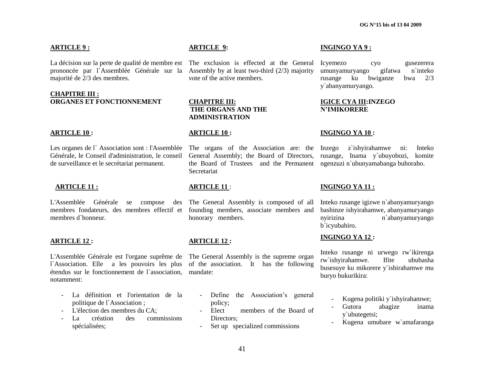#### **ARTICLE 9 :**

La décision sur la perte de qualité de membre est The exclusion is effected at the General prononcée par l`Assemblée Générale sur la Assembly by at least two-third (2/3) majority majorité de 2/3 des membres.

#### **CHAPITRE III : ORGANES ET FONCTIONNEMENT**

#### **ARTICLE 10 :**

Les organes de l` Association sont : l'Assemblée The organs of the Association are: the Générale, le Conseil d'administration, le conseil de surveillance et le secrétariat permanent.

#### **ARTICLE 11 :**

L'Assemblée Générale se compose des The General Assembly is composed of all membres fondateurs, des membres effectif et founding members, associate members and membres d`honneur.

#### **ARTICLE 12 :**

L'Assemblée Générale est l'organe suprême de The General Assembly is the supreme organ l`Association. Elle a les pouvoirs les plus of the association. It has the following étendus sur le fonctionnement de l`association, mandate: notamment:

- La définition et l'orientation de la politique de l`Association ;
- L'élection des membres du CA;
- La création des commissions spécialisées;

#### **ARTICLE 9:**

vote of the active members.

#### **CHAPITRE III: THE ORGANS AND THE ADMINISTRATION**

#### **ARTICLE 10 :**

General Assembly; the Board of Directors, the Board of Trustees and the Permanent ngenzuzi n`ubunyamabanga buhoraho. **Secretariat** 

#### **ARTICLE 11** :

honorary members.

#### **ARTICLE 12 :**

- Define the Association's general policy;
- Elect members of the Board of Directors:
- Set up specialized commissions

#### **INGINGO YA 9 :**

Icyemezo cyo gusezerera umunyamuryango gifatwa n`inteko<br>rusange ku bwiganze bwa 2/3 rusange ku bwiganze bwa 2/3 y`abanyamuryango.

#### **IGICE CYA III:INZEGO N"IMIKORERE**

#### **INGINGO YA 10 :**

z`ishyirahamwe ni: Inteko rusange, Inama y`ubuyobozi, komite

#### **INGINGO YA 11 :**

Inteko rusange igizwe n`abanyamuryango bashinze ishyirahamwe, abanyamuryango nyirizina n`abanyamuryango b`icyubahiro.

#### **INGINGO YA 12 :**

Inteko rusange ni urwego rw`ikirenga rw`ishyirahamwe. Ifite ububasha busesuye ku mikorere y`ishirahamwe mu buryo bukurikira:

- Kugena politiki y`ishyirahamwe;
- Gutora abagize inama y`ubutegetsi;
- Kugena umubare w`amafaranga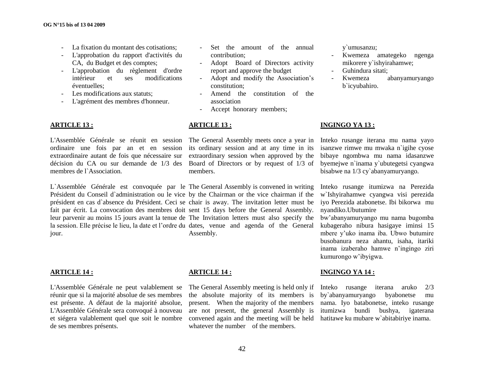- La fixation du montant des cotisations;
- L'approbation du rapport d'activités du CA, du Budget et des comptes;
- L'approbation du règlement d'ordre intérieur et ses modifications éventuelles;
- Les modifications aux statuts;
- L'agrément des membres d'honneur.

#### **ARTICLE 13 :**

L'Assemblée Générale se réunit en session The General Assembly meets once a year in ordinaire une fois par an et en session its ordinary session and at any time in its extraordinaire autant de fois que nécessaire sur décision du CA ou sur demande de 1/3 des Board of Directors or by request of 1/3 of membres de l`Association.

L`Assemblée Générale est convoquée par le The General Assembly is convened in writing Président du Conseil d`administration ou le vice by the Chairman or the vice chairman if the président en cas d`absence du Président. Ceci se chair is away. The invitation letter must be fait par écrit. La convocation des membres doit sent 15 days before the General Assembly. leur parvenir au moins 15 jours avant la tenue de The Invitation letters must also specify the la session. Elle précise le lieu, la date et l'ordre du dates, venue and agenda of the General jour. Assembly.

#### **ARTICLE 14 :**

L'Assemblée Générale ne peut valablement se réunir que si la majorité absolue de ses membres est présente. A défaut de la majorité absolue, L'Assemblée Générale sera convoqué à nouveau et siégera valablement quel que soit le nombre de ses membres présents.

- Set the amount of the annual contribution;
- Adopt Board of Directors activity report and approve the budget
- Adopt and modify the Association"s constitution;
- Amend the constitution of the association
- Accept honorary members;

#### **ARTICLE 13 :**

extraordinary session when approved by the members.

y`umusanzu;

- Kwemeza amategeko ngenga mikorere y`ishyirahamwe;
- Guhindura sitati;
- Kwemeza abanyamuryango b`icyubahiro.

#### **INGINGO YA 13 :**

Inteko rusange iterana mu nama yayo isanzwe rimwe mu mwaka n`igihe cyose bibaye ngombwa mu nama idasanzwe byemejwe n`inama y`ubutegetsi cyangwa bisabwe na 1/3 cy`abanyamuryango.

Inteko rusange itumizwa na Perezida w`Ishyirahamwe cyangwa visi perezida iyo Perezida atabonetse. Ibi bikorwa mu nyandiko.Ubutumire

bw"abanyamuryango mu nama bugomba kubageraho nibura hasigaye iminsi 15 mbere y"uko inama iba. Ubwo butumire busobanura neza ahantu, isaha, itariki inama izaberaho hamwe n"ingingo ziri kumurongo w"ibyigwa.

#### **INGINGO YA 14 :**

Inteko rusange iterana aruko 2/3 by`abanyamuryango byabonetse mu nama. Iyo batabonetse, inteko rusange itumizwa bundi bushya, igaterana hatitawe ku mubare w`abitabiriye inama.

#### **ARTICLE 14 :**

The General Assembly meeting is held only if the absolute majority of its members is present. When the majority of the members are not present, the general Assembly is convened again and the meeting will be held whatever the number of the members.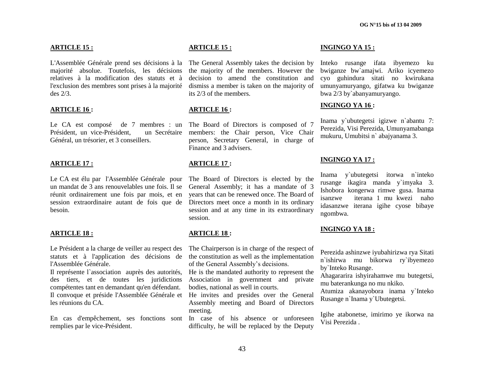#### **ARTICLE 15 :**

L'Assemblée Générale prend ses décisions à la The General Assembly takes the decision by majorité absolue. Toutefois, les décisions the majority of the members. However the relatives à la modification des statuts et à l'exclusion des membres sont prises à la majorité dismiss a member is taken on the majority of des 2/3.

#### **ARTICLE 16 :**

Le CA est composé de 7 membres : un The Board of Directors is composed of 7 Président, un vice-Président. Général, un trésorier, et 3 conseillers.

#### **ARTICLE 17 :**

Le CA est élu par l'Assemblée Générale pour un mandat de 3 ans renouvelables une fois. Il se réunit ordinairement une fois par mois, et en session extraordinaire autant de fois que de besoin.

#### **ARTICLE 18 :**

Le Président a la charge de veiller au respect des statuts et à l'application des décisions de l'Assemblée Générale.

Il représente l`association auprès des autorités, des tiers, et de toutes les juridictions compétentes tant en demandant qu'en défendant. Il convoque et préside l'Assemblée Générale et He invites and presides over the General les réunions du CA.

En cas d'empêchement, ses fonctions sont In case of his absence or unforeseen remplies par le vice-Président.

#### **ARTICLE 15 :**

decision to amend the constitution and its 2/3 of the members.

#### **ARTICLE 16 :**

un Secrétaire members: the Chair person, Vice Chair person, Secretary General, in charge of Finance and 3 advisers.

#### **ARTICLE 17 :**

The Board of Directors is elected by the General Assembly; it has a mandate of 3 years that can be renewed once. The Board of Directors meet once a month in its ordinary session and at any time in its extraordinary session.

#### **ARTICLE 18 :**

The Chairperson is in charge of the respect of the constitution as well as the implementation of the General Assembly"s decisions.

He is the mandated authority to represent the Association in government and private bodies, national as well in courts.

Assembly meeting and Board of Directors meeting.

difficulty, he will be replaced by the Deputy

#### **INGINGO YA 15 :**

Inteko rusange ifata ibyemezo ku bwiganze bw`amajwi. Ariko icyemezo cyo guhindura sitati no kwirukana umunyamuryango, gifatwa ku bwiganze bwa 2/3 by`abanyamuryango.

#### **INGINGO YA 16 :**

Inama y`ubutegetsi igizwe n`abantu 7: Perezida, Visi Perezida, Umunyamabanga mukuru, Umubitsi n` abajyanama 3.

#### **INGINGO YA 17 :**

Inama y`ubutegetsi itorwa n`inteko rusange ikagira manda y`imyaka 3. Ishobora kongerwa rimwe gusa. Inama isanzwe iterana 1 mu kwezi naho idasanzwe iterana igihe cyose bibaye ngombwa.

#### **INGINGO YA 18 :**

Perezida ashinzwe iyubahirizwa rya Sitati n`ishirwa mu bikorwa ry`ibyemezo by`Inteko Rusange.

Ahagararira ishyirahamwe mu butegetsi, mu baterankunga no mu nkiko.

Atumiza akanayobora inama y`Inteko Rusange n`Inama y`Ubutegetsi.

Igihe atabonetse, imirimo ye ikorwa na Visi Perezida .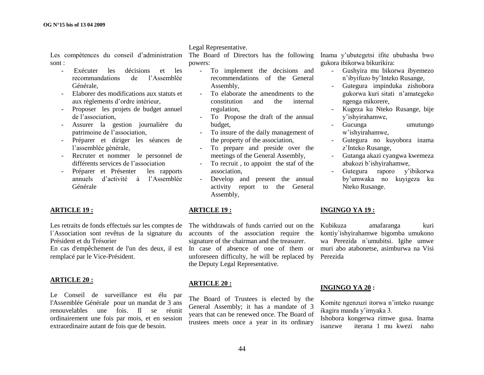Legal Representative.

Les compétences du conseil d'administration The Board of Directors has the following Inama y'ubutegetsi ifite ububasha bwo sont :

- Exécuter les décisions et les recommandations de l"Assemblée Générale,
- Elaborer des modifications aux statuts et aux règlements d"ordre intérieur,
- Proposer les projets de budget annuel de l"association,
- Assurer la gestion journalière du patrimoine de l"association,
- Préparer et diriger les séances de l"assemblée générale,
- Recruter et nommer le personnel de différents services de l'association
- Préparer et Présenter les rapports annuels d"activité à l"Assemblée Générale

#### **ARTICLE 19 :**

Les retraits de fonds effectués sur les comptes de l`Association sont revêtus de la signature du Président et du Trésorier

En cas d'empêchement de l'un des deux, il est In case of absence of one of them or muri abo atabonetse, asimburwa na Visi remplacé par le Vice-Président.

#### **ARTICLE 20 :**

Le Conseil de surveillance est élu par l'Assemblée Générale pour un mandat de 3 ans renouvelables une fois. Il se réunit ordinairement une fois par mois, et en session extraordinaire autant de fois que de besoin.

powers:

- To implement the decisions and recommendations of the General Assembly,
- To elaborate the amendments to the constitution and the internal regulation,
- To Propose the draft of the annual budget,
- To insure of the daily management of the property of the association,
- To prepare and preside over the meetings of the General Assembly,
- To recruit , to appoint the staf of the association,
- Develop and present the annual activity report to the General Assembly,

#### **ARTICLE 19 :**

The withdrawals of funds carried out on the Kubikuza accounts of the association require the signature of the chairman and the treasurer. unforeseen difficulty, he will be replaced by the Deputy Legal Representative.

#### **ARTICLE 20 :**

The Board of Trustees is elected by the General Assembly; it has a mandate of 3 years that can be renewed once. The Board of trustees meets once a year in its ordinary

gukora ibikorwa bikurikira:

- Gushyira mu bikorwa ibyemezo n"ibyifuzo by"Inteko Rusange,
- Gutegura impinduka zishobora gukorwa kuri sitati n"amategeko ngenga mikorere,
- Kugeza ku Nteko Rusange, bije y"ishyirahamwe,
- Gucunga umutungo w"ishyirahamwe,
- Gutegura no kuyobora inama z"Inteko Rusange,
- Gutanga akazi cyangwa kwemeza abakozi b"ishyirahamwe,
- Gutegura raporo y"ibikorwa by"umwaka no kuyigeza ku Nteko Rusange.

#### **INGINGO YA 19 :**

amafaranga kuri kontiy`ishyirahamwe bigomba umukono wa Perezida n`umubitsi. Igihe umwe Perezida

#### **INGINGO YA 20 :**

Komite ngenzuzi itorwa n"inteko rusange ikagira manda y"imyaka 3.

Ishobora kongerwa rimwe gusa. Inama isanzwe iterana 1 mu kwezi naho

44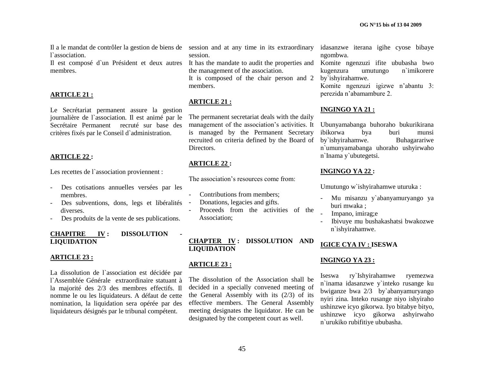Il a le mandat de contrôler la gestion de biens de session and at any time in its extraordinary l`association.

Il est composé d`un Président et deux autres membres.

#### **ARTICLE 21 :**

Le Secrétariat permanent assure la gestion journalière de l`association. Il est animé par le Secrétaire Permanent recruté sur base des critères fixés par le Conseil d`administration.

#### **ARTICLE 22 :**

Les recettes de l'association proviennent :

- Des cotisations annuelles versées par les membres.
- Des subventions, dons, legs et libéralités diverses.
- Des produits de la vente de ses publications.

#### **CHAPITRE IV: DISSOLUTION LIQUIDATION**

#### **ARTICLE 23 :**

La dissolution de l`association est décidée par l`Assemblée Générale extraordinaire statuant à la majorité des 2/3 des membres effectifs. Il nomme le ou les liquidateurs. A défaut de cette nomination, la liquidation sera opérée par des liquidateurs désignés par le tribunal compétent.

session.

It has the mandate to audit the properties and the management of the association.

It is composed of the chair person and 2 members.

#### **ARTICLE 21 :**

The permanent secretariat deals with the daily management of the association's activities. It is managed by the Permanent Secretary recruited on criteria defined by the Board of **Directors** 

#### **ARTICLE 22 :**

The association's resources come from:

- Contributions from members:
- Donations, legacies and gifts.
- Proceeds from the activities of the Association;

**CHAPTER IV : DISSOLUTION AND LIQUIDATION**

#### **ARTICLE 23 :**

The dissolution of the Association shall be decided in a specially convened meeting of the General Assembly with its (2/3) of its effective members. The General Assembly meeting designates the liquidator. He can be designated by the competent court as well.

idasanzwe iterana igihe cyose bibaye ngombwa.

Komite ngenzuzi ifite ububasha bwo kugenzura umutungo n`imikorere by`ishyirahamwe.

Komite ngenzuzi igizwe n"abantu 3: perezida n"abamambure 2.

#### **INGINGO YA 21 :**

Ubunyamabanga buhoraho bukurikirana ibikorwa bya buri munsi by`ishyirahamwe. Buhagarariwe n`umunyamabanga uhoraho ushyirwaho n`Inama y`ubutegetsi.

#### **INGINGO YA 22 :**

Umutungo w`ishyirahamwe uturuka :

- Mu misanzu y`abanyamuryango ya buri mwaka ;
- Impano, imirag;e
- Ibivuye mu bushakashatsi bwakozwe n`ishyirahamwe.

### **IGICE CYA IV : ISESWA**

#### **INGINGO YA 23 :**

Iseswa ry`Ishyirahamwe ryemezwa n`inama idasanzwe y`inteko rusange ku bwiganze bwa 2/3 by`abanyamuryango nyiri zina. Inteko rusange niyo ishyiraho ushinzwe icyo gikorwa. Iyo bitabye bityo, ushinzwe icyo gikorwa ashyirwaho n`urukiko rubifitiye ububasha.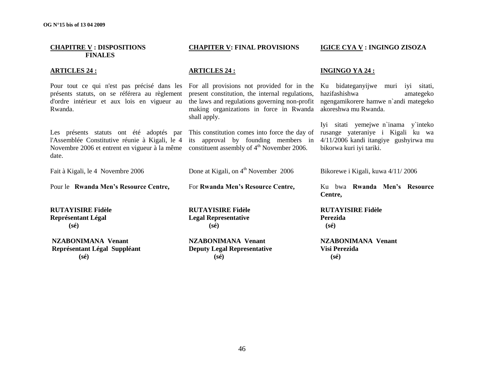| <b>CHAPITRE V : DISPOSITIONS</b><br><b>FINALES</b>                                                                                                                                                                                                                                            | <b>CHAPITER V: FINAL PROVISIONS</b>                                                                                                                                                                       | IGICE CYA V : INGINGO ZISOZA                                                                                                                  |
|-----------------------------------------------------------------------------------------------------------------------------------------------------------------------------------------------------------------------------------------------------------------------------------------------|-----------------------------------------------------------------------------------------------------------------------------------------------------------------------------------------------------------|-----------------------------------------------------------------------------------------------------------------------------------------------|
| <b>ARTICLES 24:</b>                                                                                                                                                                                                                                                                           | <b>ARTICLES 24:</b>                                                                                                                                                                                       | <b>INGINGO YA 24:</b>                                                                                                                         |
| Pour tout ce qui n'est pas précisé dans les<br>présents statuts, on se référera au règlement<br>d'ordre intérieur et aux lois en vigueur au<br>Rwanda.                                                                                                                                        | For all provisions not provided for in the<br>present constitution, the internal regulations,<br>the laws and regulations governing non-profit<br>making organizations in force in Rwanda<br>shall apply. | Ku bidateganyijwe muri iyi sitati,<br>hazifashishwa<br>amategeko<br>ngengamikorere hamwe n'andi mategeko<br>akoreshwa mu Rwanda.              |
| Les présents statuts ont été adoptés par This constitution comes into force the day of<br>l'Assemblée Constitutive réunie à Kigali, le 4 its approval by founding members in<br>Novembre 2006 et entrent en vigueur à la même constituent assembly of 4 <sup>th</sup> November 2006.<br>date. |                                                                                                                                                                                                           | Iyi sitati yemejwe n'inama y'inteko<br>rusange yateraniye i Kigali ku wa<br>4/11/2006 kandi itangiye gushyirwa mu<br>bikorwa kuri iyi tariki. |
| Fait à Kigali, le 4 Novembre 2006                                                                                                                                                                                                                                                             | Done at Kigali, on $4th$ November 2006                                                                                                                                                                    | Bikorewe i Kigali, kuwa 4/11/2006                                                                                                             |
| Pour le Rwanda Men's Resource Centre,                                                                                                                                                                                                                                                         | For Rwanda Men's Resource Centre,                                                                                                                                                                         | Ku bwa Rwanda Men's Resource<br>Centre,                                                                                                       |
| <b>RUTAYISIRE Fidèle</b><br><b>Représentant Légal</b><br>$(s\acute{e})$                                                                                                                                                                                                                       | <b>RUTAYISIRE Fidèle</b><br><b>Legal Representative</b><br>$(s\acute{e})$                                                                                                                                 | <b>RUTAYISIRE Fidèle</b><br>Perezida<br>$(s\acute{e})$                                                                                        |
| <b>NZABONIMANA Venant</b><br>Représentant Légal Suppléant<br>$(s\acute{e})$                                                                                                                                                                                                                   | <b>NZABONIMANA Venant</b><br><b>Deputy Legal Representative</b><br>$(s\acute{e})$                                                                                                                         | <b>NZABONIMANA Venant</b><br>Visi Perezida<br>$(s\acute{e})$                                                                                  |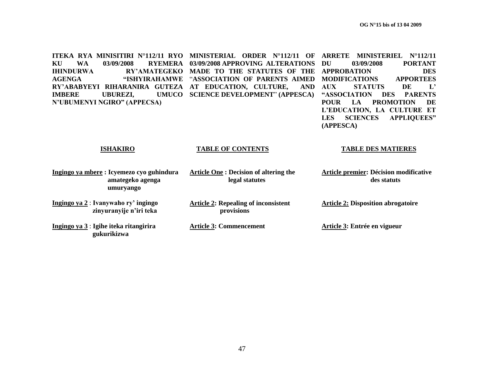**ITEKA RYA MINISITIRI N°112/11 RYO MINISTERIAL ORDER N°112/11 OF ARRETE MINISTERIEL N°112/11 KU WA 03/09/2008 RYEMERA 03/09/2008 APPROVING ALTERATIONS IHINDURWA RY"AMATEGEKO MADE TO THE STATUTES OF THE APPROBATION DES AGENGA "ISHYIRAHAMWE**  "**ASSOCIATION OF PARENTS AIMED MODIFICATIONS APPORTEES RY"ABABYEYI RIHARANIRA GUTEZA AT EDUCATION, CULTURE, AND IMBERE UBUREZI, N"UBUMENYI NGIRO" (APPECSA) UMUCO SCIENCE DEVELOPMENT" (APPESCA) DU 03/09/2008 PORTANT AUX STATUTS DE L" "ASSOCIATION DES PARENTS POUR LA PROMOTION DE L"EDUCATION, LA CULTURE ET** 

**ISHAKIRO**

#### **TABLE OF CONTENTS**

#### **TABLE DES MATIERES**

**LES SCIENCES APPLIQUEES"** 

**(APPESCA)**

| Ingingo ya mbere: Icyemezo cyo guhindura<br>amategeko agenga<br>umuryango | <b>Article One : Decision of altering the</b><br>legal statutes | Article premier: Décision modificative<br>des statuts |
|---------------------------------------------------------------------------|-----------------------------------------------------------------|-------------------------------------------------------|
| Ingingo ya 2: Ivanywaho ry' ingingo<br>zinyuranyije n'iri teka            | <b>Article 2: Repealing of inconsistent</b><br>provisions       | <b>Article 2: Disposition abrogatoire</b>             |
| Ingingo ya 3 : Igihe iteka ritangirira<br>gukurikizwa                     | <b>Article 3: Commencement</b>                                  | Article 3: Entrée en vigueur                          |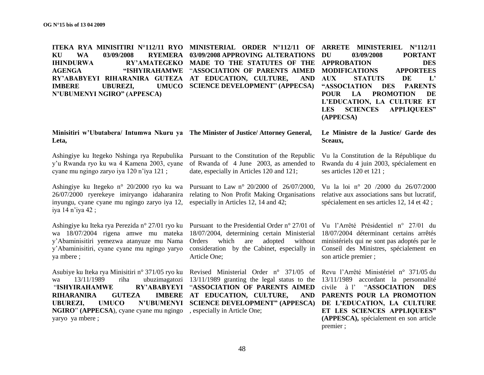**ITEKA RYA MINISITIRI N°112/11 RYO MINISTERIAL ORDER N°112/11 OF ARRETE MINISTERIEL N°112/11 KU WA 03/09/2008 RYEMERA 03/09/2008 APPROVING ALTERATIONS IHINDURWA RY"AMATEGEKO MADE TO THE STATUTES OF THE APPROBATION DES AGENGA "ISHYIRAHAMWE**  "**ASSOCIATION OF PARENTS AIMED RY"ABABYEYI RIHARANIRA GUTEZA AT EDUCATION, CULTURE, AND IMBERE UBUREZI, N"UBUMENYI NGIRO" (APPESCA) UMUCO** SCIENCE DEVELOPMENT" **(APPECSA) DU 03/09/2008 PORTANT** 

### **MODIFICATIONS APPORTEES AUX STATUTS DE L" "ASSOCIATION DES PARENTS POUR LA PROMOTION DE L"EDUCATION, LA CULTURE ET LES SCIENCES APPLIQUEES" (APPECSA)**

#### **Minisitiri w"Ubutabera/ Intumwa Nkuru ya The Minister of Justice/ Attorney General, Leta,**

Ashingiye ku Itegeko Nshinga rya Repubulika Pursuant to the Constitution of the Republic y"u Rwanda ryo ku wa 4 Kamena 2003, cyane cyane mu ngingo zaryo iya 120 n"iya 121 ;

Ashingiye ku Itegeko n° 20/2000 ryo ku wa 26/07/2000 ryerekeye imiryango idaharanira inyungu, cyane cyane mu ngingo zaryo iya 12, iya 14 n"iya 42 ;

Ashingiye ku Iteka rya Perezida n° 27/01 ryo ku Pursuant to the Presidential Order n° 27/01 of Vu l"Arrêté Présidentiel n° 27/01 du wa 18/07/2004 rigena amwe mu mateka y"Abaminisitiri yemezwa atanyuze mu Nama y"Abaminisitiri, cyane cyane mu ngingo yaryo ya mbere ;

Asubiye ku Iteka rya Minisitiri n° 371/05 ryo ku Revised Ministerial Order n° 371/05 of Revu l'Arrêté Ministériel n° 371/05 du wa 13/11/1989 riha ubuzimagatozi 13/11/1989 granting the legal status to the "**ISHYIRAHAMWE RIHARANIRA GUTEZA UBUREZI, UMUCO N"UBUMENYI SCIENCE DEVELOPMENT" (APPESCA) NGIRO**" **(APPECSA**), cyane cyane mu ngingo , especially in Article One; yaryo ya mbere ;

of Rwanda of 4 June 2003, as amended to date, especially in Articles 120 and 121;

Pursuant to Law n° 20/2000 of 26/07/2000, relating to Non Profit Making Organisations especially in Articles 12, 14 and 42;

18/07/2004, determining certain Ministerial 18/07/2004 déterminant certains arrêtés Orders which are adopted without consideration by the Cabinet, especially in Article One;

"**ASSOCIATION OF PARENTS AIMED IMBERE AT EDUCATION, CULTURE,** 

Vu la Constitution de la République du Rwanda du 4 juin 2003, spécialement en ses articles 120 et 121 ;

**Le Ministre de la Justice/ Garde des** 

**Sceaux,**

Vu la loi n° 20 /2000 du 26/07/2000 relative aux associations sans but lucratif, spécialement en ses articles 12, 14 et 42 ;

ministériels qui ne sont pas adoptés par le Conseil des Ministres, spécialement en son article premier ;

13/11/1989 accordant la personnalité civile à l" "**ASSOCIATION DES PARENTS POUR LA PROMOTION DE L"EDUCATION, LA CULTURE ET LES SCIENCES APPLIQUEES" (APPESCA),** spécialement en son article premier ;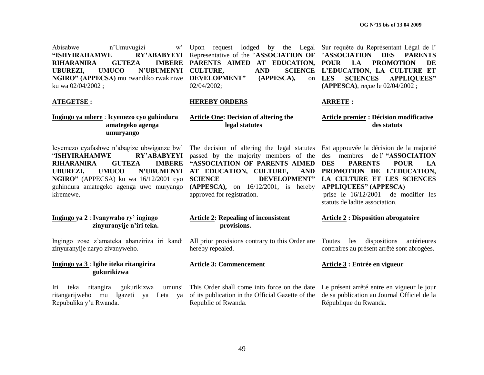Abisabwe n"Umuvugizi w" **"ISHYIRAHAMWE RY"ABABYEYI RIHARANIRA GUTEZA UBUREZI, UMUCO N"UBUMENYI CULTURE, AND SCIENCE NGIRO" (APPECSA)** mu rwandiko rwakiriwe **DEVELOPMENT" (APPESCA),** on ku wa 02/04/2002 ;

**ATEGETSE :**

Upon request lodged by the Legal Sur requête du Représentant Légal de l' Representative of the "**ASSOCIATION OF**  "**ASSOCIATION DES PARENTS**  PARENTS AIMED AT EDUCATION, POUR LA PROMOTION DE 02/04/2002;

#### **HEREBY ORDERS**

### **Article One: Decision of altering the legal statutes**

Icyemezo cyafashwe n"abagize ubwiganze bw" "**ISHYIRAHAMWE RY"ABABYEYI RIHARANIRA GUTEZA IMBERE UBUREZI, UMUCO N"UBUMENYI AT EDUCATION, CULTURE, AND NGIRO"** (APPECSA) ku wa 16/12/2001 cyo guhindura amategeko agenga uwo muryango kiremewe.

**Ingingo ya mbere** : **Icyemezo cyo guhindura** 

 **umuryango**

 **amategeko agenga**

**Ingingo ya 2** : **Ivanywaho ry" ingingo zinyuranyije n"iri teka.**

zinyuranyije naryo zivanyweho.

**Ingingo ya 3** : **Igihe iteka ritangirira gukurikizwa**

Iri teka ritangira gukurikizwa ritangarijweho mu Igazeti ya Leta ya of its publication in the Official Gazette of the Repubulika y"u Rwanda.

passed by the majority members of the **"ASSOCIATION OF PARENTS AIMED SCIENCE DEVELOPMENT" (APPESCA),** on 16/12/2001, is hereby approved for registration.

## **SCIENCE L'EDUCATION, LA CULTURE ET LES SCIENCES APPLIQUEES" (APPESCA)**, reçue le 02/04/2002 ;

#### **ARRETE :**

**Article premier : Décision modificative des statuts**

The decision of altering the legal statutes Est approuvée la décision de la majorité des membres de l" **"ASSOCIATION DES PARENTS POUR LA PROMOTION DE L"EDUCATION, LA CULTURE ET LES SCIENCES APPLIQUEES" (APPESCA)** prise le 16/12/2001 de modifier les statuts de ladite association.

**Article 2 : Disposition abrogatoire**

#### **Article 2: Repealing of inconsistent provisions.**

Ingingo zose z"amateka abanziriza iri kandi All prior provisions contrary to this Order are hereby repealed.

#### **Article 3: Commencement**

This Order shall come into force on the date Le présent arrêté entre en vigueur le jour Republic of Rwanda.

Toutes les dispositions antérieures contraires au présent arrêté sont abrogées.

#### **Article 3 : Entrée en vigueur**

de sa publication au Journal Officiel de la République du Rwanda.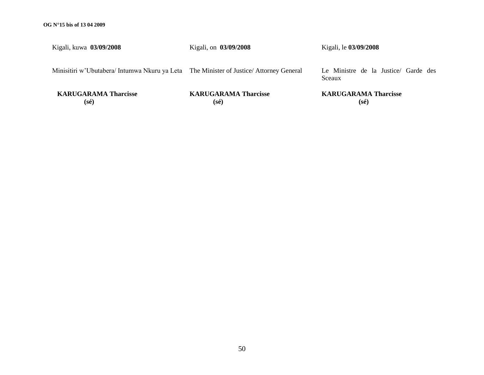Kigali, kuwa **03/09/2008**

Kigali, on **03/09/2008**

Kigali, le **03/09/2008**

Minisitiri w"Ubutabera/ Intumwa Nkuru ya Leta The Minister of Justice/ Attorney General

Le Ministre de la Justice/ Garde des Sceaux

 **KARUGARAMA Tharcisse (sé)**

**KARUGARAMA Tharcisse (sé)**

**KARUGARAMA Tharcisse (sé)**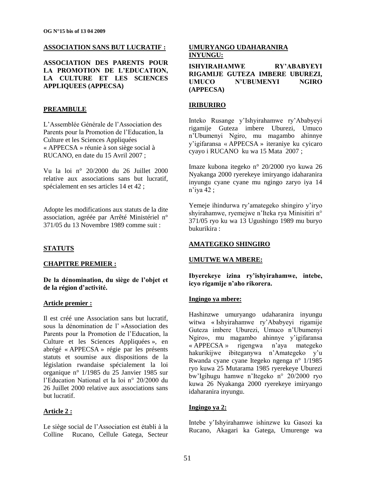### **ASSOCIATION SANS BUT LUCRATIF :**

**ASSOCIATION DES PARENTS POUR LA PROMOTION DE L"EDUCATION, LA CULTURE ET LES SCIENCES APPLIQUEES (APPECSA)**

#### **PREAMBULE**

L"Assemblée Générale de l"Association des Parents pour la Promotion de l"Education, la Culture et les Sciences Appliquées « APPECSA » réunie à son siège social à RUCANO, en date du 15 Avril 2007 ;

Vu la loi n° 20/2000 du 26 Juillet 2000 relative aux associations sans but lucratif, spécialement en ses articles 14 et 42 ;

Adopte les modifications aux statuts de la dite association, agréée par Arrêté Ministériel n° 371/05 du 13 Novembre 1989 comme suit :

### **STATUTS**

#### **CHAPITRE PREMIER :**

**De la dénomination, du siège de l"objet et de la région d"activité.**

#### **Article premier :**

Il est créé une Association sans but lucratif, sous la dénomination de l" »Association des Parents pour la Promotion de l"Education, la Culture et les Sciences Appliquées », en abrégé « APPECSA » régie par les présents statuts et soumise aux dispositions de la législation rwandaise spécialement la loi organique n° 1/1985 du 25 Janvier 1985 sur l"Education National et la loi n° 20/2000 du 26 Juillet 2000 relative aux associations sans but lucratif.

#### **Article 2 :**

Le siège social de l"Association est établi à la Colline Rucano, Cellule Gatega, Secteur

#### **UMURYANGO UDAHARANIRA INYUNGU:**

**ISHYIRAHAMWE RY"ABABYEYI RIGAMIJE GUTEZA IMBERE UBUREZI, UMUCO N"UBUMENYI NGIRO (APPECSA)**

#### **IRIBURIRO**

Inteko Rusange y"Ishyirahamwe ry"Ababyeyi rigamije Guteza imbere Uburezi, Umuco n"Ubumenyi Ngiro, mu magambo ahinnye y"igifaransa « APPECSA » iteraniye ku cyicaro cyayo i RUCANO ku wa 15 Mata 2007 ;

Imaze kubona itegeko n° 20/2000 ryo kuwa 26 Nyakanga 2000 ryerekeye imiryango idaharanira inyungu cyane cyane mu ngingo zaryo iya 14 n"iya 42 ;

Yemeje ihindurwa ry"amategeko shingiro y"iryo shyirahamwe, ryemejwe n"Iteka rya Minisitiri n° 371/05 ryo ku wa 13 Ugushingo 1989 mu buryo bukurikira :

### **AMATEGEKO SHINGIRO**

#### **UMUTWE WA MBERE:**

**Ibyerekeye izina ry"ishyirahamwe, intebe, icyo rigamije n"aho rikorera.**

#### **Ingingo ya mbere:**

Hashinzwe umuryango udaharanira inyungu witwa « Ishyirahamwe ry"Ababyeyi rigamije Guteza imbere Uburezi, Umuco n"Ubumenyi Ngiro», mu magambo ahinnye y"igifaransa « APPECSA » rigengwa n"aya mategeko hakurikijwe ibiteganywa n"Amategeko y"u Rwanda cyane cyane Itegeko ngenga n° 1/1985 ryo kuwa 25 Mutarama 1985 ryerekeye Uburezi bw"Igihugu hamwe n"Itegeko n° 20/2000 ryo kuwa 26 Nyakanga 2000 ryerekeye imiryango idaharanira inyungu.

### **Ingingo ya 2:**

Intebe y"Ishyirahamwe ishinzwe ku Gasozi ka Rucano, Akagari ka Gatega, Umurenge wa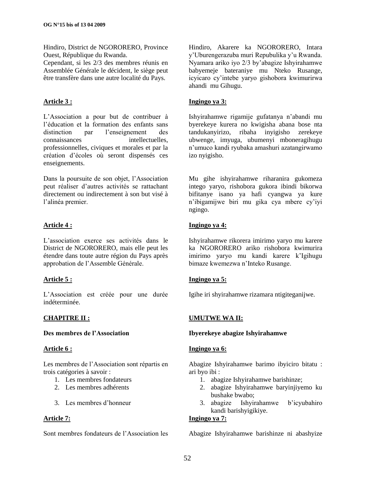Hindiro, District de NGORORERO, Province Ouest, République du Rwanda.

Cependant, si les 2/3 des membres réunis en Assemblée Générale le décident, le siège peut être transfère dans une autre localité du Pays.

### **Article 3 :**

L"Association a pour but de contribuer à l"éducation et la formation des enfants sans distinction par l"enseignement des connaissances intellectuelles, professionnelles, civiques et morales et par la création d"écoles où seront dispensés ces enseignements.

Dans la poursuite de son objet, l"Association peut réaliser d"autres activités se rattachant directement ou indirectement à son but visé à l"alinéa premier.

### **Article 4 :**

L"association exerce ses activités dans le District de NGORORERO, mais elle peut les étendre dans toute autre région du Pays après approbation de l"Assemble Générale.

### **Article 5 :**

L"Association est créée pour une durée indéterminée.

### **CHAPITRE II :**

### **Des membres de l"Association**

### **Article 6 :**

Les membres de l"Association sont répartis en trois catégories à savoir :

- 1. Les membres fondateurs
- 2. Les membres adhérents
- 3. Les membres d"honneur

### **Article 7:**

Sont membres fondateurs de l"Association les

Hindiro, Akarere ka NGORORERO, Intara y"Uburengerazuba muri Repubulika y"u Rwanda. Nyamara ariko iyo 2/3 by"abagize Ishyirahamwe babyemeje bateraniye mu Nteko Rusange, icyicaro cy"intebe yaryo gishobora kwimurirwa ahandi mu Gihugu.

### **Ingingo ya 3:**

Ishyirahamwe rigamije gufatanya n"abandi mu byerekeye kurera no kwigisha abana bose nta tandukanyirizo, ribaha inyigisho zerekeye ubwenge, imyuga, ubumenyi mboneragihugu n"umuco kandi ryubaka amashuri azatangirwamo izo nyigisho.

Mu gihe ishyirahamwe riharanira gukomeza intego yaryo, rishobora gukora ibindi bikorwa bifitanye isano ya hafi cyangwa ya kure n"ibigamijwe biri mu gika cya mbere cy"iyi ngingo.

### **Ingingo ya 4:**

Ishyirahamwe rikorera imirimo yaryo mu karere ka NGORORERO ariko rishobora kwimurira imirimo yaryo mu kandi karere k"Igihugu bimaze kwemezwa n"Inteko Rusange.

### **Ingingo ya 5:**

Igihe iri shyirahamwe rizamara ntigiteganijwe.

### **UMUTWE WA II:**

### **Ibyerekeye abagize Ishyirahamwe**

### **Ingingo ya 6:**

Abagize Ishyirahamwe barimo ibyiciro bitatu : ari byo ibi :

- 1. abagize Ishyirahamwe barishinze;
- 2. abagize Ishyirahamwe baryinjiyemo ku bushake bwabo;
- 3. abagize Ishyirahamwe b"icyubahiro kandi barishyigikiye.

### **Ingingo ya 7:**

Abagize Ishyirahamwe barishinze ni abashyize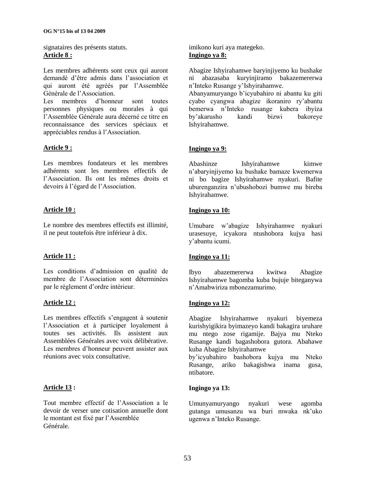signataires des présents statuts. **Article 8 :**

Les membres adhérents sont ceux qui auront demandé d"être admis dans l"association et qui auront été agréés par l"Assemblée Générale de l"Association.

Les membres d"honneur sont toutes personnes physiques ou morales à qui l"Assemblée Générale aura décerné ce titre en reconnaissance des services spéciaux et appréciables rendus à l"Association.

### **Article 9 :**

Les membres fondateurs et les membres adhérents sont les membres effectifs de l"Association. Ils ont les mêmes droits et devoirs à l"égard de l"Association.

### **Article 10 :**

Le nombre des membres effectifs est illimité, il ne peut toutefois être inférieur à dix.

### **Article 11 :**

Les conditions d"admission en qualité de membre de l"Association sont déterminées par le règlement d"ordre intérieur.

### **Article 12 :**

Les membres effectifs s'engagent à soutenir l"Association et à participer loyalement à toutes ses activités. Ils assistent aux Assemblées Générales avec voix délibérative. Les membres d"honneur peuvent assister aux réunions avec voix consultative.

### **Article 13 :**

Tout membre effectif de l"Association a le devoir de verser une cotisation annuelle dont le montant est fixé par l"Assemblée Générale.

imikono kuri aya mategeko. **Ingingo ya 8:**

Abagize Ishyirahamwe baryinjiyemo ku bushake ni abazasaba kuryinjiramo bakazemererwa n"Inteko Rusange y"Ishyirahamwe.

Abanyamuryango b"icyubahiro ni abantu ku giti cyabo cyangwa abagize ikoraniro ry"abantu bemerwa n"Inteko rusange kubera ibyiza by"akarusho kandi bizwi bakoreye Ishyirahamwe.

### **Ingingo ya 9:**

Abashinze Ishyirahamwe kimwe n"abaryinjiyemo ku bushake bamaze kwemerwa ni bo bagize Ishyirahamwe nyakuri. Bafite uburenganzira n"ubushobozi bumwe mu bireba Ishyirahamwe.

### **Ingingo ya 10:**

Umubare w"abagize Ishyirahamwe nyakuri urasesuye, icyakora ntushobora kujya hasi y"abantu icumi.

### **Ingingo ya 11:**

Ibyo abazemererwa kwitwa Abagize Ishyirahamwe bagomba kuba bujuje biteganywa n"Amabwiriza mbonezamurimo.

### **Ingingo ya 12:**

Abagize Ishyirahamwe nyakuri biyemeza kurishyigikira byimazeyo kandi bakagira uruhare mu ntego zose rigamije. Bajya mu Nteko Rusange kandi bagashobora gutora. Abahawe kuba Abagize Ishyirahamwe

by"icyubahiro bashobora kujya mu Nteko Rusange, ariko bakagishwa inama gusa, ntibatore.

### **Ingingo ya 13:**

Umunyamuryango nyakuri wese agomba gutanga umusanzu wa buri mwaka nk"uko ugenwa n"Inteko Rusange.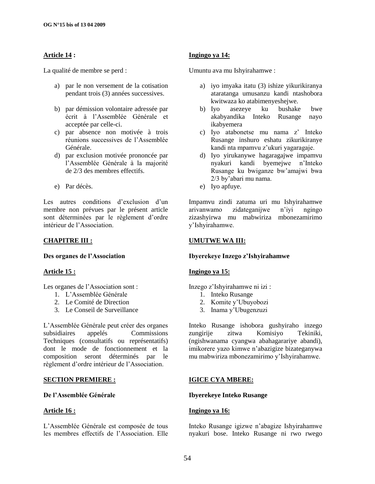### **Article 14 :**

La qualité de membre se perd :

- a) par le non versement de la cotisation pendant trois (3) années successives.
- b) par démission volontaire adressée par écrit à l"Assemblée Générale et acceptée par celle-ci.
- c) par absence non motivée à trois réunions successives de l"Assemblée Générale.
- d) par exclusion motivée prononcée par l"Assemblée Générale à la majorité de 2/3 des membres effectifs.
- e) Par décès.

Les autres conditions d'exclusion d'un membre non prévues par le présent article sont déterminées par le règlement d'ordre intérieur de l"Association.

### **CHAPITRE III :**

**Des organes de l"Association**

### **Article 15 :**

Les organes de l'Association sont :

- 1. L"Assemblée Générale
- 2. Le Comité de Direction
- 3. Le Conseil de Surveillance

L"Assemblée Générale peut créer des organes subsidiaires appelés Commissions Techniques (consultatifs ou représentatifs) dont le mode de fonctionnement et la composition seront déterminés par le règlement d"ordre intérieur de l"Association.

### **SECTION PREMIERE :**

#### **De l"Assemblée Générale**

### **Article 16 :**

L"Assemblée Générale est composée de tous les membres effectifs de l"Association. Elle

### **Ingingo ya 14:**

Umuntu ava mu Ishyirahamwe :

- a) iyo imyaka itatu (3) ishize yikurikiranya ataratanga umusanzu kandi ntashobora kwitwaza ko atabimenyeshejwe.
- b) Iyo asezeye ku bushake bwe akabyandika Inteko Rusange nayo ikabyemera
- c) Iyo atabonetse mu nama z" Inteko Rusange inshuro eshatu zikurikiranye kandi nta mpamvu z"ukuri yagaragaje.
- d) Iyo yirukanywe hagaragajwe impamvu nyakuri kandi byemejwe n"Inteko Rusange ku bwiganze bw"amajwi bwa 2/3 by"abari mu nama.
- e) Iyo apfuye.

Impamvu zindi zatuma uri mu Ishyirahamwe arivanwamo zidateganijwe n"iyi ngingo zizashyirwa mu mabwiriza mbonezamirimo y"Ishyirahamwe.

### **UMUTWE WA III:**

### **Ibyerekeye Inzego z"Ishyirahamwe**

### **Ingingo ya 15:**

Inzego z"Ishyirahamwe ni izi :

- 1. Inteko Rusange
- 2. Komite y"Ubuyobozi
- 3. Inama y"Ubugenzuzi

Inteko Rusange ishobora gushyiraho inzego zungirije zitwa Komisiyo Tekiniki, (ngishwanama cyangwa abahagarariye abandi), imikorere yazo kimwe n"abazigize bizateganywa mu mabwiriza mbonezamirimo y"Ishyirahamwe.

### **IGICE CYA MBERE:**

### **Ibyerekeye Inteko Rusange**

#### **Ingingo ya 16:**

Inteko Rusange igizwe n"abagize Ishyirahamwe nyakuri bose. Inteko Rusange ni rwo rwego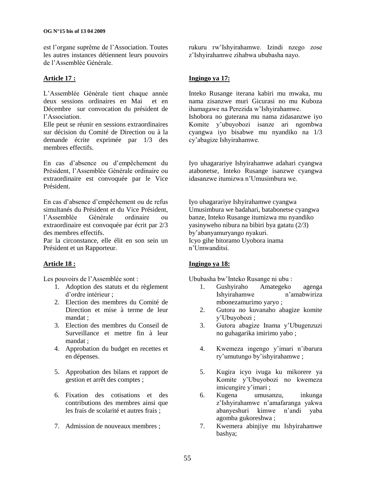est l"organe suprême de l"Association. Toutes les autres instances détiennent leurs pouvoirs de l"Assemblée Générale.

### **Article 17 :**

L"Assemblée Générale tient chaque année deux sessions ordinaires en Mai et en Décembre sur convocation du président de l"Association.

Elle peut se réunir en sessions extraordinaires sur décision du Comité de Direction ou à la demande écrite exprimée par 1/3 des membres effectifs.

En cas d"absence ou d"empêchement du Président, l"Assemblée Générale ordinaire ou extraordinaire est convoquée par le Vice Président.

En cas d"absence d"empêchement ou de refus simultanés du Président et du Vice Président, l"Assemblée Générale ordinaire ou extraordinaire est convoquée par écrit par 2/3 des membres effectifs.

Par la circonstance, elle élit en son sein un Président et un Rapporteur.

### **Article 18 :**

Les pouvoirs de l'Assemblée sont :

- 1. Adoption des statuts et du règlement d"ordre intérieur ;
- 2. Election des membres du Comité de Direction et mise à terme de leur mandat ;
- 3. Election des membres du Conseil de Surveillance et mettre fin à leur mandat ;
- 4. Approbation du budget en recettes et en dépenses.
- 5. Approbation des bilans et rapport de gestion et arrêt des comptes ;
- 6. Fixation des cotisations et des contributions des membres ainsi que les frais de scolarité et autres frais ;
- 7. Admission de nouveaux membres ;

rukuru rw"Ishyirahamwe. Izindi nzego zose z"Ishyirahamwe zihabwa ububasha nayo.

### **Ingingo ya 17:**

Inteko Rusange iterana kabiri mu mwaka, mu nama zisanzwe muri Gicurasi no mu Kuboza ihamagawe na Perezida w"Ishyirahamwe. Ishobora no guterana mu nama zidasanzwe iyo Komite y"ubuyobozi isanze ari ngombwa cyangwa iyo bisabwe mu nyandiko na 1/3 cy"abagize Ishyirahamwe.

Iyo uhagarariye Ishyirahamwe adahari cyangwa atabonetse, Inteko Rusange isanzwe cyangwa idasanzwe itumizwa n"Umusimbura we.

Iyo uhagarariye Ishyirahamwe cyangwa Umusimbura we badahari, batabonetse cyangwa banze, Inteko Rusange itumizwa mu nyandiko yasinyweho nibura na bibiri bya gatatu (2/3) by"abanyamuryango nyakuri. Icyo gihe bitoramo Uyobora inama n"Umwanditsi.

### **Ingingo ya 18:**

Ububasha bw"Inteko Rusange ni ubu :

- 1. Gushyiraho Amategeko agenga Ishyirahamwe n"amabwiriza mbonezamurimo yaryo ;
- 2. Gutora no kuvanaho abagize komite y"Ubuyobozi ;
- 3. Gutora abagize Inama y"Ubugenzuzi no guhagarika imirimo yabo ;
- 4. Kwemeza ingengo y"imari n"ibarura ry"umutungo by"ishyirahamwe ;
- 5. Kugira icyo ivuga ku mikorere ya Komite y"Ubuyobozi no kwemeza imicungire y'imari ;
- 6. Kugena umusanzu, inkunga z"Ishyirahamwe n"amafaranga yakwa abanyeshuri kimwe n"andi yaba agomba gukoreshwa ;
- 7. Kwemera abinjiye mu Ishyirahamwe bashya;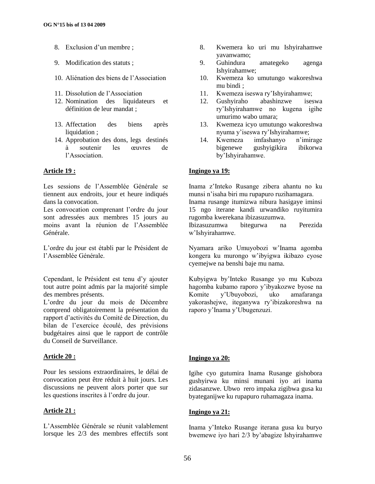- 8. Exclusion d'un membre ;
- 9. Modification des statuts ;
- 10. Aliénation des biens de l"Association
- 11. Dissolution de l"Association
- 12. Nomination des liquidateurs et définition de leur mandat ;
- 13. Affectation des biens après liquidation ;
- 14. Approbation des dons, legs destinés à soutenir les œuvres de l"Association.

### **Article 19 :**

Les sessions de l"Assemblée Générale se tiennent aux endroits, jour et heure indiqués dans la convocation.

Les convocation comprenant l'ordre du jour sont adressées aux membres 15 jours au moins avant la réunion de l"Assemblée Générale.

L"ordre du jour est établi par le Président de l"Assemblée Générale.

Cependant, le Président est tenu d"y ajouter tout autre point admis par la majorité simple des membres présents.

L"ordre du jour du mois de Décembre comprend obligatoirement la présentation du rapport d"activités du Comité de Direction, du bilan de l"exercice écoulé, des prévisions budgétaires ainsi que le rapport de contrôle du Conseil de Surveillance.

### **Article 20 :**

Pour les sessions extraordinaires, le délai de convocation peut être réduit à huit jours. Les discussions ne peuvent alors porter que sur les questions inscrites à l"ordre du jour.

### **Article 21 :**

L"Assemblée Générale se réunit valablement lorsque les 2/3 des membres effectifs sont

- 8. Kwemera ko uri mu Ishyirahamwe yavanwamo;
- 9. Guhindura amategeko agenga Ishyirahamwe;
- 10. Kwemeza ko umutungo wakoreshwa mu bindi ;
- 11. Kwemeza iseswa ry"Ishyirahamwe;
- 12. Gushyiraho abashinzwe iseswa ry"Ishyirahamwe no kugena igihe umurimo wabo umara;
- 13. Kwemeza icyo umutungo wakoreshwa nyuma y"iseswa ry"Ishyirahamwe;
- 14. Kwemeza imfashanyo n"imirage bigenewe gushyigikira ibikorwa by"Ishyirahamwe.

### **Ingingo ya 19:**

Inama z"Inteko Rusange zibera ahantu no ku munsi n"isaha biri mu rupapuro ruzihamagara. Inama rusange itumizwa nibura hasigaye iminsi 15 ngo iterane kandi urwandiko ruyitumira

rugomba kwerekana ibizasuzumwa.

Ibizasuzumwa bitegurwa na Perezida w"Ishyirahamwe.

Nyamara ariko Umuyobozi w"Inama agomba kongera ku murongo w"ibyigwa ikibazo cyose cyemejwe na benshi baje mu nama.

Kubyigwa by"Inteko Rusange yo mu Kuboza hagomba kubamo raporo y"ibyakozwe byose na Komite y"Ubuyobozi, uko amafaranga yakorashejwe, iteganywa ry"ibizakoreshwa na raporo y"Inama y"Ubugenzuzi.

### **Ingingo ya 20:**

Igihe cyo gutumira Inama Rusange gishobora gushyirwa ku minsi munani iyo ari inama zidasanzwe. Ubwo rero impaka zigibwa gusa ku byateganijwe ku rupapuro ruhamagaza inama.

### **Ingingo ya 21:**

Inama y"Inteko Rusange iterana gusa ku buryo bwemewe iyo hari 2/3 by"abagize Ishyirahamwe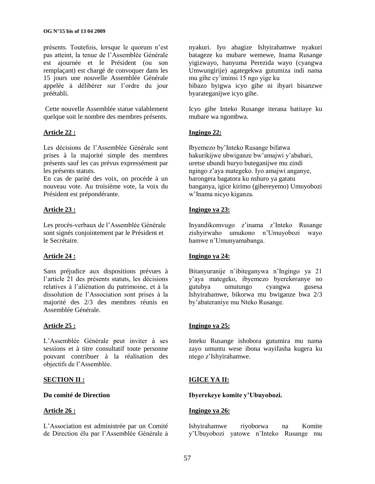présents. Toutefois, lorsque le quorum n'est pas atteint, la tenue de l"Assemblée Générale est ajournée et le Président (ou son remplaçant) est chargé de convoquer dans les 15 jours une nouvelle Assemblée Générale appelée à délibérer sur l"ordre du jour préétabli.

Cette nouvelle Assemblée statue valablement quelque soit le nombre des membres présents.

### **Article 22 :**

Les décisions de l"Assemblée Générale sont prises à la majorité simple des membres présents sauf les cas prévus expressément par les présents statuts.

En cas de parité des voix, on procède à un nouveau vote. Au troisième vote, la voix du Président est prépondérante.

### **Article 23 :**

Les procès-verbaux de l"Assemblée Générale sont signés conjointement par le Président et le Secrétaire.

### **Article 24 :**

Sans préjudice aux dispositions prévues à l"article 21 des présents statuts, les décisions relatives à l"aliénation du patrimoine, et à la dissolution de l"Association sont prises à la majorité des 2/3 des membres réunis en Assemblée Générale.

### **Article 25 :**

L"Assemblée Générale peut inviter à ses sessions et à titre consultatif toute personne pouvant contribuer à la réalisation des objectifs de l"Assemblée.

### **SECTION II :**

### **Du comité de Direction**

### **Article 26 :**

L"Association est administrée par un Comité de Direction élu par l"Assemblée Générale à

nyakuri. Iyo abagize Ishyirahamwe nyakuri batageze ku mubare wemewe, Inama Rusange yigizwayo, hanyuma Perezida wayo (cyangwa Umwungirije) agategekwa gutumiza indi nama mu gihe cy"iminsi 15 ngo yige ku

bibazo byigwa icyo gihe ni ibyari bisanzwe byarateganijwe icyo gihe.

Icyo gihe Inteko Rusange iterana batitaye ku mubare wa ngombwa.

### **Ingingo 22:**

Ibyemezo by"Inteko Rusange bifatwa hakurikijwe ubwiganze bw"amajwi y"abahari, uretse ubundi buryo buteganijwe mu zindi ngingo z"aya mategeko. Iyo amajwi anganye, barongera bagatora ku nshuro ya gatatu banganya, igice kirimo (gihereyemo) Umuyobozi w"Inama nicyo kiganza.

### **Ingingo ya 23:**

Inyandikomvugo z"inama z"Inteko Rusange zishyirwaho umukono n"Umuyobozi wayo hamwe n"Umunyamabanga.

### **Ingingo ya 24:**

Bitanyuranije n"ibiteganywa n"Ingingo ya 21 y"aya mategeko, ibyemezo byerekeranye no gutubya umutungo cyangwa gusesa Ishyirahamwe, bikorwa mu bwiganze bwa 2/3 by"abateraniye mu Nteko Rusange.

### **Ingingo ya 25:**

Inteko Rusange ishobora gutumira mu nama zayo umuntu wese ibona wayifasha kugera ku ntego z"Ishyirahamwe.

### **IGICE YA II:**

### **Ibyerekeye komite y"Ubuyobozi.**

### **Ingingo ya 26:**

Ishyirahamwe riyoborwa na Komite y"Ubuyobozi yatowe n"Inteko Rusange mu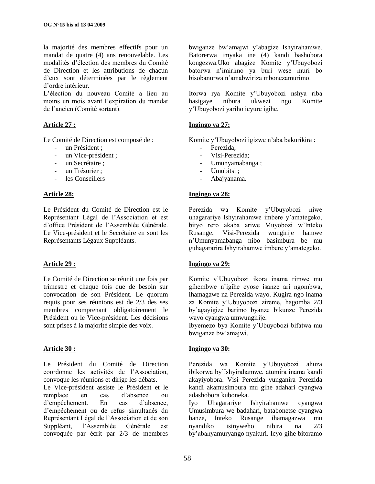la majorité des membres effectifs pour un mandat de quatre (4) ans renouvelable. Les modalités d"élection des membres du Comité de Direction et les attributions de chacun d"eux sont déterminées par le règlement d"ordre intérieur.

L"élection du nouveau Comité a lieu au moins un mois avant l"expiration du mandat de l"ancien (Comité sortant).

### **Article 27 :**

Le Comité de Direction est composé de :

- un Président ;
- un Vice-président ;
- un Secrétaire ;
- un Trésorier :
- les Conseillers

### **Article 28:**

Le Président du Comité de Direction est le Représentant Légal de l"Association et est d"office Président de l"Assemblée Générale. Le Vice-président et le Secrétaire en sont les Représentants Légaux Suppléants.

### **Article 29 :**

Le Comité de Direction se réunit une fois par trimestre et chaque fois que de besoin sur convocation de son Président. Le quorum requis pour ses réunions est de 2/3 des ses membres comprenant obligatoirement le Président ou le Vice-président. Les décisions sont prises à la majorité simple des voix.

### **Article 30 :**

Le Président du Comité de Direction coordonne les activités de l"Association, convoque les réunions et dirige les débats. Le Vice-président assiste le Président et le remplace en cas d"absence ou d"empêchement. En cas d"absence, d"empêchement ou de refus simultanés du Représentant Légal de l"Association et de son Suppléant, l"Assemblée Générale est convoquée par écrit par 2/3 de membres

bwiganze bw"amajwi y"abagize Ishyirahamwe. Batorerwa imyaka ine (4) kandi bashobora kongezwa.Uko abagize Komite y"Ubuyobozi batorwa n"imirimo ya buri wese muri bo bisobanurwa n"amabwiriza mbonezamurimo.

Itorwa rya Komite y"Ubuyobozi nshya riba hasigaye nibura ukwezi ngo Komite y"Ubuyobozi yariho icyure igihe.

### **Ingingo ya 27:**

Komite y"Ubuyobozi igizwe n"aba bakurikira :

- Perezida:
- Visi-Perezida:
- Umunyamabanga ;
- Umubitsi:
- Abajyanama.

### **Ingingo ya 28:**

Perezida wa Komite y"Ubuyobozi niwe uhagarariye Ishyirahamwe imbere y"amategeko, bityo rero akaba ariwe Muyobozi w"Inteko Rusange. Visi-Perezida wungirije hamwe n"Umunyamabanga nibo basimbura be mu guhagararira Ishyirahamwe imbere y"amategeko.

### **Ingingo ya 29:**

Komite y"Ubuyobozi ikora inama rimwe mu gihembwe n"igihe cyose isanze ari ngombwa, ihamagawe na Perezida wayo. Kugira ngo inama za Komite y"Ubuyobozi zireme, hagomba 2/3 by"agayigize barimo byanze bikunze Perezida wayo cyangwa umwungirije.

Ibyemezo bya Komite y"Ubuyobozi bifatwa mu bwiganze bw"amajwi.

### **Ingingo ya 30:**

Perezida wa Komite y"Ubuyobozi ahuza ibikorwa by"Ishyirahamwe, atumira inama kandi akayiyobora. Visi Perezida yunganira Perezida kandi akamusimbura mu gihe adahari cyangwa adashobora kuboneka.

Iyo Uhagarariye Ishyirahamwe cyangwa Umusimbura we badahari, batabonetse cyangwa banze, Inteko Rusange ihamagazwa mu nyandiko isinyweho nibira na 2/3 by"abanyamuryango nyakuri. Icyo gihe bitoramo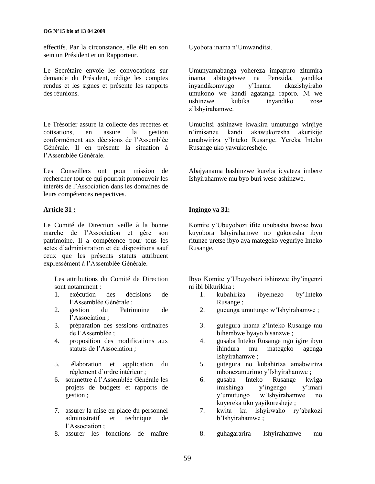effectifs. Par la circonstance, elle élit en son sein un Président et un Rapporteur.

Le Secrétaire envoie les convocations sur demande du Président, rédige les comptes rendus et les signes et présente les rapports des réunions.

Le Trésorier assure la collecte des recettes et cotisations, en assure la gestion conformément aux décisions de l"Assemblée Générale. Il en présente la situation à l"Assemblée Générale.

Les Conseillers ont pour mission de rechercher tout ce qui pourrait promouvoir les intérêts de l"Association dans les domaines de leurs compétences respectives.

### **Article 31 :**

Le Comité de Direction veille à la bonne marche de l"Association et gère son patrimoine. Il a compétence pour tous les actes d"administration et de dispositions sauf ceux que les présents statuts attribuent expressément à l"Assemblée Générale.

Les attributions du Comité de Direction sont notamment :

- 1. exécution des décisions de l"Assemblée Générale ;
- 2. gestion du Patrimoine de l"Association ;
- 3. préparation des sessions ordinaires de l"Assemblée ;
- 4. proposition des modifications aux statuts de l"Association ;
- 5. élaboration et application du règlement d"ordre intérieur ;
- 6. soumettre à l"Assemblée Générale les projets de budgets et rapports de gestion ;
- 7. assurer la mise en place du personnel administratif et technique de l"Association ;
- 8. assurer les fonctions de maître

Uyobora inama n"Umwanditsi.

Umunyamabanga yohereza impapuro zitumira abitegetswe na Perezida, yandika<br>omvugo v'Inama akazishviraho inyandikomvugo y'Inama umukono we kandi agatanga raporo. Ni we ushinzwe kubika inyandiko zose z"Ishyirahamwe.

Umubitsi ashinzwe kwakira umutungo winjiye n"imisanzu kandi akawukoresha akurikije amabwiriza y"Inteko Rusange. Yereka Inteko Rusange uko yawukoresheje.

Abajyanama bashinzwe kureba icyateza imbere Ishyirahamwe mu byo buri wese ashinzwe.

### **Ingingo ya 31:**

Komite y"Ubuyobozi ifite ububasha bwose bwo kuyobora Ishyirahamwe no gukoresha ibyo ritunze uretse ibyo aya mategeko yeguriye Inteko Rusange.

Ibyo Komite y"Ubuyobozi ishinzwe iby"ingenzi ni ibi bikurikira :

- 1. kubahiriza ibyemezo by"Inteko Rusange ;
- 2. gucunga umutungo w"Ishyirahamwe ;
- 3. gutegura inama z"Inteko Rusange mu bihembwe byayo bisanzwe ;
- 4. gusaba Inteko Rusange ngo igire ibyo ihindura mu mategeko agenga Ishyirahamwe ;
- 5. gutegura no kubahiriza amabwiriza mbonezamurimo y"Ishyirahamwe ;
- 6. gusaba Inteko Rusange kwiga imishinga y"ingengo y"imari y"umutungo w"Ishyirahamwe no kuyereka uko yayikoresheje ;
- 7. kwita ku ishyirwaho ry"abakozi b"Ishyirahamwe ;
- 8. guhagararira Ishyirahamwe mu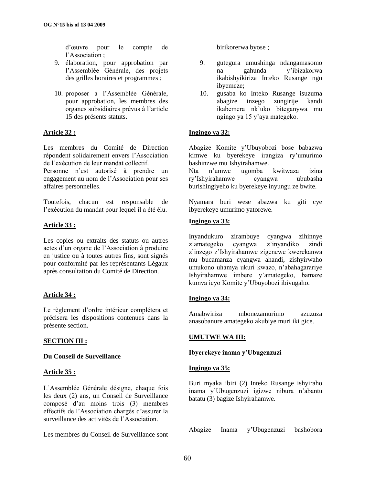d"œuvre pour le compte de l"Association ;

- 9. élaboration, pour approbation par l"Assemblée Générale, des projets des grilles horaires et programmes ;
- 10. proposer à l"Assemblée Générale, pour approbation, les membres des organes subsidiaires prévus à l"article 15 des présents statuts.

### **Article 32 :**

Les membres du Comité de Direction répondent solidairement envers l"Association de l"exécution de leur mandat collectif.

Personne n"est autorisé à prendre un engagement au nom de l"Association pour ses affaires personnelles.

Toutefois, chacun est responsable de l"exécution du mandat pour lequel il a été élu.

### **Article 33 :**

Les copies ou extraits des statuts ou autres actes d"un organe de l"Association à produire en justice ou à toutes autres fins, sont signés pour conformité par les représentants Légaux après consultation du Comité de Direction.

### **Article 34 :**

Le règlement d"ordre intérieur complétera et précisera les dispositions contenues dans la présente section.

### **SECTION III :**

### **Du Conseil de Surveillance**

### **Article 35 :**

L"Assemblée Générale désigne, chaque fois les deux (2) ans, un Conseil de Surveillance composé d"au moins trois (3) membres effectifs de l"Association chargés d"assurer la surveillance des activités de l"Association.

Les membres du Conseil de Surveillance sont

birikorerwa byose ;

- 9. gutegura umushinga ndangamasomo na gahunda y"ibizakorwa ikabishyikiriza Inteko Rusange ngo ibyemeze;
- 10. gusaba ko Inteko Rusange isuzuma abagize inzego zungirije kandi ikabemera nk"uko biteganywa mu ngingo ya 15 y"aya mategeko.

### **Ingingo ya 32:**

Abagize Komite y"Ubuyobozi bose babazwa kimwe ku byerekeye irangiza ry"umurimo bashinzwe mu Ishyirahamwe.

Nta n"umwe ugomba kwitwaza izina ry"Ishyirahamwe cyangwa ububasha burishingiyeho ku byerekeye inyungu ze bwite.

Nyamara buri wese abazwa ku giti cye ibyerekeye umurimo yatorewe.

### **Ingingo ya 33:**

Inyandukuro zirambuye cyangwa zihinnye z"amategeko cyangwa z"inyandiko zindi z"inzego z"Ishyirahamwe zigenewe kwerekanwa mu bucamanza cyangwa ahandi, zishyirwaho umukono uhamya ukuri kwazo, n"abahagarariye Ishyirahamwe imbere y"amategeko, bamaze kumva icyo Komite y"Ubuyobozi ibivugaho.

### **Ingingo ya 34:**

Amabwiriza mbonezamurimo azuzuza anasobanure amategeko akubiye muri iki gice.

### **UMUTWE WA III:**

### **Ibyerekeye inama y"Ubugenzuzi**

### **Ingingo ya 35:**

Buri myaka ibiri (2) Inteko Rusange ishyiraho inama y"Ubugenzuzi igizwe nibura n"abantu batatu (3) bagize Ishyirahamwe.

Abagize Inama y"Ubugenzuzi bashobora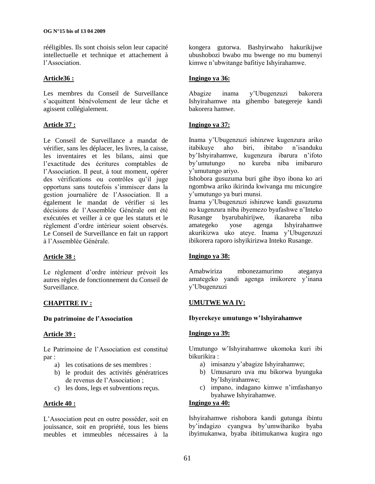rééligibles. Ils sont choisis selon leur capacité intellectuelle et technique et attachement à l"Association.

### **Article36 :**

Les membres du Conseil de Surveillance s"acquittent bénévolement de leur tâche et agissent collégialement.

### **Article 37 :**

Le Conseil de Surveillance a mandat de vérifier, sans les déplacer, les livres, la caisse, les inventaires et les bilans, ainsi que l"exactitude des écritures comptables de l"Association. Il peut, à tout moment, opérer des vérifications ou contrôles qu"il juge opportuns sans toutefois s"immiscer dans la gestion journalière de l"Association. Il a également le mandat de vérifier si les décisions de l"Assemblée Générale ont été exécutées et veiller à ce que les statuts et le règlement d"ordre intérieur soient observés. Le Conseil de Surveillance en fait un rapport à l"Assemblée Générale.

### **Article 38 :**

Le règlement d"ordre intérieur prévoit les autres règles de fonctionnement du Conseil de Surveillance.

### **CHAPITRE IV :**

### **Du patrimoine de l"Association**

### **Article 39 :**

Le Patrimoine de l"Association est constitué par :

- a) les cotisations de ses membres :
- b) le produit des activités génératrices de revenus de l"Association ;
- c) les dons, legs et subventions reçus.

### **Article 40 :**

L"Association peut en outre posséder, soit en jouissance, soit en propriété, tous les biens meubles et immeubles nécessaires à la kongera gutorwa. Bashyirwaho hakurikijwe ubushobozi bwabo mu bwenge no mu bumenyi kimwe n"ubwitange bafitiye Ishyirahamwe.

### **Ingingo ya 36:**

Abagize inama y"Ubugenzuzi bakorera Ishyirahamwe nta gihembo bategereje kandi bakorera hamwe.

### **Ingingo ya 37:**

Inama y"Ubugenzuzi ishinzwe kugenzura ariko itabikuye aho biri, ibitabo n"isanduku by'Ishyirahamwe, kugenzura ibarura n'ifoto<br>by'umutungo no kureba niba imibaruro no kureba niba imibaruro y"umutungo ariyo.

Ishobora gusuzuma buri gihe ibyo ibona ko ari ngombwa ariko ikirinda kwivanga mu micungire y"umutungo ya buri munsi.

Inama y"Ubugenzuzi ishinzwe kandi gusuzuma no kugenzura niba ibyemezo byafashwe n"Inteko Rusange byarubahirijwe, ikanareba niba amategeko yose agenga Ishyirahamwe akurikizwa uko ateye. Inama y"Ubugenzuzi ibikorera raporo ishyikirizwa Inteko Rusange.

### **Ingingo ya 38:**

Amabwiriza mbonezamurimo ateganya amategeko yandi agenga imikorere y"inana y"Ubugenzuzi

### **UMUTWE WA IV:**

### **Ibyerekeye umutungo w"Ishyirahamwe**

### **Ingingo ya 39:**

Umutungo w"Ishyirahamwe ukomoka kuri ibi bikurikira :

- a) imisanzu y"abagize Ishyirahamwe;
- b) Umusaruro uva mu bikorwa byunguka by"Ishyirahamwe;
- c) impano, indagano kimwe n"imfashanyo byahawe Ishyirahamwe.

### **Ingingo ya 40:**

Ishyirahamwe rishobora kandi gutunga ibintu by"indagizo cyangwa by"umwihariko byaba ibyimukanwa, byaba ibitimukanwa kugira ngo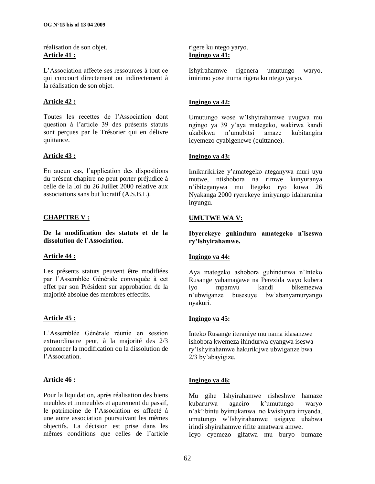réalisation de son objet. **Article 41 :**

L"Association affecte ses ressources à tout ce qui concourt directement ou indirectement à la réalisation de son objet.

### **Article 42 :**

Toutes les recettes de l"Association dont question à l"article 39 des présents statuts sont perçues par le Trésorier qui en délivre quittance.

### **Article 43 :**

En aucun cas, l"application des dispositions du présent chapitre ne peut porter préjudice à celle de la loi du 26 Juillet 2000 relative aux associations sans but lucratif (A.S.B.L).

### **CHAPITRE V :**

**De la modification des statuts et de la dissolution de l"Association.**

### **Article 44 :**

Les présents statuts peuvent être modifiées par l"Assemblée Générale convoquée à cet effet par son Président sur approbation de la majorité absolue des membres effectifs.

### **Article 45 :**

L"Assemblée Générale réunie en session extraordinaire peut, à la majorité des 2/3 prononcer la modification ou la dissolution de l"Association.

### **Article 46 :**

Pour la liquidation, après réalisation des biens meubles et immeubles et apurement du passif, le patrimoine de l"Association es affecté à une autre association poursuivant les mêmes objectifs. La décision est prise dans les mêmes conditions que celles de l"article

rigere ku ntego yaryo. **Ingingo ya 41:**

Ishyirahamwe rigenera umutungo waryo, imirimo yose ituma rigera ku ntego yaryo.

### **Ingingo ya 42:**

Umutungo wose w"Ishyirahamwe uvugwa mu ngingo ya 39 y"aya mategeko, wakirwa kandi ukabikwa n"umubitsi amaze kubitangira icyemezo cyabigenewe (quittance).

### **Ingingo ya 43:**

Imikurikirize y"amategeko ateganywa muri uyu mutwe, ntishobora na rimwe kunyuranya n"ibiteganywa mu Itegeko ryo kuwa 26 Nyakanga 2000 ryerekeye imiryango idaharanira inyungu.

### **UMUTWE WA V:**

**Ibyerekeye guhindura amategeko n"iseswa ry"Ishyirahamwe.**

### **Ingingo ya 44:**

Aya mategeko ashobora guhindurwa n"Inteko Rusange yahamagawe na Perezida wayo kubera iyo mpamvu kandi bikemezwa n"ubwiganze busesuye bw"abanyamuryango nyakuri.

### **Ingingo ya 45:**

Inteko Rusange iteraniye mu nama idasanzwe ishobora kwemeza ihindurwa cyangwa iseswa ry"Ishyirahamwe hakurikijwe ubwiganze bwa 2/3 by"abayigize.

### **Ingingo ya 46:**

Mu gihe Ishyirahamwe risheshwe hamaze kubarurwa agaciro k"umutungo waryo n"ak"ibintu byimukanwa no kwishyura imyenda, umutungo w"Ishyirahamwe usigaye uhabwa irindi shyirahamwe rifite amatwara amwe.

Icyo cyemezo gifatwa mu buryo bumaze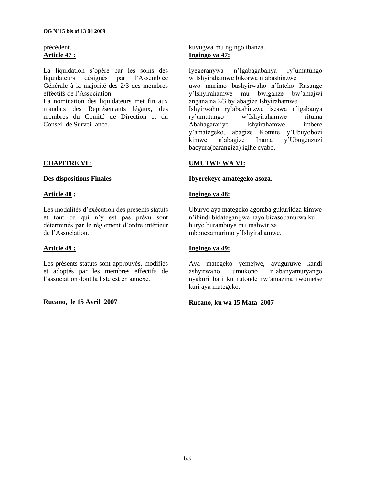### précédent. **Article 47 :**

La liquidation s'opère par les soins des liquidateurs désignés par l'Assemblée l'Assemblée Générale à la majorité des 2/3 des membres effectifs de l"Association.

La nomination des liquidateurs met fin aux mandats des Représentants légaux, des membres du Comité de Direction et du Conseil de Surveillance.

### **CHAPITRE VI :**

### **Des dispositions Finales**

### **Article 48 :**

Les modalités d"exécution des présents statuts et tout ce qui n"y est pas prévu sont déterminés par le règlement d"ordre intérieur de l"Association.

### **Article 49 :**

Les présents statuts sont approuvés, modifiés et adoptés par les membres effectifs de l'association dont la liste est en annexe.

### **Rucano, le 15 Avril 2007**

kuvugwa mu ngingo ibanza. **Ingingo ya 47:**

Iyegeranywa n"Igabagabanya ry"umutungo w"Ishyirahamwe bikorwa n"abashinzwe uwo murimo bashyirwaho n"Inteko Rusange y"Ishyirahamwe mu bwiganze bw"amajwi angana na 2/3 by"abagize Ishyirahamwe. Ishyirwaho ry"abashinzwe iseswa n"igabanya ry"umutungo w"Ishyirahamwe rituma Abahagarariye Ishyirahamwe imbere y"amategeko, abagize Komite y"Ubuyobozi kimwe n"abagize Inama y"Ubugenzuzi bacyura(barangiza) igihe cyabo.

### **UMUTWE WA VI:**

#### **Ibyerekeye amategeko asoza.**

### **Ingingo ya 48:**

Uburyo aya mategeko agomba gukurikiza kimwe n"ibindi bidateganijwe nayo bizasobanurwa ku buryo burambuye mu mabwiriza mbonezamurimo y"Ishyirahamwe.

### **Ingingo ya 49:**

Aya mategeko yemejwe, avuguruwe kandi ashyirwaho umukono n"abanyamuryango nyakuri bari ku rutonde rw"amazina rwometse kuri aya mategeko.

### **Rucano, ku wa 15 Mata 2007**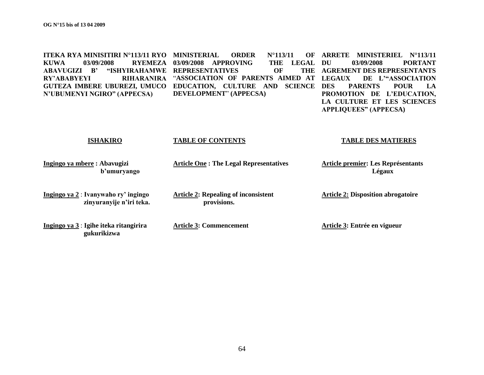**ITEKA RYA MINISITIRI N°113/11 RYO MINISTERIAL ORDER N°113/11 OF KUWA 03/09/2008 RYEMEZA 03/09/2008 APPROVING THE LEGAL ABAVUGIZI B" "ISHYIRAHAMWE REPRESENTATIVES OF THE RY'ABABYEYI GUTEZA IMBERE UBUREZI, UMUCO EDUCATION, CULTURE AND SCIENCE N"UBUMENYI NGIRO" (APPECSA)** RIHARANIRA "ASSOCIATION OF PARENTS AIMED AT LEGAUX **DEVELOPMENT**" **(APPECSA) ARRETE MINISTERIEL N°113/11**  THE LEGAL DU 03/09/2008 PORTANT **AGREMENT DES REPRESENTANTS**  DE L<sup>\*</sup>ASSOCIATION PARENTS POUR LA **PROMOTION DE L"EDUCATION, LA CULTURE ET LES SCIENCES** 

**APPLIQUEES" (APPECSA)**

#### **ISHAKIRO**

#### **TABLE OF CONTENTS**

#### **TABLE DES MATIERES**

 **Légaux**

**Ingingo ya mbere : Abavugizi b"umuryango**

**Ingingo ya 2** : **Ivanywaho ry" ingingo zinyuranyije n"iri teka.**

**Ingingo ya 3** : **Igihe iteka ritangirira gukurikizwa**

**Article 2: Repealing of inconsistent provisions.**

**Article 3: Commencement**

**Article One : The Legal Representatives**

**Article 2: Disposition abrogatoire**

**Article premier: Les Représentants** 

**Article 3: Entrée en vigueur**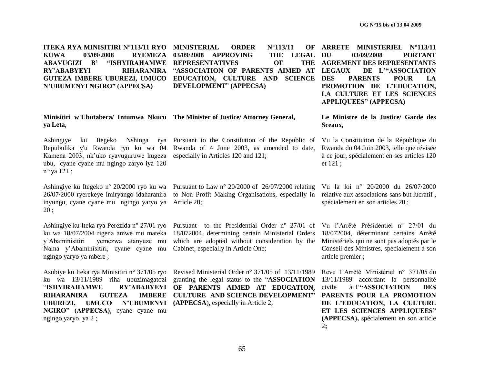**ITEKA RYA MINISITIRI N°113/11 RYO MINISTERIAL ORDER N°113/11 OF KUWA 03/09/2008 RYEMEZA ABAVUGIZI B" "ISHYIRAHAMWE REPRESENTATIVES OF THE RY'ABABYEYI GUTEZA IMBERE UBUREZI, UMUCO EDUCATION, CULTURE AND SCIENCE N"UBUMENYI NGIRO" (APPECSA)** 03/09/2008 APPROVING THE LEGAL DU RIHARANIRA "ASSOCIATION OF PARENTS AIMED AT LEGAUX **DEVELOPMENT**" **(APPECSA) ARRETE MINISTERIEL N°113/11 AGREMENT DES REPRESENTANTS** 

#### **Minisitiri w'Ubutabera/ Intumwa Nkuru The Minister of Justice/ Attorney General, ya Leta**,

Repubulika y'u Rwanda ryo ku wa 04 Kamena 2003, nk"uko ryavuguruwe kugeza ubu, cyane cyane mu ngingo zaryo iya 120 n"iya 121 ;

inyungu, cyane cyane mu ngingo yaryo ya Article 20; 20 ;

y"Abaminisitiri yemezwa atanyuze mu Nama y"Abaminisitiri, cyane cyane mu ngingo yaryo ya mbere ;

Asubiye ku Iteka rya Minisitiri n° 371/05 ryo ku wa 13/11/1989 riha ubuzimagatozi "**ISHYIRAHAMWE RY"ABABYEYI RIHARANIRA GUTEZA UBUREZI, UMUCO NGIRO" (APPECSA)**, cyane cyane mu ngingo yaryo ya 2 ;

Ashingiye ku Itegeko Nshinga rya Pursuant to the Constitution of the Republic of Rwanda of 4 June 2003, as amended to date, especially in Articles 120 and 121;

Ashingiye ku Itegeko n° 20/2000 ryo ku wa Pursuant to Law n° 20/2000 of 26/07/2000 relating 26/07/2000 ryerekeye imiryango idaharanira to Non Profit Making Organisations, especially in

Ashingiye ku Iteka rya Perezida n° 27/01 ryo Pursuant to the Presidential Order n° 27/01 of Vu l"Arrêté Présidentiel n° 27/01 du ku wa 18/07/2004 rigena amwe mu mateka 18/072004, determining certain Ministerial Orders which are adopted without consideration by the Cabinet, especially in Article One;

> Revised Ministerial Order n° 371/05 of 13/11/1989 granting the legal status to the "**ASSOCIATION**  RY'ABABYEYI OF PARENTS AIMED AT EDUCATION, **CULTURE AND SCIENCE DEVELOPMENT" N'UBUMENYI** (APPECSA), especially in Article 2;

**DU 03/09/2008 PORTANT**  DE L'"ASSOCIATION PARENTS POUR LA **PROMOTION DE L"EDUCATION, LA CULTURE ET LES SCIENCES APPLIQUEES" (APPECSA)**

**Le Ministre de la Justice/ Garde des Sceaux,**

Vu la Constitution de la République du Rwanda du 04 Juin 2003, telle que révisée à ce jour, spécialement en ses articles 120 et 121 ;

Vu la loi n° 20/2000 du 26/07/2000 relative aux associations sans but lucratif , spécialement en son articles 20 ;

18/072004, déterminant certains Arrêté Ministériels qui ne sont pas adoptés par le Conseil des Ministres, spécialement à son article premier ;

Revu l"Arrêté Ministériel n° 371/05 du 13/11/1989 accordant la personnalité civile à l"**"ASSOCIATION DES PARENTS POUR LA PROMOTION DE L"EDUCATION, LA CULTURE ET LES SCIENCES APPLIQUEES" (APPECSA**)**,** spécialement en son article 2**;**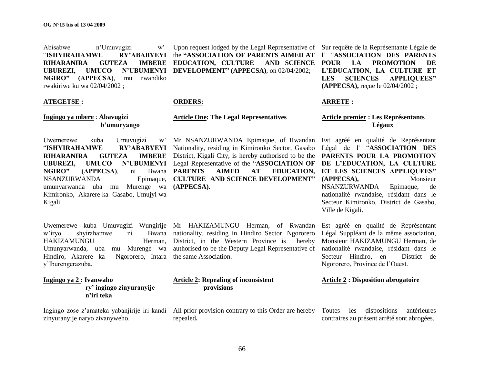Abisabwe n"Umuvugizi w" "**ISHYIRAHAMWE RIHARANIRA GUTEZA UBUREZI, UMUCO NGIRO" (APPECSA)**, mu rwandiko rwakiriwe ku wa 02/04/2002 ;

#### **ATEGETSE :**

#### **Ingingo ya mbere** : **Abavugizi b"umuryango**

Uwemerewe kuba Umuvugizi w" "**ISHYIRAHAMWE RY"ABABYEYI RIHARANIRA GUTEZA** NGIRO" (APPECSA), ni Bwana PARENTS **NSANZURWANDA** umunyarwanda uba mu Murenge wa **(APPECSA).** Kimironko, Akarere ka Gasabo, Umujyi wa Kigali.

w'iryo shyirahamwe ni HAKIZAMUNGU Herman, Umunyarwanda, uba mu Murenge wa Hindiro, Akarere ka Ngororero, Intara y"Iburengerazuba.

#### **Ingingo ya 2 : Ivanwaho ry" ingingo zinyuranyije n"iri teka**

zinyuranyije naryo zivanyweho.

Upon request lodged by the Legal Representative of Sur requête de la Représentante Légale de the **"ASSOCIATION OF PARENTS AIMED AT**  l" "**ASSOCIATION DES PARENTS EDUCATION, CULTURE DEVELOPMENT" (APPECSA)**, on 02/04/2002;

#### **ORDERS:**

#### **Article One: The Legal Representatives**

**UBUREZI, UMUCO N"UBUMENYI**  Legal Representative of the "**ASSOCIATION OF**  Mr NSANZURWANDA Epimaque, of Rwandan Nationality, residing in Kimironko Sector, Gasabo **IMBERE** District, Kigali City, is hereby authorised to be the **AIMED AT EDUCATION,** Epimaque, **CULTURE AND SCIENCE DEVELOPMENT**"

Uwemerewe kuba Umuvugizi Wungirije Mr HAKIZAMUNGU Herman, of Rwandan Bwana nationality, residing in Hindiro Sector, Ngororero District, in the Western Province is hereby authorised to be the Deputy Legal Representative of the same Association.

#### **Article 2: Repealing of inconsistent provisions**

Ingingo zose z"amateka yabanjirije iri kandi All prior provision contrary to this Order are hereby Toutes les dispositions antérieures repealed**.**

AND SCIENCE POUR LA PROMOTION DE **L"EDUCATION, LA CULTURE ET LES SCIENCES APPLIQUEES" (APPECSA),** reçue le 02/04/2002 ;

#### **ARRETE :**

#### **Article premier : Les Représentants Légaux**

Est agréé en qualité de Représentant Légal de l' "**ASSOCIATION DES PARENTS POUR LA PROMOTION DE L"EDUCATION, LA CULTURE ET LES SCIENCES APPLIQUEES" (APPECSA),** Monsieur NSANZURWANDA Epimaque, de nationalité rwandaise, résidant dans le Secteur Kimironko, District de Gasabo, Ville de Kigali.

Est agréé en qualité de Représentant Légal Suppléant de la même association, Monsieur HAKIZAMUNGU Herman, de nationalité rwandaise, résidant dans le Secteur Hindiro, en District de Ngororero, Province de l"Ouest.

#### **Article 2 : Disposition abrogatoire**

contraires au présent arrêté sont abrogées.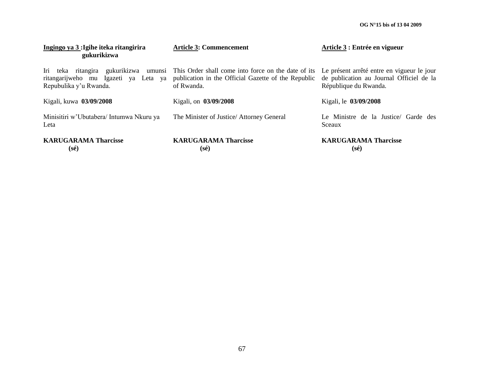**OG N°15 bis of 13 04 2009**

| Ingingo ya 3 : Igihe iteka ritangirira<br>gukurikizwa | <b>Article 3: Commencement</b>                                                                                                                                                                                                                 | Article 3 : Entrée en vigueur                                     |
|-------------------------------------------------------|------------------------------------------------------------------------------------------------------------------------------------------------------------------------------------------------------------------------------------------------|-------------------------------------------------------------------|
| Repubulika y'u Rwanda.                                | Iri teka ritangira gukurikizwa umunsi This Order shall come into force on the date of its Le présent arrêté entre en vigueur le jour<br>ritangarijweho mu Igazeti ya Leta ya publication in the Official Gazette of the Republic<br>of Rwanda. | de publication au Journal Officiel de la<br>République du Rwanda. |
| Kigali, kuwa 03/09/2008                               | Kigali, on 03/09/2008                                                                                                                                                                                                                          | Kigali, le 03/09/2008                                             |
| Minisitiri w'Ubutabera/ Intumwa Nkuru ya<br>Leta      | The Minister of Justice/ Attorney General                                                                                                                                                                                                      | Le Ministre de la Justice/ Garde des<br>Sceaux                    |
| <b>KARUGARAMA Tharcisse</b><br>$(s\acute{e})$         | <b>KARUGARAMA Tharcisse</b><br>$(s\acute{e})$                                                                                                                                                                                                  | <b>KARUGARAMA Tharcisse</b><br>$(s\acute{e})$                     |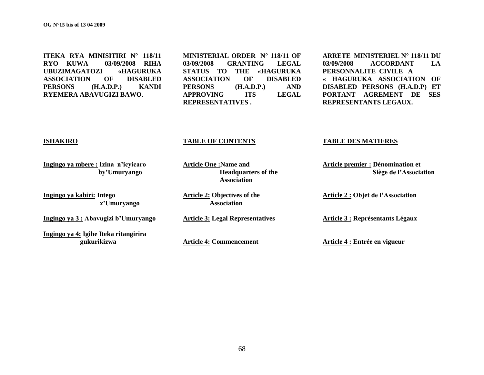**ITEKA RYA MINISITIRI N° 118/11 RYO KUWA 03/09/2008 RIHA UBUZIMAGATOZI «HAGURUKA ASSOCIATION OF DISABLED PERSONS (H.A.D.P.) KANDI RYEMERA ABAVUGIZI BAWO**.

**MINISTERIAL ORDER N° 118/11 OF 03/09/2008 GRANTING LEGAL STATUS TO THE «HAGURUKA ASSOCIATION OF DISABLED PERSONS (H.A.D.P.) AND APPROVING ITS LEGAL REPRESENTATIVES .**

**ARRETE MINISTERIEL N° 118/11 DU 03/09/2008 ACCORDANT LA PERSONNALITE CIVILE A « HAGURUKA ASSOCIATION OF DISABLED PERSONS (H.A.D.P) ET PORTANT AGREMENT DE SES REPRESENTANTS LEGAUX.** 

#### **ISHAKIRO**

### **Ingingo ya mbere : Izina n"icyicaro by"Umuryango**

**Ingingo ya kabiri: Intego z"Umuryango**

**Ingingo ya 3 : Abavugizi b"Umuryango**

**Ingingo ya 4: Igihe Iteka ritangirira gukurikizwa** 

### **TABLE OF CONTENTS**

**Article One :Name and Headquarters of the Association**

**Article 2: Objectives of the Association** 

**Article 3: Legal Representatives**

**Article 4: Commencement** 

#### **TABLE DES MATIERES**

**Article premier : Dénomination et Siège de l"Association**

**Article 2 : Objet de l"Association**

**Article 3 : Représentants Légaux** 

**Article 4 : Entrée en vigueur**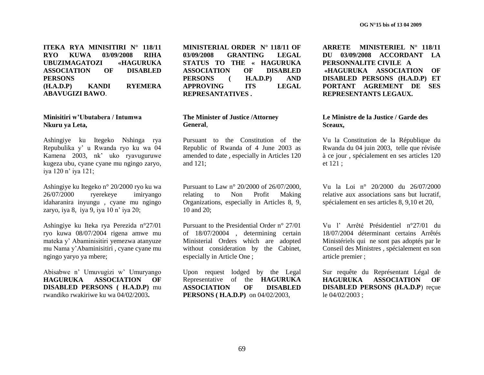**ITEKA RYA MINISITIRI N° 118/11 RYO KUWA 03/09/2008 RIHA UBUZIMAGATOZI «HAGURUKA ASSOCIATION OF DISABLED PERSONS (H.A.D.P) KANDI RYEMERA ABAVUGIZI BAWO**.

#### **Minisitiri w"Ubutabera / Intumwa Nkuru ya Leta,**

Ashingiye ku Itegeko Nshinga rya Repubulika y" u Rwanda ryo ku wa 04 Kamena 2003, nk" uko ryavuguruwe kugeza ubu, cyane cyane mu ngingo zaryo, iya 120 n' iya 121;

Ashingiye ku Itegeko n° 20/2000 ryo ku wa 26/07/2000 ryerekeye imiryango idaharanira inyungu , cyane mu ngingo zaryo, iya 8, iya 9, iya 10 n" iya 20;

Ashingiye ku Iteka rya Perezida n°27/01 ryo kuwa 08/07/2004 rigena amwe mu mateka y" Abaminisitiri yemezwa atanyuze mu Nama y"Abaminisitiri , cyane cyane mu ngingo yaryo ya mbere;

Abisabwe n" Umuvugizi w" Umuryango **HAGURUKA ASSOCIATION OF DISABLED PERSONS ( H.A.D.P)** mu rwandiko rwakiriwe ku wa 04/02/2003**.**

**MINISTERIAL ORDER N° 118/11 OF 03/09/2008 GRANTING LEGAL STATUS TO THE « HAGURUKA ASSOCIATION OF DISABLED PERSONS ( H.A.D.P) AND APPROVING ITS LEGAL REPRESANTATIVES .**

#### **The Minister of Justice /Attorney General**,

Pursuant to the Constitution of the Republic of Rwanda of 4 June 2003 as amended to date , especially in Articles 120 and 121;

Pursuant to Law n° 20/2000 of 26/07/2000, relating to Non Profit Making Organizations, especially in Articles 8, 9, 10 and 20;

Pursuant to the Presidential Order n° 27/01 of 18/07/20004 , determining certain Ministerial Orders which are adopted without consideration by the Cabinet, especially in Article One ;

Upon request lodged by the Legal Representative of the **HAGURUKA ASSOCIATION OF DISABLED PERSONS ( H.A.D.P)** on 04/02/2003,

**ARRETE MINISTERIEL N° 118/11 DU 03/09/2008 ACCORDANT LA PERSONNALITE CIVILE A «HAGURUKA ASSOCIATION OF DISABLED PERSONS (H.A.D.P) ET PORTANT AGREMENT DE SES REPRESENTANTS LEGAUX.** 

#### **Le Ministre de la Justice / Garde des Sceaux,**

Vu la Constitution de la République du Rwanda du 04 juin 2003, telle que révisée à ce jour , spécialement en ses articles 120 et 121 ;

Vu la Loi n° 20/2000 du 26/07/2000 relative aux associations sans but lucratif, spécialement en ses articles 8, 9,10 et 20,

Vu l" Arrêté Présidentiel n°27/01 du 18/07/2004 déterminant certains Arrêtés Ministériels qui ne sont pas adoptés par le Conseil des Ministres , spécialement en son article premier ;

Sur requête du Représentant Légal de **HAGURUKA ASSOCIATION OF DISABLED PERSONS (H.A.D.P**) reçue le 04/02/2003 ;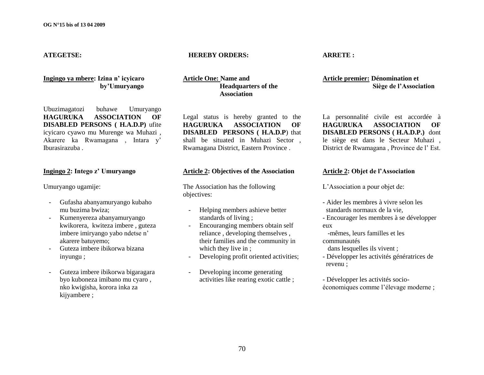#### **ATEGETSE:**

### **Ingingo ya mbere: Izina n" icyicaro by"Umuryango**

Ubuzimagatozi buhawe Umuryango **HAGURUKA ASSOCIATION OF DISABLED PERSONS ( H.A.D.P)** ufite icyicaro cyawo mu Murenge wa Muhazi , Akarere ka Rwamagana , Intara y" Iburasirazuba .

#### **Ingingo 2: Intego z" Umuryango**

Umuryango ugamije:

- Gufasha abanyamuryango kubaho mu buzima bwiza;
- Kumenyereza abanyamuryango kwikorera, kwiteza imbere , guteza imbere imiryango yabo ndetse n" akarere batuyemo;
- Guteza imbere ibikorwa bizana inyungu ;
- Guteza imbere ibikorwa bigaragara byo kuboneza imibano mu cyaro , nko kwigisha, korora inka za kijyambere ;

#### **HEREBY ORDERS:**

**Article One: Name and Headquarters of the Association**

Legal status is hereby granted to the **HAGURUKA ASSOCIATION OF DISABLED PERSONS ( H.A.D.P**) that shall be situated in Muhazi Sector , Rwamagana District, Eastern Province .

### **Article 2: Objectives of the Association**

The Association has the following objectives:

- Helping members ashieve better standards of living ;
- Encouranging members obtain self reliance , developing themselves , their families and the community in which they live in ;
- Developing profit oriented activities;
- Developing income generating activities like rearing exotic cattle ;

#### **ARRETE :**

#### **Article premier: Dénomination et Siège de l"Association**

La personnalité civile est accordée à **HAGURUKA ASSOCIATION OF DISABLED PERSONS ( H.A.D.P.)** dont le siège est dans le Secteur Muhazi , District de Rwamagana, Province de l'Est.

### **Article 2: Objet de l"Association**

L"Association a pour objet de:

- Aider les membres à vivre selon les standards normaux de la vie,
- Encourager les membres à se développer eux
- -mêmes, leurs familles et les communautés
- dans lesquelles ils vivent ;
- Développer les activités génératrices de revenu ;
- Développer les activités socioéconomiques comme l"élevage moderne ;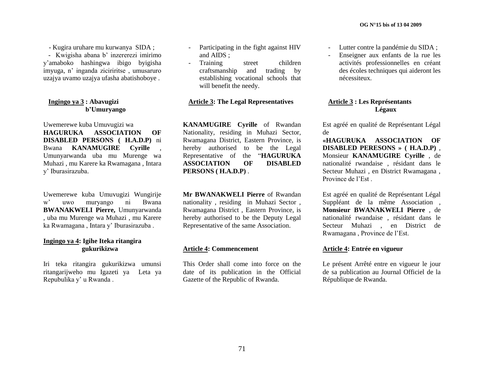- Kugira uruhare mu kurwanya SIDA ;

- Kwigisha abana b' inzererezi imirimo y"amaboko hashingwa ibigo byigisha imyuga, n" inganda ziciriritse , umusaruro uzajya uvamo uzajya ufasha abatishoboye .

#### **Ingingo ya 3 : Abavugizi b"Umuryango**

Uwemerewe kuba Umuvugizi wa **HAGURUKA ASSOCIATION OF DISABLED PERSONS ( H.A.D.P)** ni Bwana **KANAMUGIRE Cyrille** , Umunyarwanda uba mu Murenge wa Muhazi , mu Karere ka Rwamagana , Intara y" Iburasirazuba.

Uwemerewe kuba Umuvugizi Wungirije w" uwo muryango ni Bwana **BWANAKWELI Pierre,** Umunyarwanda , uba mu Murenge wa Muhazi , mu Karere ka Rwamagana , Intara y" Iburasirazuba .

#### **Ingingo ya 4: Igihe Iteka ritangira gukurikizwa**

Iri teka ritangira gukurikizwa umunsi ritangarijweho mu Igazeti ya Leta ya Repubulika y" u Rwanda .

- Participating in the fight against HIV and AIDS ;
- Training street children craftsmanship and trading by establishing vocational schools that will benefit the needy.

### **Article 3: The Legal Representatives**

**KANAMUGIRE Cyrille** of Rwandan Nationality, residing in Muhazi Sector, Rwamagana District, Eastern Province, is hereby authorised to be the Legal Representative of the "**HAGURUKA ASSOCIATION OF DISABLED PERSONS ( H.A.D.P)** .

**Mr BWANAKWELI Pierre** of Rwandan nationality , residing in Muhazi Sector , Rwamagana District , Eastern Province, is hereby authorised to be the Deputy Legal Representative of the same Association.

#### **Article 4: Commencement**

This Order shall come into force on the date of its publication in the Official Gazette of the Republic of Rwanda.

- Lutter contre la pandémie du SIDA ;
- Enseigner aux enfants de la rue les activités professionnelles en créant des écoles techniques qui aideront les nécessiteux.

#### **Article 3 : Les Représentants Légaux**

Est agréé en qualité de Représentant Légal de

**«HAGURUKA ASSOCIATION OF DISABLED PERESONS » ( H.A.D.P)** , Monsieur **KANAMUGIRE Cyrille** , de nationalité rwandaise , résidant dans le Secteur Muhazi , en District Rwamagana , Province de l"Est .

Est agréé en qualité de Représentant Légal Suppléant de la même Association , **Monsieur BWANAKWELI Pierre** , de nationalité rwandaise , résidant dans le Secteur Muhazi , en District de Rwamagana , Province de l"Est.

#### **Article 4: Entrée en vigueur**

Le présent Arrêté entre en vigueur le jour de sa publication au Journal Officiel de la République de Rwanda.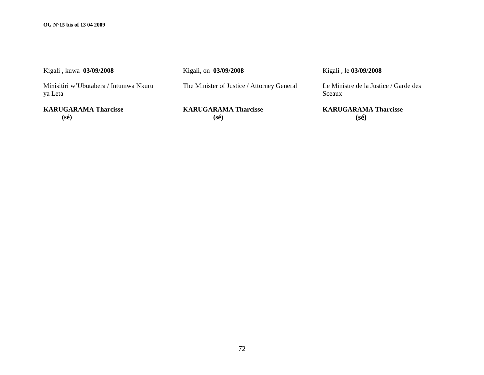| Kigali, kuwa 03/09/2008                           | Kigali, on 03/09/2008                      | Kigali, le 03/09/2008                          |
|---------------------------------------------------|--------------------------------------------|------------------------------------------------|
| Minisitiri w'Ubutabera / Intumwa Nkuru<br>ya Leta | The Minister of Justice / Attorney General | Le Ministre de la Justice / Garde de<br>Sceaux |
| <b>KARUGARAMA Tharcisse</b>                       | <b>KARUGARAMA Tharcisse</b>                | <b>KARUGARAMA Tharcisse</b>                    |

**(sé)**

**KARUGARAMA Tharcisse (sé)**

**KARUGARAMA Tharcisse (sé)**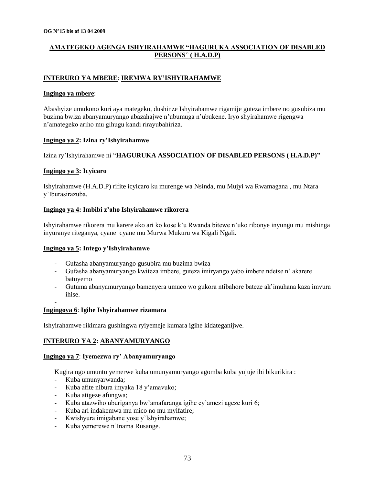# **AMATEGEKO AGENGA ISHYIRAHAMWE "HAGURUKA ASSOCIATION OF DISABLED PERSONS**" **( H.A.D.P)**

#### **INTERURO YA MBERE**: **IREMWA RY"ISHYIRAHAMWE**

#### **Ingingo ya mbere**:

Abashyize umukono kuri aya mategeko, dushinze Ishyirahamwe rigamije guteza imbere no gusubiza mu buzima bwiza abanyamuryango abazahajwe n"ubumuga n"ubukene. Iryo shyirahamwe rigengwa n"amategeko ariho mu gihugu kandi rirayubahiriza.

#### **Ingingo ya 2: Izina ry"Ishyirahamwe**

Izina ry"Ishyirahamwe ni "**HAGURUKA ASSOCIATION OF DISABLED PERSONS ( H.A.D.P)"**

#### **Ingingo ya 3: Icyicaro**

-

Ishyirahamwe (H.A.D.P) rifite icyicaro ku murenge wa Nsinda, mu Mujyi wa Rwamagana , mu Ntara y"Iburasirazuba.

#### **Ingingo ya 4: Imbibi z"aho Ishyirahamwe rikorera**

Ishyirahamwe rikorera mu karere ako ari ko kose k"u Rwanda bitewe n"uko ribonye inyungu mu mishinga inyuranye riteganya, cyane cyane mu Murwa Mukuru wa Kigali Ngali.

#### **Ingingo ya 5: Intego y"Ishyirahamwe**

- Gufasha abanyamuryango gusubira mu buzima bwiza
- Gufasha abanyamuryango kwiteza imbere, guteza imiryango yabo imbere ndetse n" akarere batuyemo
- Gutuma abanyamuryango bamenyera umuco wo gukora ntibahore bateze ak"imuhana kaza imvura ihise.

#### **Ingingoya 6**: **Igihe Ishyirahamwe rizamara**

Ishyirahamwe rikimara gushingwa ryiyemeje kumara igihe kidateganijwe.

#### **INTERURO YA 2: ABANYAMURYANGO**

#### **Ingingo ya 7**: **Iyemezwa ry" Abanyamuryango**

Kugira ngo umuntu yemerwe kuba umunyamuryango agomba kuba yujuje ibi bikurikira :

- Kuba umunyarwanda;
- Kuba afite nibura imyaka 18 y"amavuko;
- Kuba atigeze afungwa;
- Kuba atazwiho uburiganya bw'amafaranga igihe cy'amezi ageze kuri 6;
- Kuba ari indakemwa mu mico no mu myifatire;
- Kwishyura imigabane yose y'Ishyirahamwe;
- Kuba yemerewe n"Inama Rusange.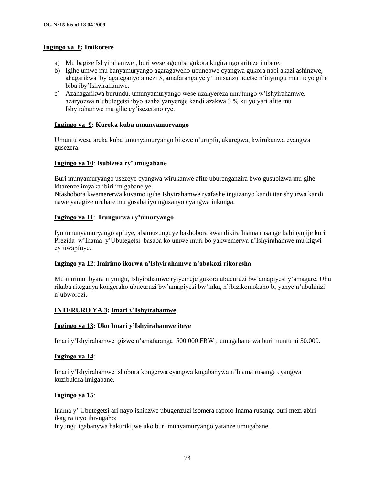#### **Ingingo ya 8: Imikorere**

- a) Mu bagize Ishyirahamwe , buri wese agomba gukora kugira ngo ariteze imbere.
- b) Igihe umwe mu banyamuryango agaragaweho ubunebwe cyangwa gukora nabi akazi ashinzwe, ahagarikwa by"agateganyo amezi 3, amafaranga ye y" imisanzu ndetse n"inyungu muri icyo gihe biba iby"Ishyirahamwe.
- c) Azahagarikwa burundu, umunyamuryango wese uzanyereza umutungo w"Ishyirahamwe, azaryozwa n"ubutegetsi ibyo azaba yanyereje kandi azakwa 3 % ku yo yari afite mu Ishyirahamwe mu gihe cy"isezerano rye.

#### **Ingingo ya 9: Kureka kuba umunyamuryango**

Umuntu wese areka kuba umunyamuryango bitewe n"urupfu, ukuregwa, kwirukanwa cyangwa gusezera.

#### **Ingingo ya 10**: **Isubizwa ry"umugabane**

Buri munyamuryango usezeye cyangwa wirukanwe afite uburenganzira bwo gusubizwa mu gihe kitarenze imyaka ibiri imigabane ye.

Ntashobora kwemererwa kuvamo igihe Ishyirahamwe ryafashe inguzanyo kandi itarishyurwa kandi nawe yaragize uruhare mu gusaba iyo nguzanyo cyangwa inkunga.

#### **Ingingo ya 11**: **Izungurwa ry"umuryango**

Iyo umunyamuryango apfuye, abamuzunguye bashobora kwandikira Inama rusange babinyujije kuri Prezida w"Inama y"Ubutegetsi basaba ko umwe muri bo yakwemerwa n"Ishyirahamwe mu kigwi cy"uwapfuye.

#### **Ingingo ya 12**: **Imirimo ikorwa n"Ishyirahamwe n"abakozi rikoresha**

Mu mirimo ibyara inyungu, Ishyirahamwe ryiyemeje gukora ubucuruzi bw"amapiyesi y"amagare. Ubu rikaba riteganya kongeraho ubucuruzi bw"amapiyesi bw"inka, n"ibizikomokaho bijyanye n"ubuhinzi n"ubworozi.

#### **INTERURO YA 3: Imari y"Ishyirahamwe**

#### **Ingingo ya 13: Uko Imari y"Ishyirahamwe iteye**

Imari y"Ishyirahamwe igizwe n"amafaranga 500.000 FRW ; umugabane wa buri muntu ni 50.000.

#### **Ingingo ya 14**:

Imari y"Ishyirahamwe ishobora kongerwa cyangwa kugabanywa n"Inama rusange cyangwa kuzibukira imigabane.

#### **Ingingo ya 15**:

Inama y" Ubutegetsi ari nayo ishinzwe ubugenzuzi isomera raporo Inama rusange buri mezi abiri ikagira icyo ibivugaho;

Inyungu igabanywa hakurikijwe uko buri munyamuryango yatanze umugabane.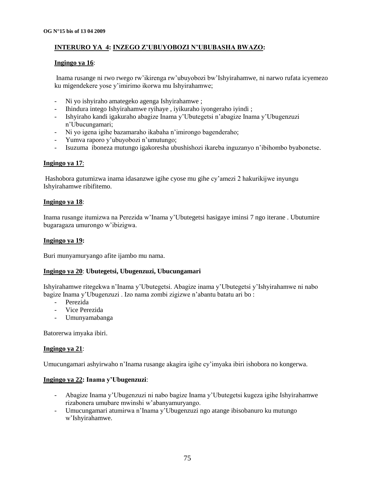# **INTERURO YA 4: INZEGO Z"UBUYOBOZI N"UBUBASHA BWAZO:**

#### **Ingingo ya 16**:

Inama rusange ni rwo rwego rw"ikirenga rw"ubuyobozi bw"Ishyirahamwe, ni narwo rufata icyemezo ku migendekere yose y"imirimo ikorwa mu Ishyirahamwe;

- Ni yo ishyiraho amategeko agenga Ishyirahamwe ;
- Ihindura intego Ishyirahamwe ryihaye , iyikuraho iyongeraho iyindi ;
- Ishyiraho kandi igakuraho abagize Inama y"Ubutegetsi n"abagize Inama y"Ubugenzuzi n"Ubucungamari;
- Ni yo igena igihe bazamaraho ikabaha n"imirongo bagenderaho;
- Yumva raporo y"ubuyobozi n"umutungo;
- Isuzuma iboneza mutungo igakoresha ubushishozi ikareba inguzanyo n"ibihombo byabonetse.

#### **Ingingo ya 17**:

Hashobora gutumizwa inama idasanzwe igihe cyose mu gihe cy"amezi 2 hakurikijwe inyungu Ishyirahamwe ribifitemo.

#### **Ingingo ya 18**:

Inama rusange itumizwa na Perezida w"Inama y"Ubutegetsi hasigaye iminsi 7 ngo iterane . Ubutumire bugaragaza umurongo w"ibizigwa.

#### **Ingingo ya 19:**

Buri munyamuryango afite ijambo mu nama.

#### **Ingingo ya 20**: **Ubutegetsi, Ubugenzuzi, Ubucungamari**

Ishyirahamwe ritegekwa n"Inama y"Ubutegetsi. Abagize inama y"Ubutegetsi y"Ishyirahamwe ni nabo bagize Inama y"Ubugenzuzi . Izo nama zombi zigizwe n"abantu batatu ari bo :

- Perezida
- Vice Perezida
- Umunyamabanga

Batorerwa imyaka ibiri.

#### **Ingingo ya 21**:

Umucungamari ashyirwaho n"Inama rusange akagira igihe cy"imyaka ibiri ishobora no kongerwa.

#### **Ingingo ya 22: Inama y"Ubugenzuzi**:

- Abagize Inama y"Ubugenzuzi ni nabo bagize Inama y"Ubutegetsi kugeza igihe Ishyirahamwe rizabonera umubare mwinshi w"abanyamuryango.
- Umucungamari atumirwa n"Inama y"Ubugenzuzi ngo atange ibisobanuro ku mutungo w"Ishyirahamwe.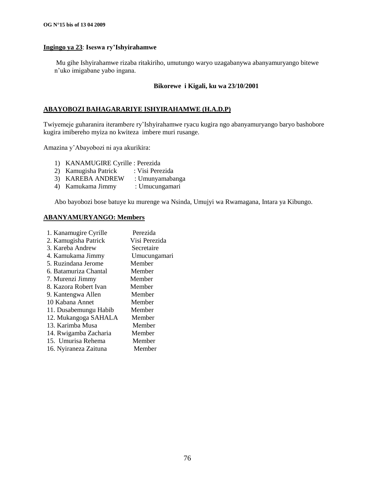#### **Ingingo ya 23**: **Iseswa ry"Ishyirahamwe**

Mu gihe Ishyirahamwe rizaba ritakiriho, umutungo waryo uzagabanywa abanyamuryango bitewe n"uko imigabane yabo ingana.

#### **Bikorewe i Kigali, ku wa 23/10/2001**

#### **ABAYOBOZI BAHAGARARIYE ISHYIRAHAMWE (H.A.D.P)**

Twiyemeje guharanira iterambere ry"Ishyirahamwe ryacu kugira ngo abanyamuryango baryo bashobore kugira imibereho myiza no kwiteza imbere muri rusange.

Amazina y"Abayobozi ni aya akurikira:

- 1) KANAMUGIRE Cyrille : Perezida
- 2) Kamugisha Patrick : Visi Perezida
- 
- 3) KAREBA ANDREW : Umunyamabanga 4) Kamukama Jimmy

Abo bayobozi bose batuye ku murenge wa Nsinda, Umujyi wa Rwamagana, Intara ya Kibungo.

#### **ABANYAMURYANGO: Members**

| 1. Kanamugire Cyrille | Perezida      |
|-----------------------|---------------|
| 2. Kamugisha Patrick  | Visi Perezida |
| 3. Kareba Andrew      | Secretaire    |
| 4. Kamukama Jimmy     | Umucungamari  |
| 5. Ruzindana Jerome   | Member        |
| 6. Batamuriza Chantal | Member        |
| 7. Murenzi Jimmy      | Member        |
| 8. Kazora Robert Ivan | Member        |
| 9. Kantengwa Allen    | Member        |
| 10 Kabana Annet       | Member        |
| 11. Dusabemungu Habib | Member        |
| 12. Mukangoga SAHALA  | Member        |
| 13. Karimba Musa      | Member        |
| 14. Rwigamba Zacharia | Member        |
| 15. Umurisa Rehema    | Member        |
| 16. Nyiraneza Zaituna | Member        |
|                       |               |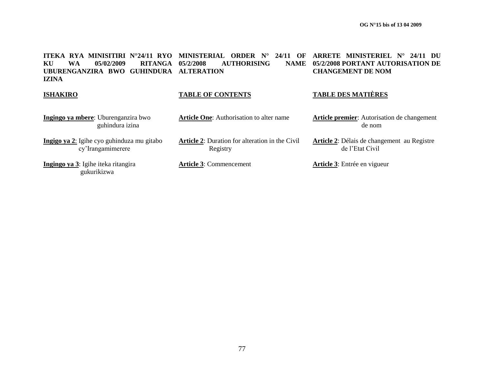**ITEKA RYA MINISITIRI N°24/11 RYO MINISTERIAL ORDER N° 24/11 OF ARRETE MINISTERIEL N° 24/11 DU KU WA 05/02/2009 RITANGA UBURENGANZIRA BWO GUHINDURA ALTERATION IZINA AUTHORISING 05/2/2008 PORTANT AUTORISATION DE CHANGEMENT DE NOM ISHAKIRO TABLE OF CONTENTS TABLE DES MATIÈRES Ingingo ya mbere**: Uburenganzira bwo guhindura izina **Article One**: Authorisation to alter name **Article premier**: Autorisation de changement de nom

> **Article 2**: Délais de changement au Registre de l"Etat Civil

**Ingigo ya 2**: Igihe cyo guhinduza mu gitabo **Article 2**: Duration for alteration in the Civil

**Ingingo ya 3**: Igihe iteka ritangira gukurikizwa

cy"Irangamimerere

**Article 3**: Commencement **Article 3**: Entrée en vigueur

77

Registry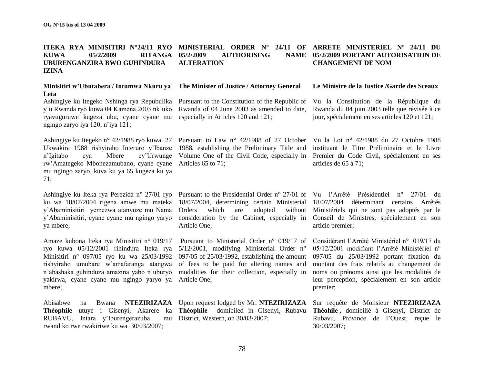#### **ITEKA RYA MINISITIRI N°24/11 RYO MINISTERIAL ORDER N° 24/11 OF ARRETE MINISTERIEL N° 24/11 DU KUWA 05/2/2009 RITANGA UBURENGANZIRA BWO GUHINDURA IZINA AUTHORISING ALTERATION CHANGEMENT DE NOM**

#### **Minisitiri w"Ubutabera / Intumwa Nkuru ya Leta**

Ashingiye ku Itegeko Nshinga rya Repubulika y"u Rwanda ryo kuwa 04 Kamena 2003 nk"uko ryavuguruwe kugeza ubu, cyane cyane mu ngingo zaryo iya 120, n"iya 121;

Ashingiye ku Itegeko n° 42/1988 ryo kuwa 27 Pursuant to Law n° 42/1988 of 27 October Vu la Loi n° 42/1988 du 27 Octobre 1988 rw"Amategeko Mbonezamubano, cyane cyane Articles 65 to 71; mu ngingo zaryo, kuva ku ya 65 kugeza ku ya 71;

ku wa 18/07/2004 rigena amwe mu mateka y"Abaminisitiri yemezwa atanyuze mu Nama y"Abaminisitiri, cyane cyane mu ngingo yaryo ya mbere;

Amaze kubona Iteka rya Minisitiri n° 019/17 ryo kuwa 05/12/2001 rihindura Iteka rya 5/12/2001, modifying Ministerial Order n° Minisitiri n<sup>o</sup> 097/05 ryo ku wa 25/03/1992 097/05 of 25/03/1992, establishing the amount 097/05 du 25/03/1992 portant fixation du rishyiraho umubare w"amafaranga atangwa of fees to be paid for altering names and n"abashaka guhinduza amazina yabo n"uburyo modalities for their collection, especially in yakirwa, cyane cyane mu ngingo yaryo ya Article One; mbere;

**Théophile** utuye i Gisenyi, Akarere ka RUBAVU, Intara y'Iburengerazuba rwandiko rwe rwakiriwe ku wa 30/03/2007;

Pursuant to the Constitution of the Republic of Rwanda of 04 June 2003 as amended to date, especially in Articles 120 and 121;

Ukwakira 1988 rishyiraho Interuro y"Ibanze 1988, establishing the Preliminary Title and instituant le Titre Préliminaire et le Livre n"Igitabo cya Mbere cy"Urwunge Volume One of the Civil Code, especially in Premier du Code Civil, spécialement en ses

Ashingiye ku Iteka rya Perezida n° 27/01 ryo Pursuant to the Presidential Order n° 27/01 of Vu l"Arrêté Présidentiel n° 27/01 du 18/07/2004, determining certain Ministerial 18/07/2004 déterminant certains Arrêtés Orders which are adopted without Ministériels qui ne sont pas adoptés par le consideration by the Cabinet, especially in Conseil de Ministres, spécialement en son Article One;

Pursuant to Ministerial Order n° 019/17 of

mu District, Western, on  $30/03/2007$ ;

# **05/2/2009 PORTANT AUTORISATION DE**

#### Le Ministre de la Justice / Garde des Sceaux

Vu la Constitution de la République du Rwanda du 04 juin 2003 telle que révisée à ce jour, spécialement en ses articles 120 et 121;

articles de 65 à 71;

article premier;

Considérant l"Arrêté Ministériel n° 019/17 du 05/12/2001 modifiant l"Arrêté Ministériel n° montant des frais relatifs au changement de noms ou prénoms ainsi que les modalités de leur perception, spécialement en son article premier;

Abisabwe na Bwana **NTEZIRIZAZA**  Upon request lodged by Mr. **NTEZIRIZAZA**  Sur requête de Monsieur **NTEZIRIZAZA Théophile** domiciled in Gisenyi, Rubavu **Théohile ,** domicilié à Gisenyi, District de Rubavu, Province de l"Ouest, reçue le 30/03/2007;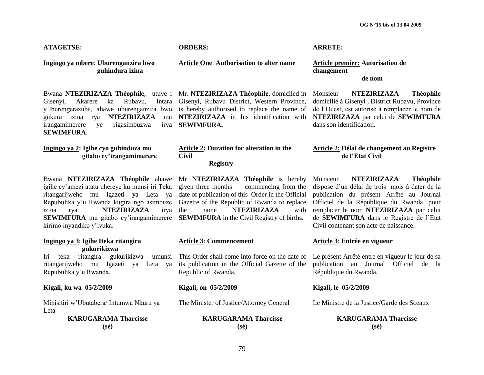**OG N°15 bis of 13 04 2009**

#### **ATAGETSE: ORDERS: ARRETE:**

**Ingingo ya mbere**: **Uburenganzira bwo guhindura izina**

Bwana **NTEZIRIZAZA Théophile**, utuye i Mr. **NTEZIRIZAZA Théophile**, domiciled in Gisenyi, Akarere ka Rubavu, Intara y"Iburengerazuba, ahawe uburenganzira bwo is hereby authorised to replace the name of de l"Ouest, est autorisé à remplacer le nom de gukura izina rya **NTEZIRIZAZA** mu irangamimerere ye rigasimbuzwa **SEWIMFURA**.

#### **Ingingo ya 2: Igihe cyo guhinduza mu gitabo cy"irangamimerere**

Bwana **NTEZIRIZAZA Théophile** ahawe igihe cy"amezi atatu uhereye ku munsi iri Teka ritangarijweho mu Igazeti ya Leta ya date of publication of this Order in the Official Repubulika y'u Rwanda kugira ngo asimbuze Gazette of the Republic of Rwanda to replace izina rya **NTEZIRIZAZA** irya **SEWIMFURA** mu gitabo cy'irangamimerere **SEWIMFURA** in the Civil Registry of births. kirimo inyandiko y"ivuka.

#### **Ingingo ya 3**: **Igihe Iteka ritangira gukurikizwa Article 3**: **Commencement Article 3**: **Entrée en vigueur** Iri teka ritangira gukurikizwa umunsi ritangarijweho mu Igazeti ya Leta ya Repubulika y"u Rwanda. This Order shall come into force on the date of Le présent Arrêté entre en vigueur le jour de sa its publication in the Official Gazette of the Republic of Rwanda. République du Rwanda. **Kigali, ku wa 05/2/2009 Kigali, on 05/2/2009 Kigali, le 05/2/2009** Minisitiri w"Ubutabera/ Intumwa Nkuru ya Leta The Minister of Justice/Attorney General Le Ministre de la Justice/Garde des Sceaux **KARUGARAMA Tharcisse (sé) KARUGARAMA Tharcisse (sé) KARUGARAMA Tharcisse (sé)**

**Article One**: **Authorisation to alter name Article premier: Autorisation de** 

Gisenyi, Rubavu District, Western Province, **NTEZIRIZAZA** in his identification with **NTEZIRIZAZA** par celui de **SEWIMFURA SEWIMFURA.**

#### **Article 2: Duration for alteration in the Civil Registry**

Mr **NTEZIRIZAZA** Théophile is hereby given three months commencing from the commencing from the name **NTEZIRIZAZA** with

**changement de nom**

Monsieur **NTEZIRIZAZA Théophile** domicilié à Gisenyi , District Rubavu, Province dans son identification.

**Article 2: Délai de changement au Registre de l"Etat Civil**

Monsieur **NTEZIRIZAZA Théophile** dispose d"un délai de trois mois à dater de la publication du présent Arrêté au Journal Officiel de la République du Rwanda, pour remplacer le nom **NTEZIRIZAZA** par celui de **SEWIMFURA** dans le Registre de l"Etat Civil contenant son acte de naissance.

publication au Journal Officiel de la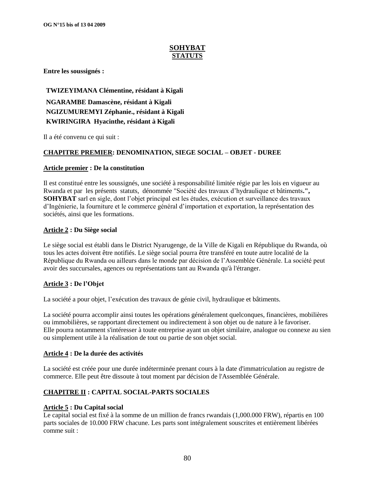# **SOHYBAT STATUTS**

**Entre les soussignés :**

**TWIZEYIMANA Clémentine, résidant à Kigali NGARAMBE Damascène, résidant à Kigali NGIZUMUREMYI Zéphanie., résidant à Kigali KWIRINGIRA Hyacinthe, résidant à Kigali**

Il a été convenu ce qui suit :

#### **CHAPITRE PREMIER: DENOMINATION, SIEGE SOCIAL – OBJET - DUREE**

#### **Article premier : De la constitution**

Il est constitué entre les soussignés, une société à responsabilité limitée régie par les lois en vigueur au Rwanda et par les présents statuts, dénommée "Société des travaux d"hydraulique et bâtiments**.", SOHYBAT** sarl en sigle, dont l"objet principal est les études, exécution et surveillance des travaux d"Ingénierie, la fourniture et le commerce général d"importation et exportation, la représentation des sociétés, ainsi que les formations.

#### **Article 2 : Du Siège social**

Le siège social est établi dans le District Nyarugenge, de la Ville de Kigali en République du Rwanda, où tous les actes doivent être notifiés. Le siège social pourra être transféré en toute autre localité de la République du Rwanda ou ailleurs dans le monde par décision de l"Assemblée Générale. La société peut avoir des succursales, agences ou représentations tant au Rwanda qu'à l'étranger.

#### **Article 3 : De l"Objet**

La société a pour objet, l"exécution des travaux de génie civil, hydraulique et bâtiments.

La société pourra accomplir ainsi toutes les opérations généralement quelconques, financières, mobilières ou immobilières, se rapportant directement ou indirectement à son objet ou de nature à le favoriser. Elle pourra notamment s'intéresser à toute entreprise ayant un objet similaire, analogue ou connexe au sien ou simplement utile à la réalisation de tout ou partie de son objet social.

#### **Article 4 : De la durée des activités**

La société est créée pour une durée indéterminée prenant cours à la date d'immatriculation au registre de commerce. Elle peut être dissoute à tout moment par décision de l'Assemblée Générale.

### **CHAPITRE II : CAPITAL SOCIAL-PARTS SOCIALES**

#### **Article 5 : Du Capital social**

Le capital social est fixé à la somme de un million de francs rwandais (1,000.000 FRW), répartis en 100 parts sociales de 10.000 FRW chacune. Les parts sont intégralement souscrites et entièrement libérées comme suit :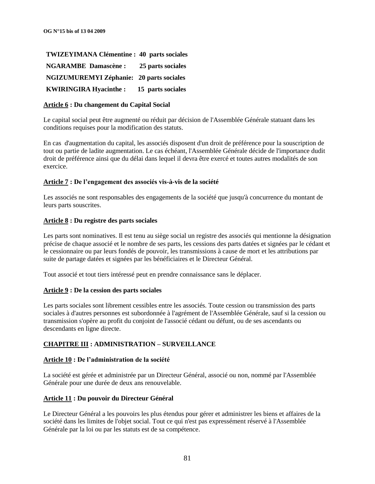| <b>TWIZEYIMANA Clémentine : 40 parts sociales</b> |                   |
|---------------------------------------------------|-------------------|
| <b>NGARAMBE Damascène :</b>                       | 25 parts sociales |
| <b>NGIZUMUREMYI Zéphanie: 20 parts sociales</b>   |                   |
| <b>KWIRINGIRA Hyacinthe:</b>                      | 15 parts sociales |

#### **Article 6 : Du changement du Capital Social**

Le capital social peut être augmenté ou réduit par décision de l'Assemblée Générale statuant dans les conditions requises pour la modification des statuts.

En cas d'augmentation du capital, les associés disposent d'un droit de préférence pour la souscription de tout ou partie de ladite augmentation. Le cas échéant, l'Assemblée Générale décide de l'importance dudit droit de préférence ainsi que du délai dans lequel il devra être exercé et toutes autres modalités de son exercice.

#### **Article 7 : De l"engagement des associés vis-à-vis de la société**

Les associés ne sont responsables des engagements de la société que jusqu'à concurrence du montant de leurs parts souscrites.

#### **Article 8 : Du registre des parts sociales**

Les parts sont nominatives. Il est tenu au siège social un registre des associés qui mentionne la désignation précise de chaque associé et le nombre de ses parts, les cessions des parts datées et signées par le cédant et le cessionnaire ou par leurs fondés de pouvoir, les transmissions à cause de mort et les attributions par suite de partage datées et signées par les bénéficiaires et le Directeur Général.

Tout associé et tout tiers intéressé peut en prendre connaissance sans le déplacer.

#### **Article 9 : De la cession des parts sociales**

Les parts sociales sont librement cessibles entre les associés. Toute cession ou transmission des parts sociales à d'autres personnes est subordonnée à l'agrément de l'Assemblée Générale, sauf si la cession ou transmission s'opère au profit du conjoint de l'associé cédant ou défunt, ou de ses ascendants ou descendants en ligne directe.

#### **CHAPITRE III : ADMINISTRATION – SURVEILLANCE**

#### **Article 10 : De l"administration de la société**

La société est gérée et administrée par un Directeur Général, associé ou non, nommé par l'Assemblée Générale pour une durée de deux ans renouvelable.

#### **Article 11 : Du pouvoir du Directeur Général**

Le Directeur Général a les pouvoirs les plus étendus pour gérer et administrer les biens et affaires de la société dans les limites de l'objet social. Tout ce qui n'est pas expressément réservé à l'Assemblée Générale par la loi ou par les statuts est de sa compétence.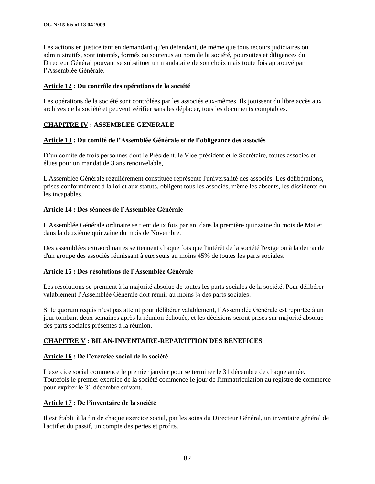Les actions en justice tant en demandant qu'en défendant, de même que tous recours judiciaires ou administratifs, sont intentés, formés ou soutenus au nom de la société, poursuites et diligences du Directeur Général pouvant se substituer un mandataire de son choix mais toute fois approuvé par l"Assemblée Générale.

#### **Article 12 : Du contrôle des opérations de la société**

Les opérations de la société sont contrôlées par les associés eux-mêmes. Ils jouissent du libre accès aux archives de la société et peuvent vérifier sans les déplacer, tous les documents comptables.

#### **CHAPITRE IV : ASSEMBLEE GENERALE**

#### **Article 13 : Du comité de l"Assemblée Générale et de l"obligeance des associés**

D"un comité de trois personnes dont le Président, le Vice-président et le Secrétaire, toutes associés et élues pour un mandat de 3 ans renouvelable,

L'Assemblée Générale régulièrement constituée représente l'universalité des associés. Les délibérations, prises conformément à la loi et aux statuts, obligent tous les associés, même les absents, les dissidents ou les incapables.

#### **Article 14 : Des séances de l"Assemblée Générale**

L'Assemblée Générale ordinaire se tient deux fois par an, dans la première quinzaine du mois de Mai et dans la deuxième quinzaine du mois de Novembre.

Des assemblées extraordinaires se tiennent chaque fois que l'intérêt de la société l'exige ou à la demande d'un groupe des associés réunissant à eux seuls au moins 45% de toutes les parts sociales.

#### **Article 15 : Des résolutions de l"Assemblée Générale**

Les résolutions se prennent à la majorité absolue de toutes les parts sociales de la société. Pour délibérer valablement l"Assemblée Générale doit réunir au moins ¾ des parts sociales.

Si le quorum requis n"est pas atteint pour délibérer valablement, l"Assemblée Générale est reportée à un jour tombant deux semaines après la réunion échouée, et les décisions seront prises sur majorité absolue des parts sociales présentes à la réunion.

#### **CHAPITRE V : BILAN-INVENTAIRE-REPARTITION DES BENEFICES**

#### **Article 16 : De l"exercice social de la société**

L'exercice social commence le premier janvier pour se terminer le 31 décembre de chaque année. Toutefois le premier exercice de la société commence le jour de l'immatriculation au registre de commerce pour expirer le 31 décembre suivant.

#### **Article 17 : De l"inventaire de la société**

Il est établi à la fin de chaque exercice social, par les soins du Directeur Général, un inventaire général de l'actif et du passif, un compte des pertes et profits.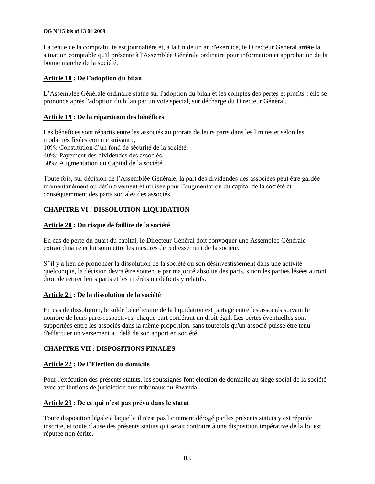#### **OG N°15 bis of 13 04 2009**

La tenue de la comptabilité est journalière et, à la fin de un an d'exercice, le Directeur Général arrête la situation comptable qu'il présente à l'Assemblée Générale ordinaire pour information et approbation de la bonne marche de la société.

#### **Article 18 : De l"adoption du bilan**

L"Assemblée Générale ordinaire statue sur l'adoption du bilan et les comptes des pertes et profits ; elle se prononce après l'adoption du bilan par un vote spécial, sur décharge du Directeur Général.

#### **Article 19 : De la répartition des bénéfices**

Les bénéfices sont répartis entre les associés au prorata de leurs parts dans les limites et selon les modalités fixées comme suivant :, 10%: Constitution d"un fond de sécurité de la société, 40%: Payement des dividendes des associés, 50%: Augmentation du Capital de la société.

Toute fois, sur décision de l"Assemblée Générale, la part des dividendes des associées peut être gardée momentanément ou définitivement et utilisée pour l"augmentation du capital de la société et conséquemment des parts sociales des associés.

# **CHAPITRE VI : DISSOLUTION-LIQUIDATION**

#### **Article 20 : Du risque de faillite de la société**

En cas de perte du quart du capital, le Directeur Général doit convoquer une Assemblée Générale extraordinaire et lui soumettre les mesures de redressement de la société.

S"'il y a lieu de prononcer la dissolution de la société ou son désinvestissement dans une activité quelconque, la décision devra être soutenue par majorité absolue des parts, sinon les parties lésées auront droit de retirer leurs parts et les intérêts ou déficits y relatifs.

#### **Article 21 : De la dissolution de la société**

En cas de dissolution, le solde bénéficiaire de la liquidation est partagé entre les associés suivant le nombre de leurs parts respectives, chaque part conférant un droit égal. Les pertes éventuelles sont supportées entre les associés dans la même proportion, sans toutefois qu'un associé puisse être tenu d'effectuer un versement au delà de son apport en société.

### **CHAPITRE VII : DISPOSITIONS FINALES**

#### **Article 22 : De l"Election du domicile**

Pour l'exécution des présents statuts, les soussignés font élection de domicile au siège social de la société avec attributions de juridiction aux tribunaux du Rwanda.

#### **Article 23 : De ce qui n"est pas prévu dans le statut**

Toute disposition légale à laquelle il n'est pas licitement dérogé par les présents statuts y est réputée inscrite, et toute clause des présents statuts qui serait contraire à une disposition impérative de la loi est réputée non écrite.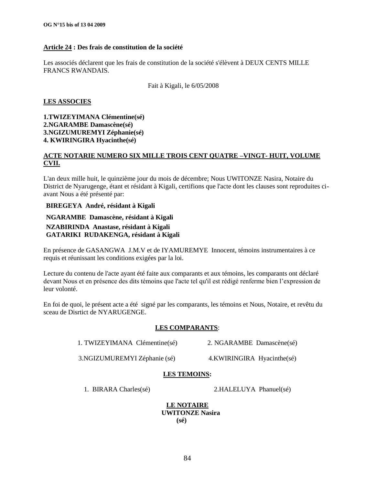#### **Article 24 : Des frais de constitution de la société**

Les associés déclarent que les frais de constitution de la société s'élèvent à DEUX CENTS MILLE FRANCS RWANDAIS.

Fait à Kigali, le 6/05/2008

#### **LES ASSOCIES**

**1.TWIZEYIMANA Clémentine(sé) 2.NGARAMBE Damascène(sé) 3.NGIZUMUREMYI Zéphanie(sé) 4. KWIRINGIRA Hyacinthe(sé)**

#### **ACTE NOTARIE NUMERO SIX MILLE TROIS CENT QUATRE –VINGT- HUIT, VOLUME CVII.**

L'an deux mille huit, le quinzième jour du mois de décembre; Nous UWITONZE Nasira, Notaire du District de Nyarugenge, étant et résidant à Kigali, certifions que l'acte dont les clauses sont reproduites ciavant Nous a été présenté par:

#### **BIREGEYA André, résidant à Kigali**

#### **NGARAMBE Damascène, résidant à Kigali**

### **NZABIRINDA Anastase, résidant à Kigali GATARIKI RUDAKENGA, résidant à Kigali**

En présence de GASANGWA J.M.V et de IYAMUREMYE Innocent, témoins instrumentaires à ce requis et réunissant les conditions exigées par la loi.

Lecture du contenu de l'acte ayant été faite aux comparants et aux témoins, les comparants ont déclaré devant Nous et en présence des dits témoins que l'acte tel qu'il est rédigé renferme bien l"expression de leur volonté.

En foi de quoi, le présent acte a été signé par les comparants, les témoins et Nous, Notaire, et revêtu du sceau de Disrtict de NYARUGENGE.

#### **LES COMPARANTS**:

1. TWIZEYIMANA Clémentine(sé) 2. NGARAMBE Damascène(sé)

3.NGIZUMUREMYI Zéphanie (sé) 4.KWIRINGIRA Hyacinthe(sé)

### **LES TEMOINS:**

1. BIRARA Charles(sé) 2.HALELUYA Phanuel(sé)

**LE NOTAIRE UWITONZE Nasira (sé)**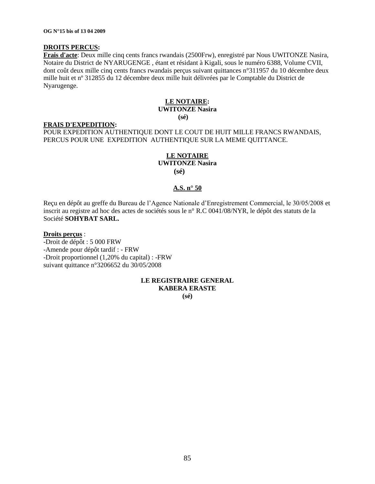#### **DROITS PERCUS:**

**Frais d'acte**: Deux mille cinq cents francs rwandais (2500Frw), enregistré par Nous UWITONZE Nasira, Notaire du District de NYARUGENGE , étant et résidant à Kigali, sous le numéro 6388, Volume CVII, dont coût deux mille cinq cents francs rwandais perçus suivant quittances n°311957 du 10 décembre deux mille huit et nº 312855 du 12 décembre deux mille huit délivrées par le Comptable du District de Nyarugenge.

# **LE NOTAIRE: UWITONZE Nasira**

#### **(sé)**

#### **FRAIS D'EXPEDITION:**

POUR EXPEDITION AUTHENTIQUE DONT LE COUT DE HUIT MILLE FRANCS RWANDAIS, PERCUS POUR UNE EXPEDITION AUTHENTIQUE SUR LA MEME QUITTANCE.

#### **LE NOTAIRE UWITONZE Nasira**

 **(sé)**

#### **A.S. n° 50**

Reçu en dépôt au greffe du Bureau de l"Agence Nationale d"Enregistrement Commercial, le 30/05/2008 et inscrit au registre ad hoc des actes de sociétés sous le n° R.C 0041/08/NYR, le dépôt des statuts de la Société **SOHYBAT SARL.**

#### **Droits perçus** :

-Droit de dépôt : 5 000 FRW -Amende pour dépôt tardif : - FRW -Droit proportionnel (1,20% du capital) : -FRW suivant quittance n°3206652 du 30/05/2008

#### **LE REGISTRAIRE GENERAL KABERA ERASTE (sé)**

85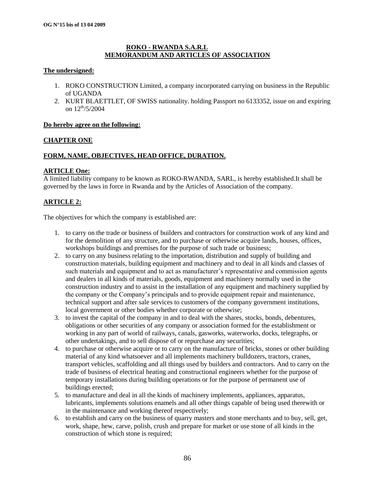#### **ROKO - RWANDA S.A.R.L MEMORANDUM AND ARTICLES OF ASSOCIATION**

#### **The undersigned:**

- 1. ROKO CONSTRUCTION Limited, a company incorporated carrying on business in the Republic of UGANDA
- 2. KURT BLAETTLET, OF SWISS nationality. holding Passport no 6133352, issue on and expiring on  $12^{th}/5/2004$

#### **Do hereby agree on the following:**

#### **CHAPTER ONE**

### **FORM, NAME, OBJECTIVES, HEAD OFFICE, DURATION.**

#### **ARTICLE One:**

A limited liability company to be known as ROKO-RWANDA, SARL, is hereby established.It shall be governed by the laws in force in Rwanda and by the Articles of Association of the company.

### **ARTICLE 2:**

The objectives for which the company is established are:

- 1. to carry on the trade or business of builders and contractors for construction work of any kind and for the demolition of any structure, and to purchase or otherwise acquire lands, houses, offices, workshops buildings and premises for the purpose of such trade or business;
- 2. to carry on any business relating to the importation, distribution and supply of building and construction materials, building equipment and machinery and to deal in all kinds and classes of such materials and equipment and to act as manufacturer's representative and commission agents and dealers in all kinds of materials, goods, equipment and machinery normally used in the construction industry and to assist in the installation of any equipment and machinery supplied by the company or the Company"s principals and to provide equipment repair and maintenance, technical support and after sale services to customers of the company government institutions, local government or other bodies whether corporate or otherwise;
- 3. to invest the capital of the company in and to deal with the shares, stocks, bonds, debentures, obligations or other securities of any company or association formed for the establishment or working in any part of world of railways, canals, gasworks, waterworks, docks, telegraphs, or other undertakings, and to sell dispose of or repurchase any securities;
- 4. to purchase or otherwise acquire or to carry on the manufacture of bricks, stones or other building material of any kind whatsoever and all implements machinery bulldozers, tractors, cranes, transport vehicles, scaffolding and all things used by builders and contractors. And to carry on the trade of business of electrical heating and constructional engineers whether for the purpose of temporary installations during building operations or for the purpose of permanent use of buildings erected;
- 5. to manufacture and deal in all the kinds of machinery implements, appliances, apparatus, lubricants, implements solutions enamels and all other things capable of being used therewith or in the maintenance and working thereof respectively;
- 6. to establish and carry on the business of quarry masters and stone merchants and to buy, sell, get, work, shape, hew, carve, polish, crush and prepare for market or use stone of all kinds in the construction of which stone is required;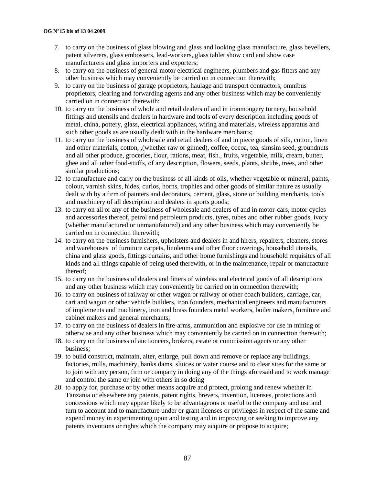- 7. to carry on the business of glass blowing and glass and looking glass manufacture, glass bevellers, patent silverers, glass embossers, lead-workers, glass tablet show card and show case manufacturers and glass importers and exporters;
- 8. to carry on the business of general motor electrical engineers, plumbers and gas fitters and any other business which may conveniently be carried on in connection therewith;
- 9. to carry on the business of garage proprietors, haulage and transport contractors, omnibus proprietors, clearing and forwarding agents and any other business which may be conveniently carried on in connection therewith:
- 10. to carry on the business of whole and retail dealers of and in ironmongery turnery, household fittings and utensils and dealers in hardware and tools of every description including goods of metal, china, pottery, glass, electrical appliances, wiring and materials, wireless apparatus and such other goods as are usually dealt with in the hardware merchants;
- 11. to carry on the business of wholesale and retail dealers of and in piece goods of silk, cotton, linen and other materials, cotton, ,(whether raw or ginned), coffee, cocoa, tea, simsim seed, groundnuts and all other produce, groceries, flour, rations, meat, fish., fruits, vegetable, milk, cream, butter, ghee and all other food-stuffs, of any description, flowers, seeds, plants, shrubs, trees, and other similar productions;
- 12. to manufacture and carry on the business of all kinds of oils, whether vegetable or mineral, paints, colour, varnish skins, hides, curios, horns, trophies and other goods of similar nature as usually dealt with by a firm of painters and decorators, cement, glass, stone or building merchants, tools and machinery of all description and dealers in sports goods;
- 13. to carry on all or any of the business of wholesale and dealers of and in motor-cars, motor cycles and accessories thereof, petrol and petroleum products, tyres, tubes and other rubber goods, ivory (whether manufactured or unmanufatured) and any other business which may conveniently be carried on in connection therewith;
- 14. to carry on the business furnishers, upholsters and dealers in and hirers, repairers, cleaners, stores and warehouses of furniture carpets, linoleums and other floor coverings, household utensils, china and glass goods, fittings curtains, and other home furnishings and household requisites of all kinds and all things capable of being used therewith, or in the maintenance, repair or manufacture thereof;
- 15. to carry on the business of dealers and fitters of wireless and electrical goods of all descriptions and any other business which may conveniently be carried on in connection therewith;
- 16. to carry on business of railway or other wagon or railway or other coach builders, carriage, car, cart and wagon or other vehicle builders, iron founders, mechanical engineers and manufacturers of implements and machinery, iron and brass founders metal workers, boiler makers, furniture and cabinet makers and general merchants;
- 17. to carry on the business of dealers in fire-arms, ammunition and explosive for use in mining or otherwise and any other business which may conveniently be carried on in connection therewith;
- 18. to carry on the business of auctioneers, brokers, estate or commission agents or any other business;
- 19. to build construct, maintain, alter, enlarge, pull down and remove or replace any buildings, factories, mills, machinery, banks dams, sluices or water course and to clear sites for the same or to join with any person, firm or company in doing any of the things aforesaid and to work manage and control the same or join with others in so doing
- 20. to apply for, purchase or by other means acquire and protect, prolong and renew whether in Tanzania or elsewhere any patents, patent rights, brevets, invention, licenses, protections and concessions which may appear likely to be advantageous or useful to the company and use and turn to account and to manufacture under or grant licenses or privileges in respect of the same and expend money in experimenting upon and testing and in improving or seeking to improve any patents inventions or rights which the company may acquire or propose to acquire;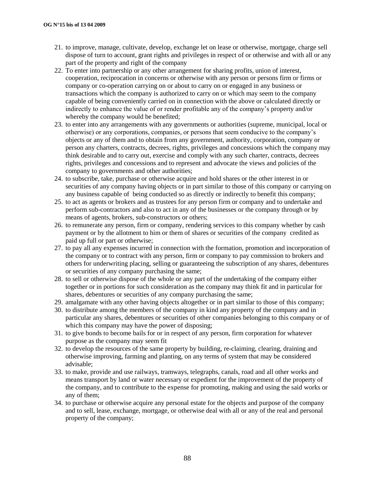- 21. to improve, manage, cultivate, develop, exchange let on lease or otherwise, mortgage, charge sell dispose of turn to account, grant rights and privileges in respect of or otherwise and with all or any part of the property and right of the company
- 22. To enter into partnership or any other arrangement for sharing profits, union of interest, cooperation, reciprocation in concerns or otherwise with any person or persons firm or firms or company or co-operation carrying on or about to carry on or engaged in any business or transactions which the company is authorized to carry on or which may seem to the company capable of being conveniently carried on in connection with the above or calculated directly or indirectly to enhance the value of or render profitable any of the company"s property and/or whereby the company would be benefited;
- 23. to enter into any arrangements with any governments or authorities (supreme, municipal, local or otherwise) or any corporations, companies, or persons that seem conducive to the company"s objects or any of them and to obtain from any government, authority, corporation, company or person any charters, contracts, decrees, rights, privileges and concessions which the company may think desirable and to carry out, exercise and comply with any such charter, contracts, decrees rights, privileges and concessions and to represent and advocate the views and policies of the company to governments and other authorities;
- 24. to subscribe, take, purchase or otherwise acquire and hold shares or the other interest in or securities of any company having objects or in part similar to those of this company or carrying on any business capable of being conducted so as directly or indirectly to benefit this company;
- 25. to act as agents or brokers and as trustees for any person firm or company and to undertake and perform sub-contractors and also to act in any of the businesses or the company through or by means of agents, brokers, sub-constructors or others;
- 26. to remunerate any person, firm or company, rendering services to this company whether by cash payment or by the allotment to him or them of shares or securities of the company credited as paid up full or part or otherwise;
- 27. to pay all any expenses incurred in connection with the formation, promotion and incorporation of the company or to contract with any person, firm or company to pay commission to brokers and others for underwriting placing, selling or guaranteeing the subscription of any shares, debentures or securities of any company purchasing the same;
- 28. to sell or otherwise dispose of the whole or any part of the undertaking of the company either together or in portions for such consideration as the company may think fit and in particular for shares, debentures or securities of any company purchasing the same;
- 29. amalgamate with any other having objects altogether or in part similar to those of this company;
- 30. to distribute among the members of the company in kind any property of the company and in particular any shares, debentures or securities of other companies belonging to this company or of which this company may have the power of disposing:
- 31. to give bonds to become bails for or in respect of any person, firm corporation for whatever purpose as the company may seem fit
- 32. to develop the resources of the same property by building, re-claiming, clearing, draining and otherwise improving, farming and planting, on any terms of system that may be considered advisable;
- 33. to make, provide and use railways, tramways, telegraphs, canals, road and all other works and means transport by land or water necessary or expedient for the improvement of the property of the company, and to contribute to the expense for promoting, making and using the said works or any of them;
- 34. to purchase or otherwise acquire any personal estate for the objects and purpose of the company and to sell, lease, exchange, mortgage, or otherwise deal with all or any of the real and personal property of the company;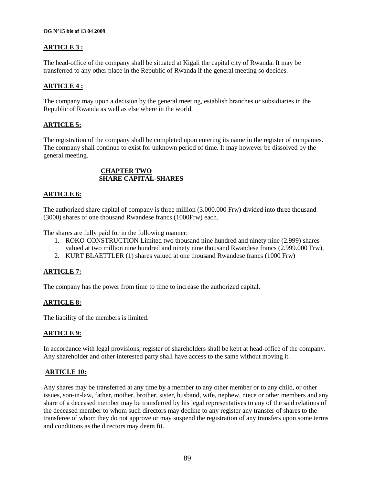### **ARTICLE 3 :**

The head-office of the company shall be situated at Kigali the capital city of Rwanda. It may be transferred to any other place in the Republic of Rwanda if the general meeting so decides.

#### **ARTICLE 4 :**

The company may upon a decision by the general meeting, establish branches or subsidiaries in the Republic of Rwanda as well as else where in the world.

#### **ARTICLE 5:**

The registration of the company shall be completed upon entering its name in the register of companies. The company shall continue to exist for unknown period of time. It may however be dissolved by the general meeting.

#### **CHAPTER TWO SHARE CAPITAL-SHARES**

#### **ARTICLE 6:**

The authorized share capital of company is three million (3.000.000 Frw) divided into three thousand (3000) shares of one thousand Rwandese francs (1000Frw) each.

The shares are fully paid for in the following manner:

- 1. ROKO-CONSTRUCTION Limited two thousand nine hundred and ninety nine (2.999) shares valued at two million nine hundred and ninety nine thousand Rwandese francs (2.999.000 Frw).
- 2. KURT BLAETTLER (1) shares valued at one thousand Rwandese francs (1000 Frw)

### **ARTICLE 7:**

The company has the power from time to time to increase the authorized capital.

#### **ARTICLE 8:**

The liability of the members is limited.

#### **ARTICLE 9:**

In accordance with legal provisions, register of shareholders shall be kept at head-office of the company. Any shareholder and other interested party shall have access to the same without moving it.

#### **ARTICLE 10:**

Any shares may be transferred at any time by a member to any other member or to any child, or other issues, son-in-law, father, mother, brother, sister, husband, wife, nephew, niece or other members and any share of a deceased member may be transferred by his legal representatives to any of the said relations of the deceased member to whom such directors may decline to any register any transfer of shares to the transferee of whom they do not approve or may suspend the registration of any transfers upon some terms and conditions as the directors may deem fit.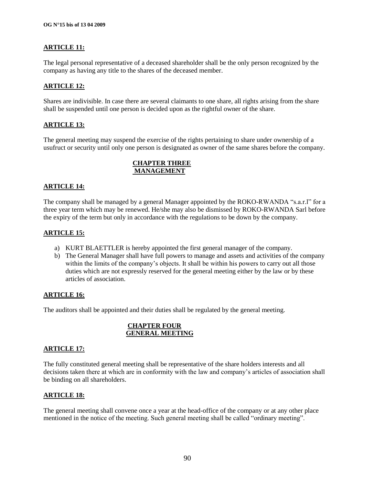# **ARTICLE 11:**

The legal personal representative of a deceased shareholder shall be the only person recognized by the company as having any title to the shares of the deceased member.

#### **ARTICLE 12:**

Shares are indivisible. In case there are several claimants to one share, all rights arising from the share shall be suspended until one person is decided upon as the rightful owner of the share.

#### **ARTICLE 13:**

The general meeting may suspend the exercise of the rights pertaining to share under ownership of a usufruct or security until only one person is designated as owner of the same shares before the company.

# **CHAPTER THREE MANAGEMENT**

#### **ARTICLE 14:**

The company shall be managed by a general Manager appointed by the ROKO-RWANDA "s.a.r.l" for a three year term which may be renewed. He/she may also be dismissed by ROKO-RWANDA Sarl before the expiry of the term but only in accordance with the regulations to be down by the company.

### **ARTICLE 15:**

- a) KURT BLAETTLER is hereby appointed the first general manager of the company.
- b) The General Manager shall have full powers to manage and assets and activities of the company within the limits of the company's objects. It shall be within his powers to carry out all those duties which are not expressly reserved for the general meeting either by the law or by these articles of association.

#### **ARTICLE 16:**

The auditors shall be appointed and their duties shall be regulated by the general meeting.

#### **CHAPTER FOUR GENERAL MEETING**

#### **ARTICLE 17:**

The fully constituted general meeting shall be representative of the share holders interests and all decisions taken there at which are in conformity with the law and company"s articles of association shall be binding on all shareholders.

### **ARTICLE 18:**

The general meeting shall convene once a year at the head-office of the company or at any other place mentioned in the notice of the meeting. Such general meeting shall be called "ordinary meeting".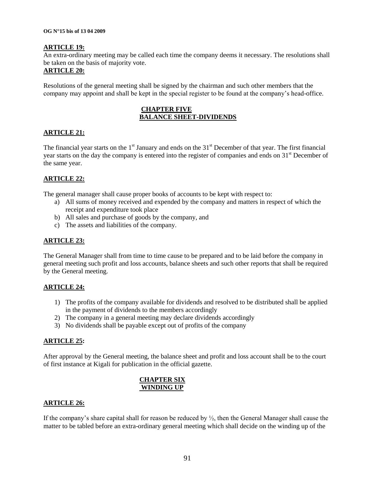#### **ARTICLE 19:**

An extra-ordinary meeting may be called each time the company deems it necessary. The resolutions shall be taken on the basis of majority vote.

# **ARTICLE 20:**

Resolutions of the general meeting shall be signed by the chairman and such other members that the company may appoint and shall be kept in the special register to be found at the company"s head-office.

#### **CHAPTER FIVE BALANCE SHEET-DIVIDENDS**

#### **ARTICLE 21:**

The financial year starts on the  $1<sup>st</sup>$  January and ends on the  $31<sup>st</sup>$  December of that year. The first financial year starts on the day the company is entered into the register of companies and ends on 31<sup>st</sup> December of the same year.

#### **ARTICLE 22:**

The general manager shall cause proper books of accounts to be kept with respect to:

- a) All sums of money received and expended by the company and matters in respect of which the receipt and expenditure took place
- b) All sales and purchase of goods by the company, and
- c) The assets and liabilities of the company.

#### **ARTICLE 23:**

The General Manager shall from time to time cause to be prepared and to be laid before the company in general meeting such profit and loss accounts, balance sheets and such other reports that shall be required by the General meeting.

#### **ARTICLE 24:**

- 1) The profits of the company available for dividends and resolved to be distributed shall be applied in the payment of dividends to the members accordingly
- 2) The company in a general meeting may declare dividends accordingly
- 3) No dividends shall be payable except out of profits of the company

#### **ARTICLE 25:**

After approval by the General meeting, the balance sheet and profit and loss account shall be to the court of first instance at Kigali for publication in the official gazette.

#### **CHAPTER SIX WINDING UP**

#### **ARTICLE 26:**

If the company's share capital shall for reason be reduced by  $\frac{1}{2}$ , then the General Manager shall cause the matter to be tabled before an extra-ordinary general meeting which shall decide on the winding up of the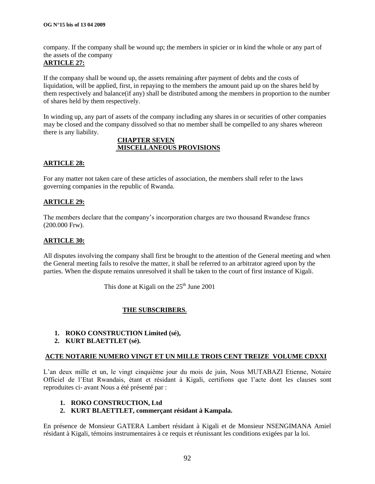company. If the company shall be wound up; the members in spicier or in kind the whole or any part of the assets of the company

# **ARTICLE 27:**

If the company shall be wound up, the assets remaining after payment of debts and the costs of liquidation, will be applied, first, in repaying to the members the amount paid up on the shares held by them respectively and balance(if any) shall be distributed among the members in proportion to the number of shares held by them respectively.

In winding up, any part of assets of the company including any shares in or securities of other companies may be closed and the company dissolved so that no member shall be compelled to any shares whereon there is any liability.

#### **CHAPTER SEVEN MISCELLANEOUS PROVISIONS**

#### **ARTICLE 28:**

For any matter not taken care of these articles of association, the members shall refer to the laws governing companies in the republic of Rwanda.

#### **ARTICLE 29:**

The members declare that the company"s incorporation charges are two thousand Rwandese francs (200.000 Frw).

#### **ARTICLE 30:**

All disputes involving the company shall first be brought to the attention of the General meeting and when the General meeting fails to resolve the matter, it shall be referred to an arbitrator agreed upon by the parties. When the dispute remains unresolved it shall be taken to the court of first instance of Kigali.

This done at Kigali on the  $25<sup>th</sup>$  June 2001

### **THE SUBSCRIBERS**.

#### **1. ROKO CONSTRUCTION Limited (sé),**

**2. KURT BLAETTLET (sé).**

#### **ACTE NOTARIE NUMERO VINGT ET UN MILLE TROIS CENT TREIZE VOLUME CDXXI**

L"an deux mille et un, le vingt cinquième jour du mois de juin, Nous MUTABAZI Etienne, Notaire Officiel de l"Etat Rwandais, étant et résidant à Kigali, certifions que l"acte dont les clauses sont reproduites ci- avant Nous a été présenté par :

#### **1. ROKO CONSTRUCTION, Ltd**

#### **2. KURT BLAETTLET, commerçant résidant à Kampala.**

En présence de Monsieur GATERA Lambert résidant à Kigali et de Monsieur NSENGIMANA Amiel résidant à Kigali, témoins instrumentaires à ce requis et réunissant les conditions exigées par la loi.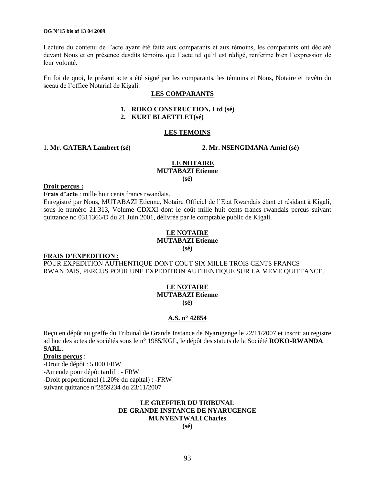Lecture du contenu de l"acte ayant été faite aux comparants et aux témoins, les comparants ont déclaré devant Nous et en présence desdits témoins que l"acte tel qu"il est rédigé, renferme bien l"expression de leur volonté.

En foi de quoi, le présent acte a été signé par les comparants, les témoins et Nous, Notaire et revêtu du sceau de l"office Notarial de Kigali.

#### **LES COMPARANTS**

#### **1. ROKO CONSTRUCTION, Ltd (sé)**

#### **2. KURT BLAETTLET(sé)**

#### **LES TEMOINS**

1. **Mr. GATERA Lambert (sé) 2. Mr. NSENGIMANA Amiel (sé)**

#### **LE NOTAIRE MUTABAZI Etienne (sé)**

#### **Droit perçus :**

**Frais d"acte** : mille huit cents francs rwandais.

Enregistré par Nous, MUTABAZI Etienne, Notaire Officiel de l"Etat Rwandais étant et résidant à Kigali, sous le numéro 21.313, Volume CDXXI dont le coût mille huit cents francs rwandais perçus suivant quittance no 0311366/D du 21 Juin 2001, délivrée par le comptable public de Kigali.

# **LE NOTAIRE**

#### **MUTABAZI Etienne**

**(sé)**

#### **FRAIS D"EXPEDITION :**

POUR EXPEDITION AUTHENTIQUE DONT COUT SIX MILLE TROIS CENTS FRANCS RWANDAIS, PERCUS POUR UNE EXPEDITION AUTHENTIQUE SUR LA MEME QUITTANCE.

#### **LE NOTAIRE MUTABAZI Etienne (sé)**

#### **A.S. n° 42854**

Reçu en dépôt au greffe du Tribunal de Grande Instance de Nyarugenge le 22/11/2007 et inscrit au registre ad hoc des actes de sociétés sous le n° 1985/KGL, le dépôt des statuts de la Société **ROKO-RWANDA** 

#### **SARL.**

#### **Droits perçus** :

-Droit de dépôt : 5 000 FRW

-Amende pour dépôt tardif : - FRW

-Droit proportionnel (1,20% du capital) : -FRW

suivant quittance n°2859234 du 23/11/2007

### **LE GREFFIER DU TRIBUNAL DE GRANDE INSTANCE DE NYARUGENGE MUNYENTWALI Charles**

**(sé)**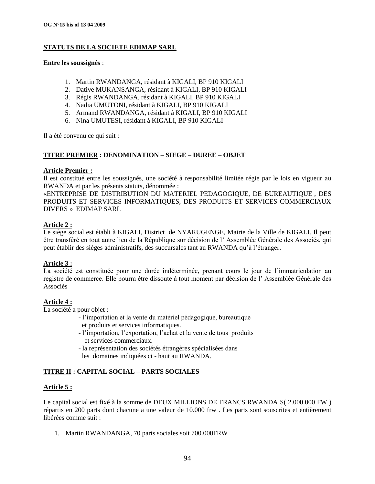# **STATUTS DE LA SOCIETE EDIMAP SARL**

#### **Entre les soussignés** :

- 1. Martin RWANDANGA, résidant à KIGALI, BP 910 KIGALI
- 2. Dative MUKANSANGA, résidant à KIGALI, BP 910 KIGALI
- 3. Régis RWANDANGA, résidant à KIGALI, BP 910 KIGALI
- 4. Nadia UMUTONI, résidant à KIGALI, BP 910 KIGALI
- 5. Armand RWANDANGA, résidant à KIGALI, BP 910 KIGALI
- 6. Nina UMUTESI, résidant à KIGALI, BP 910 KIGALI

Il a été convenu ce qui suit :

#### **TITRE PREMIER : DENOMINATION – SIEGE – DUREE – OBJET**

#### **Article Premier :**

Il est constitué entre les soussignés, une société à responsabilité limitée régie par le lois en vigueur au RWANDA et par les présents statuts, dénommée :

«ENTREPRISE DE DISTRIBUTION DU MATERIEL PEDAGOGIQUE, DE BUREAUTIQUE , DES PRODUITS ET SERVICES INFORMATIQUES, DES PRODUITS ET SERVICES COMMERCIAUX DIVERS » EDIMAP SARL

#### **Article 2 :**

Le siège social est établi à KIGALI, District de NYARUGENGE, Mairie de la Ville de KIGALI. Il peut être transféré en tout autre lieu de la République sur décision de l" Assemblée Générale des Associés, qui peut établir des sièges administratifs, des succursales tant au RWANDA qu"à l"étranger.

#### **Article 3 :**

La société est constituée pour une durée indéterminée, prenant cours le jour de l"immatriculation au registre de commerce. Elle pourra être dissoute à tout moment par décision de l" Assemblée Générale des Associés

#### **Article 4 :**

La société a pour objet :

- l"importation et la vente du matériel pédagogique, bureautique et produits et services informatiques.
- l"importation, l"exportation, l"achat et la vente de tous produits et services commerciaux.
- la représentation des sociétés étrangères spécialisées dans les domaines indiquées ci - haut au RWANDA.

### **TITRE II : CAPITAL SOCIAL – PARTS SOCIALES**

#### **Article 5 :**

Le capital social est fixé à la somme de DEUX MILLIONS DE FRANCS RWANDAIS( 2.000.000 FW ) répartis en 200 parts dont chacune a une valeur de 10.000 frw . Les parts sont souscrites et entièrement libérées comme suit :

1. Martin RWANDANGA, 70 parts sociales soit 700.000FRW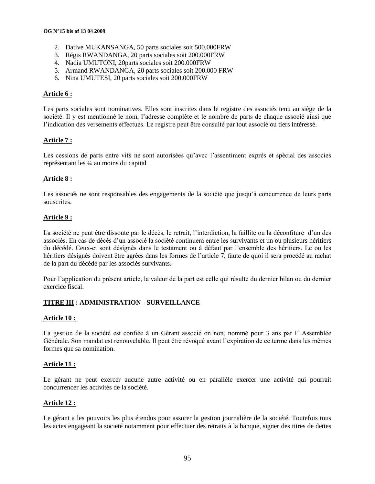- 2. Dative MUKANSANGA, 50 parts sociales soit 500.000FRW
- 3. Régis RWANDANGA, 20 parts sociales soit 200.000FRW
- 4. Nadia UMUTONI, 20parts sociales soit 200.000FRW
- 5. Armand RWANDANGA, 20 parts sociales soit 200.000 FRW
- 6. Nina UMUTESI, 20 parts sociales soit 200.000FRW

#### **Article 6 :**

Les parts sociales sont nominatives. Elles sont inscrites dans le registre des associés tenu au siège de la société. Il y est mentionné le nom, l"adresse complète et le nombre de parts de chaque associé ainsi que l"indication des versements effectués. Le registre peut être consulté par tout associé ou tiers intéressé.

#### **Article 7 :**

Les cessions de parts entre vifs ne sont autorisées qu'avec l'assentiment exprès et spécial des associes représentant les ¾ au moins du capital

#### **Article 8 :**

Les associés ne sont responsables des engagements de la société que jusqu"à concurrence de leurs parts souscrites.

#### **Article 9 :**

La société ne peut être dissoute par le décès, le retrait, l"interdiction, la faillite ou la déconfiture d"un des associés. En cas de décès d"un associé la société continuera entre les survivants et un ou plusieurs héritiers du décédé. Ceux-ci sont désignés dans le testament ou à défaut par l"ensemble des héritiers. Le ou les héritiers désignés doivent être agrées dans les formes de l"article 7, faute de quoi il sera procédé au rachat de la part du décédé par les associés survivants.

Pour l"application du présent article, la valeur de la part est celle qui résulte du dernier bilan ou du dernier exercice fiscal.

#### **TITRE III : ADMINISTRATION - SURVEILLANCE**

#### **Article 10 :**

La gestion de la société est confiée à un Gérant associé on non, nommé pour 3 ans par l" Assemblée Générale. Son mandat est renouvelable. Il peut être révoqué avant l"expiration de ce terme dans les mêmes formes que sa nomination.

#### **Article 11 :**

Le gérant ne peut exercer aucune autre activité ou en parallèle exercer une activité qui pourrait concurrencer les activités de la société.

#### **Article 12 :**

Le gérant a les pouvoirs les plus étendus pour assurer la gestion journalière de la société. Toutefois tous les actes engageant la société notamment pour effectuer des retraits à la banque, signer des titres de dettes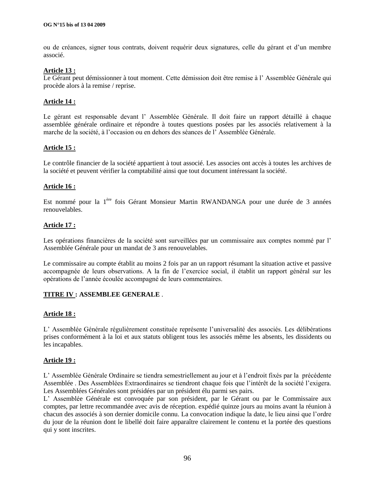ou de créances, signer tous contrats, doivent requérir deux signatures, celle du gérant et d"un membre associé.

#### **Article 13 :**

Le Gérant peut démissionner à tout moment. Cette démission doit être remise à l'Assemblée Générale qui procède alors à la remise / reprise.

#### **Article 14 :**

Le gérant est responsable devant l'Assemblée Générale. Il doit faire un rapport détaillé à chaque assemblée générale ordinaire et répondre à toutes questions posées par les associés relativement à la marche de la société, à l"occasion ou en dehors des séances de l" Assemblée Générale.

#### **Article 15 :**

Le contrôle financier de la société appartient à tout associé. Les associes ont accès à toutes les archives de la société et peuvent vérifier la comptabilité ainsi que tout document intéressant la société.

#### **Article 16 :**

Est nommé pour la 1ère fois Gérant Monsieur Martin RWANDANGA pour une durée de 3 années renouvelables.

#### **Article 17 :**

Les opérations financières de la société sont surveillées par un commissaire aux comptes nommé par l' Assemblée Générale pour un mandat de 3 ans renouvelables.

Le commissaire au compte établit au moins 2 fois par an un rapport résumant la situation active et passive accompagnée de leurs observations. A la fin de l"exercice social, il établit un rapport général sur les opérations de l"année écoulée accompagné de leurs commentaires.

#### **TITRE IV : ASSEMBLEE GENERALE** .

#### **Article 18 :**

L" Assemblée Générale régulièrement constituée représente l"universalité des associés. Les délibérations prises conformément à la loi et aux statuts obligent tous les associés même les absents, les dissidents ou les incapables.

#### **Article 19 :**

L" Assemblée Générale Ordinaire se tiendra semestriellement au jour et à l"endroit fixés par la précédente Assemblée . Des Assemblées Extraordinaires se tiendront chaque fois que l"intérêt de la société l"exigera. Les Assemblées Générales sont présidées par un président élu parmi ses pairs.

L" Assemblée Générale est convoquée par son président, par le Gérant ou par le Commissaire aux comptes, par lettre recommandée avec avis de réception. expédié quinze jours au moins avant la réunion à chacun des associés à son dernier domicile connu. La convocation indique la date, le lieu ainsi que l"ordre du jour de la réunion dont le libellé doit faire apparaître clairement le contenu et la portée des questions qui y sont inscrites.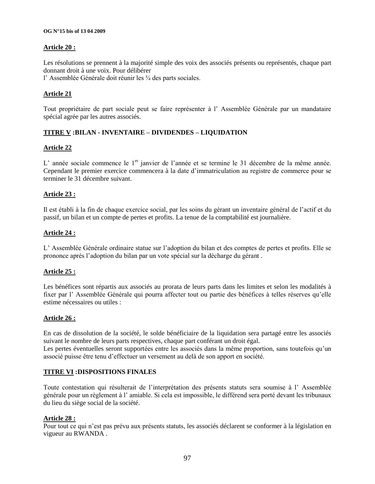#### **OG N°15 bis of 13 04 2009**

#### **Article 20 :**

Les résolutions se prennent à la majorité simple des voix des associés présents ou représentés, chaque part donnant droit à une voix. Pour délibérer

l" Assemblée Générale doit réunir les ¾ des parts sociales.

#### **Article 21**

Tout propriétaire de part sociale peut se faire représenter à l" Assemblée Générale par un mandataire spécial agrée par les autres associés.

### **TITRE V :BILAN - INVENTAIRE – DIVIDENDES – LIQUIDATION**

#### **Article 22**

L' année sociale commence le 1<sup>er</sup> janvier de l'année et se termine le 31 décembre de la même année. Cependant le premier exercice commencera à la date d"immatriculation au registre de commerce pour se terminer le 31 décembre suivant.

#### **Article 23 :**

Il est établi à la fin de chaque exercice social, par les soins du gérant un inventaire général de l"actif et du passif, un bilan et un compte de pertes et profits. La tenue de la comptabilité est journalière.

#### **Article 24 :**

L" Assemblée Générale ordinaire statue sur l"adoption du bilan et des comptes de pertes et profits. Elle se prononce après l"adoption du bilan par un vote spécial sur la décharge du gérant .

#### **Article 25 :**

Les bénéfices sont répartis aux associés au prorata de leurs parts dans les limites et selon les modalités à fixer par l'Assemblée Générale qui pourra affecter tout ou partie des bénéfices à telles réserves qu'elle estime nécessaires ou utiles :

#### **Article 26 :**

En cas de dissolution de la société, le solde bénéficiaire de la liquidation sera partagé entre les associés suivant le nombre de leurs parts respectives, chaque part conférant un droit égal.

Les pertes éventuelles seront supportées entre les associés dans la même proportion, sans toutefois qu'un associé puisse être tenu d"effectuer un versement au delà de son apport en société.

#### **TITRE VI :DISPOSITIONS FINALES**

Toute contestation qui résulterait de l"interprétation des présents statuts sera soumise à l" Assemblée générale pour un règlement à l" amiable. Si cela est impossible, le différend sera porté devant les tribunaux du lieu du siège social de la société.

#### **Article 28 :**

Pour tout ce qui n"est pas prévu aux présents statuts, les associés déclarent se conformer à la législation en vigueur au RWANDA .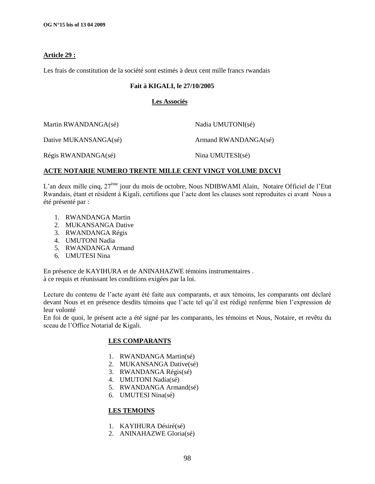#### **Article 29 :**

Les frais de constitution de la société sont estimés à deux cent mille francs rwandais

#### **Fait à KIGALI, le 27/10/2005**

#### **Les Associés**

| Martin RWANDANGA(sé)  | Nadia UMUTONI(sé)    |
|-----------------------|----------------------|
| Dative MUKANSANGA(sé) | Armand RWANDANGA(sé) |
| Régis RWANDANGA(sé)   | Nina UMUTESI(sé)     |

#### **ACTE NOTARIE NUMERO TRENTE MILLE CENT VINGT VOLUME DXCVI**

L'an deux mille cinq,  $27^{\text{eme}}$  jour du mois de octobre, Nous NDIBWAMI Alain, Notaire Officiel de l'Etat Rwandais, étant et résident à Kigali, certifions que l"acte dont les clauses sont reproduites ci avant Nous a été présenté par :

- 1. RWANDANGA Martin
- 2. MUKANSANGA Dative
- 3. RWANDANGA Régis
- 4. UMUTONI Nadia
- 5. RWANDANGA Armand
- 6. UMUTESI Nina

En présence de KAYIHURA et de ANINAHAZWE témoins instrumentaires . à ce requis et réunissant les conditions exigées par la loi.

Lecture du contenu de l"acte ayant été faite aux comparants, et aux témoins, les comparants ont déclaré devant Nous et en présence desdits témoins que l"acte tel qu"il est rédigé renferme bien l"expression de leur volonté

En foi de quoi, le présent acte a été signé par les comparants, les témoins et Nous, Notaire, et revêtu du sceau de l"Office Notarial de Kigali.

#### **LES COMPARANTS**

- 1. RWANDANGA Martin(sé)
- 2. MUKANSANGA Dative(sé)
- 3. RWANDANGA Régis(sé)
- 4. UMUTONI Nadia(sé)
- 5. RWANDANGA Armand(sé)
- 6. UMUTESI Nina(sé)

#### **LES TEMOINS**

- 1. KAYIHURA Désiré(sé)
- 2. ANINAHAZWE Gloria(sé)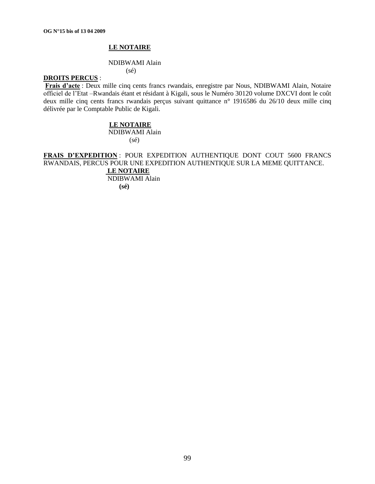#### **LE NOTAIRE**

#### NDIBWAMI Alain

(sé)

#### **DROITS PERCUS** :

**Frais d"acte** : Deux mille cinq cents francs rwandais, enregistre par Nous, NDIBWAMI Alain, Notaire officiel de l"Etat –Rwandais étant et résidant à Kigali, sous le Numéro 30120 volume DXCVI dont le coût deux mille cinq cents francs rwandais perçus suivant quittance n° 1916586 du 26/10 deux mille cinq délivrée par le Comptable Public de Kigali.

#### **LE NOTAIRE**

NDIBWAMI Alain (sé)

**FRAIS D"EXPEDITION** : POUR EXPEDITION AUTHENTIQUE DONT COUT 5600 FRANCS RWANDAIS, PERCUS POUR UNE EXPEDITION AUTHENTIQUE SUR LA MEME QUITTANCE.

 **LE NOTAIRE** NDIBWAMI Alain  **(sé)**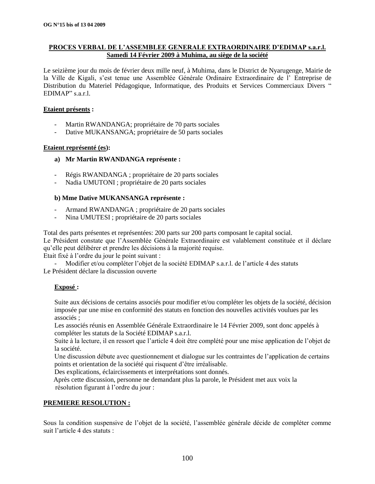#### **PROCES VERBAL DE L"ASSEMBLEE GENERALE EXTRAORDINAIRE D"EDIMAP s.a.r.l. Samedi 14 Février 2009 à Muhima, au siège de la société**

Le seizième jour du mois de février deux mille neuf, à Muhima, dans le District de Nyarugenge, Mairie de la Ville de Kigali, s'est tenue une Assemblée Générale Ordinaire Extraordinaire de l'Entreprise de Distribution du Materiel Pédagogique, Informatique, des Produits et Services Commerciaux Divers " EDIMAP" s.a.r.l.

#### **Etaient présents :**

- Martin RWANDANGA; propriétaire de 70 parts sociales
- Dative MUKANSANGA; propriétaire de 50 parts sociales

#### **Etaient représenté (es):**

#### **a) Mr Martin RWANDANGA représente :**

- Régis RWANDANGA ; propriétaire de 20 parts sociales
- Nadia UMUTONI ; propriétaire de 20 parts sociales

#### **b) Mme Dative MUKANSANGA représente :**

- Armand RWANDANGA ; propriétaire de 20 parts sociales
- Nina UMUTESI ; propriétaire de 20 parts sociales

Total des parts présentes et représentées: 200 parts sur 200 parts composant le capital social.

Le Président constate que l"Assemblée Générale Extraordinaire est valablement constituée et il déclare qu"elle peut délibérer et prendre les décisions à la majorité requise.

Etait fixé à l"ordre du jour le point suivant :

Modifier et/ou compléter l'objet de la société EDIMAP s.a.r.l. de l'article 4 des statuts Le Président déclare la discussion ouverte

### **Exposé :**

Suite aux décisions de certains associés pour modifier et/ou compléter les objets de la société, décision imposée par une mise en conformité des statuts en fonction des nouvelles activités voulues par les associés ;

Les associés réunis en Assemblée Générale Extraordinaire le 14 Février 2009, sont donc appelés à compléter les statuts de la Société EDIMAP s.a.r.l.

Suite à la lecture, il en ressort que l"article 4 doit être complété pour une mise application de l"objet de la société.

Une discussion débute avec questionnement et dialogue sur les contraintes de l"application de certains points et orientation de la société qui risquent d"être irréalisable.

Des explications, éclaircissements et interprétations sont donnés.

 Après cette discussion, personne ne demandant plus la parole, le Président met aux voix la résolution figurant à l'ordre du jour :

#### **PREMIERE RESOLUTION :**

Sous la condition suspensive de l"objet de la société, l"assemblée générale décide de compléter comme suit l"article 4 des statuts :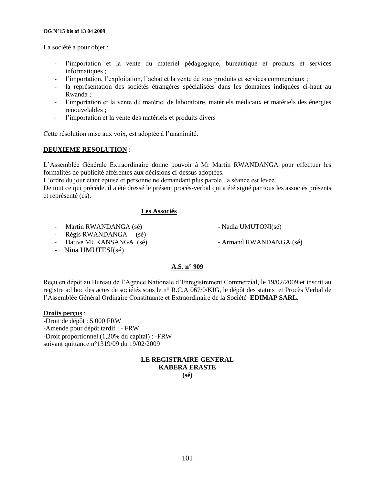#### **OG N°15 bis of 13 04 2009**

La société a pour objet :

- l'importation et la vente du matériel pédagogique, bureautique et produits et services informatiques ;
- l'importation, l'exploitation, l'achat et la vente de tous produits et services commerciaux ;
- la représentation des sociétés étrangères spécialisées dans les domaines indiquées ci-haut au Rwanda ;
- l'importation et la vente du matériel de laboratoire, matériels médicaux et matériels des énergies renouvelables ;
- l"importation et la vente des matériels et produits divers

Cette résolution mise aux voix, est adoptée à l"unanimité.

#### **DEUXIEME RESOLUTION :**

L"Assemblée Générale Extraordinaire donne pouvoir à Mr Martin RWANDANGA pour effectuer les formalités de publicité afférentes aux décisions ci-dessus adoptées.

L"ordre du jour étant épuisé et personne ne demandant plus parole, la séance est levée.

De tout ce qui précède, il a été dressé le présent procès-verbal qui a été signé par tous les associés présents et représenté (es).

### **Les Associés**

- Martin RWANDANGA (sé) Nadia UMUTONI(sé)
- Régis RWANDANGA (sé)
- Dative MUKANSANGA (sé) Armand RWANDANGA (sé)
	-

- Nina UMUTESI(sé)

### **A.S. n° 909**

Reçu en dépôt au Bureau de l"Agence Nationale d"Enregistrement Commercial, le 19/02/2009 et inscrit au registre ad hoc des actes de sociétés sous le n° R.C.A 067/0/KIG, le dépôt des statuts et Procès Verbal de l"Assemblée Général Ordinaire Constituante et Extraordinaire de la Société **EDIMAP SARL.**

#### **Droits perçus** :

-Droit de dépôt : 5 000 FRW -Amende pour dépôt tardif : - FRW -Droit proportionnel (1,20% du capital) : -FRW suivant quittance n°1319/09 du 19/02/2009

# **LE REGISTRAIRE GENERAL KABERA ERASTE**

**(sé)**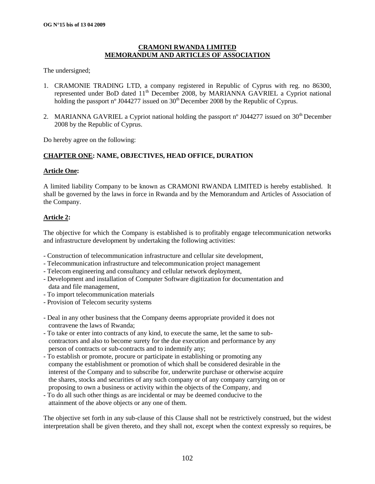#### **CRAMONI RWANDA LIMITED MEMORANDUM AND ARTICLES OF ASSOCIATION**

The undersigned;

- 1. CRAMONIE TRADING LTD, a company registered in Republic of Cyprus with reg. no 86300, represented under BoD dated 11<sup>th</sup> December 2008, by MARIANNA GAVRIEL a Cypriot national holding the passport n° J044277 issued on 30<sup>th</sup> December 2008 by the Republic of Cyprus.
- 2. MARIANNA GAVRIEL a Cypriot national holding the passport  $n^{\circ}$  J044277 issued on 30<sup>th</sup> December 2008 by the Republic of Cyprus.

Do hereby agree on the following:

#### **CHAPTER ONE: NAME, OBJECTIVES, HEAD OFFICE, DURATION**

#### **Article One:**

A limited liability Company to be known as CRAMONI RWANDA LIMITED is hereby established. It shall be governed by the laws in force in Rwanda and by the Memorandum and Articles of Association of the Company.

#### **Article 2:**

The objective for which the Company is established is to profitably engage telecommunication networks and infrastructure development by undertaking the following activities:

- Construction of telecommunication infrastructure and cellular site development,
- Telecommunication infrastructure and telecommunication project management
- Telecom engineering and consultancy and cellular network deployment,
- Development and installation of Computer Software digitization for documentation and data and file management,
- To import telecommunication materials
- Provision of Telecom security systems
- Deal in any other business that the Company deems appropriate provided it does not contravene the laws of Rwanda;
- To take or enter into contracts of any kind, to execute the same, let the same to sub contractors and also to become surety for the due execution and performance by any person of contracts or sub-contracts and to indemnify any;
- To establish or promote, procure or participate in establishing or promoting any company the establishment or promotion of which shall be considered desirable in the interest of the Company and to subscribe for, underwrite purchase or otherwise acquire the shares, stocks and securities of any such company or of any company carrying on or proposing to own a business or activity within the objects of the Company, and
- To do all such other things as are incidental or may be deemed conducive to the attainment of the above objects or any one of them.

The objective set forth in any sub-clause of this Clause shall not be restrictively construed, but the widest interpretation shall be given thereto, and they shall not, except when the context expressly so requires, be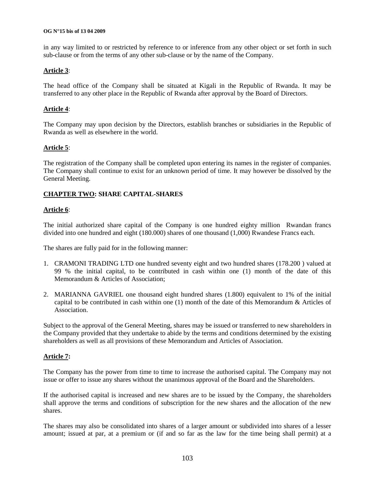#### **OG N°15 bis of 13 04 2009**

in any way limited to or restricted by reference to or inference from any other object or set forth in such sub-clause or from the terms of any other sub-clause or by the name of the Company.

#### **Article 3**:

The head office of the Company shall be situated at Kigali in the Republic of Rwanda. It may be transferred to any other place in the Republic of Rwanda after approval by the Board of Directors.

#### **Article 4**:

The Company may upon decision by the Directors, establish branches or subsidiaries in the Republic of Rwanda as well as elsewhere in the world.

#### **Article 5**:

The registration of the Company shall be completed upon entering its names in the register of companies. The Company shall continue to exist for an unknown period of time. It may however be dissolved by the General Meeting.

#### **CHAPTER TWO: SHARE CAPITAL-SHARES**

#### **Article 6**:

The initial authorized share capital of the Company is one hundred eighty million Rwandan francs divided into one hundred and eight (180.000) shares of one thousand (1,000) Rwandese Francs each.

The shares are fully paid for in the following manner:

- 1. CRAMONI TRADING LTD one hundred seventy eight and two hundred shares (178.200 ) valued at 99 % the initial capital, to be contributed in cash within one (1) month of the date of this Memorandum & Articles of Association;
- 2. MARIANNA GAVRIEL one thousand eight hundred shares (1.800) equivalent to 1% of the initial capital to be contributed in cash within one (1) month of the date of this Memorandum & Articles of Association.

Subject to the approval of the General Meeting, shares may be issued or transferred to new shareholders in the Company provided that they undertake to abide by the terms and conditions determined by the existing shareholders as well as all provisions of these Memorandum and Articles of Association.

#### **Article 7:**

The Company has the power from time to time to increase the authorised capital. The Company may not issue or offer to issue any shares without the unanimous approval of the Board and the Shareholders.

If the authorised capital is increased and new shares are to be issued by the Company, the shareholders shall approve the terms and conditions of subscription for the new shares and the allocation of the new shares.

The shares may also be consolidated into shares of a larger amount or subdivided into shares of a lesser amount; issued at par, at a premium or (if and so far as the law for the time being shall permit) at a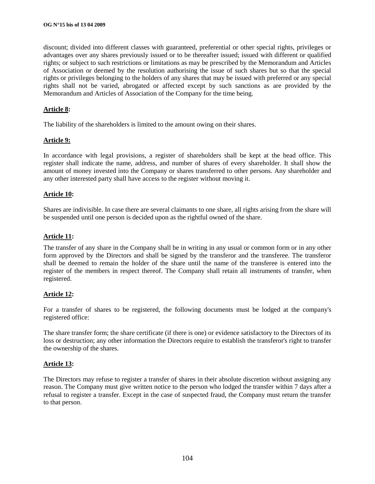discount; divided into different classes with guaranteed, preferential or other special rights, privileges or advantages over any shares previously issued or to be thereafter issued; issued with different or qualified rights; or subject to such restrictions or limitations as may be prescribed by the Memorandum and Articles of Association or deemed by the resolution authorising the issue of such shares but so that the special rights or privileges belonging to the holders of any shares that may be issued with preferred or any special rights shall not be varied, abrogated or affected except by such sanctions as are provided by the Memorandum and Articles of Association of the Company for the time being.

#### **Article 8:**

The liability of the shareholders is limited to the amount owing on their shares.

#### **Article 9:**

In accordance with legal provisions, a register of shareholders shall be kept at the head office. This register shall indicate the name, address, and number of shares of every shareholder. It shall show the amount of money invested into the Company or shares transferred to other persons. Any shareholder and any other interested party shall have access to the register without moving it.

#### **Article 10:**

Shares are indivisible. In case there are several claimants to one share, all rights arising from the share will be suspended until one person is decided upon as the rightful owned of the share.

#### **Article 11:**

The transfer of any share in the Company shall be in writing in any usual or common form or in any other form approved by the Directors and shall be signed by the transferor and the transferee. The transferor shall be deemed to remain the holder of the share until the name of the transferee is entered into the register of the members in respect thereof. The Company shall retain all instruments of transfer, when registered.

#### **Article 12:**

For a transfer of shares to be registered, the following documents must be lodged at the company's registered office:

The share transfer form; the share certificate (if there is one) or evidence satisfactory to the Directors of its loss or destruction; any other information the Directors require to establish the transferor's right to transfer the ownership of the shares.

#### **Article 13:**

The Directors may refuse to register a transfer of shares in their absolute discretion without assigning any reason. The Company must give written notice to the person who lodged the transfer within 7 days after a refusal to register a transfer. Except in the case of suspected fraud, the Company must return the transfer to that person.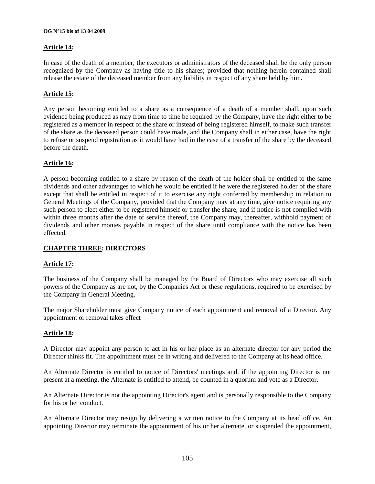#### **OG N°15 bis of 13 04 2009**

#### **Article 14:**

In case of the death of a member, the executors or administrators of the deceased shall be the only person recognized by the Company as having title to his shares; provided that nothing herein contained shall release the estate of the deceased member from any liability in respect of any share held by him.

#### **Article 15:**

Any person becoming entitled to a share as a consequence of a death of a member shall, upon such evidence being produced as may from time to time be required by the Company, have the right either to be registered as a member in respect of the share or instead of being registered himself, to make such transfer of the share as the deceased person could have made, and the Company shall in either case, have the right to refuse or suspend registration as it would have had in the case of a transfer of the share by the deceased before the death.

#### **Article 16:**

A person becoming entitled to a share by reason of the death of the holder shall be entitled to the same dividends and other advantages to which he would be entitled if he were the registered holder of the share except that shall be entitled in respect of it to exercise any right conferred by membership in relation to General Meetings of the Company, provided that the Company may at any time, give notice requiring any such person to elect either to be registered himself or transfer the share, and if notice is not complied with within three months after the date of service thereof, the Company may, thereafter, withhold payment of dividends and other monies payable in respect of the share until compliance with the notice has been effected.

### **CHAPTER THREE: DIRECTORS**

#### **Article 17:**

The business of the Company shall be managed by the Board of Directors who may exercise all such powers of the Company as are not, by the Companies Act or these regulations, required to be exercised by the Company in General Meeting.

The major Shareholder must give Company notice of each appointment and removal of a Director. Any appointment or removal takes effect

#### **Article 18:**

A Director may appoint any person to act in his or her place as an alternate director for any period the Director thinks fit. The appointment must be in writing and delivered to the Company at its head office.

An Alternate Director is entitled to notice of Directors' meetings and, if the appointing Director is not present at a meeting, the Alternate is entitled to attend, be counted in a quorum and vote as a Director.

An Alternate Director is not the appointing Director's agent and is personally responsible to the Company for his or her conduct.

An Alternate Director may resign by delivering a written notice to the Company at its head office. An appointing Director may terminate the appointment of his or her alternate, or suspended the appointment,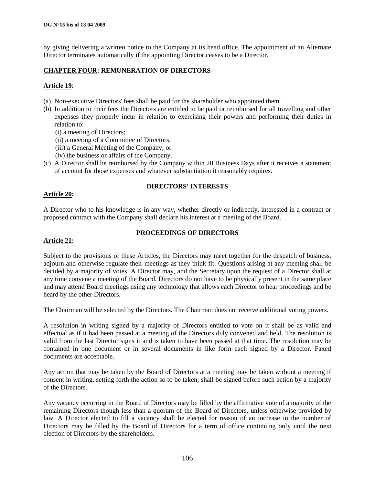by giving delivering a written notice to the Company at its head office. The appointment of an Alternate Director terminates automatically if the appointing Director ceases to be a Director.

#### **CHAPTER FOUR: REMUNERATION OF DIRECTORS**

#### **Article 19**:

- (a) Non-executive Directors' fees shall be paid for the shareholder who appointed them.
- (b) In addition to their fees the Directors are entitled to be paid or reimbursed for all travelling and other expenses they properly incur in relation to exercising their powers and performing their duties in relation to:
	- (i) a meeting of Directors;
	- (ii) a meeting of a Committee of Directors;
	- (iii) a General Meeting of the Company; or
	- (iv) the business or affairs of the Company.
- (c) A Director shall be reimbursed by the Company within 20 Business Days after it receives a statement of account for those expenses and whatever substantiation it reasonably requires.

#### **Article 20:**

#### **DIRECTORS' INTERESTS**

A Director who to his knowledge is in any way, whether directly or indirectly, interested in a contract or proposed contract with the Company shall declare his interest at a meeting of the Board.

#### **PROCEEDINGS OF DIRECTORS**

#### **Article 21:**

Subject to the provisions of these Articles, the Directors may meet together for the despatch of business, adjourn and otherwise regulate their meetings as they think fit. Questions arising at any meeting shall be decided by a majority of votes. A Director may, and the Secretary upon the request of a Director shall at any time convene a meeting of the Board. Directors do not have to be physically present in the same place and may attend Board meetings using any technology that allows each Director to hear proceedings and be heard by the other Directors.

The Chairman will be selected by the Directors. The Chairman does not receive additional voting powers.

A resolution in writing signed by a majority of Directors entitled to vote on it shall be as valid and effectual as if it had been passed at a meeting of the Directors duly convened and held. The resolution is valid from the last Director signs it and is taken to have been passed at that time. The resolution may be contained in one document or in several documents in like form each signed by a Director. Faxed documents are acceptable.

Any action that may be taken by the Board of Directors at a meeting may be taken without a meeting if consent in writing, setting forth the action so to be taken, shall be signed before such action by a majority of the Directors.

Any vacancy occurring in the Board of Directors may be filled by the affirmative vote of a majority of the remaining Directors though less than a quorum of the Board of Directors, unless otherwise provided by law. A Director elected to fill a vacancy shall be elected for reason of an increase in the number of Directors may be filled by the Board of Directors for a term of office continuing only until the next election of Directors by the shareholders.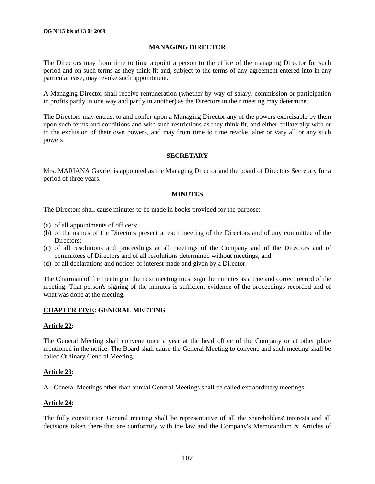#### **MANAGING DIRECTOR**

The Directors may from time to time appoint a person to the office of the managing Director for such period and on such terms as they think fit and, subject to the terms of any agreement entered into in any particular case, may revoke such appointment.

A Managing Director shall receive remuneration (whether by way of salary, commission or participation in profits partly in one way and partly in another) as the Directors in their meeting may determine.

The Directors may entrust to and confer upon a Managing Director any of the powers exercisable by them upon such terms and conditions and with such restrictions as they think fit, and either collaterally with or to the exclusion of their own powers, and may from time to time revoke, alter or vary all or any such powers

#### **SECRETARY**

Mrs. MARIANA Gavriel is appointed as the Managing Director and the board of Directors Secretary for a period of three years.

#### **MINUTES**

The Directors shall cause minutes to be made in books provided for the purpose:

- (a) of all appointments of officers;
- (b) of the names of the Directors present at each meeting of the Directors and of any committee of the Directors;
- (c) of all resolutions and proceedings at all meetings of the Company and of the Directors and of committees of Directors and of all resolutions determined without meetings, and
- (d) of all declarations and notices of interest made and given by a Director.

The Chairman of the meeting or the next meeting must sign the minutes as a true and correct record of the meeting. That person's signing of the minutes is sufficient evidence of the proceedings recorded and of what was done at the meeting.

#### **CHAPTER FIVE: GENERAL MEETING**

#### **Article 22:**

The General Meeting shall convene once a year at the head office of the Company or at other place mentioned in the notice. The Board shall cause the General Meeting to convene and such meeting shall be called Ordinary General Meeting.

#### **Article 23:**

All General Meetings other than annual General Meetings shall be called extraordinary meetings.

#### **Article 24:**

The fully constitution General meeting shall be representative of all the shareholders' interests and all decisions taken there that are conformity with the law and the Company's Memorandum & Articles of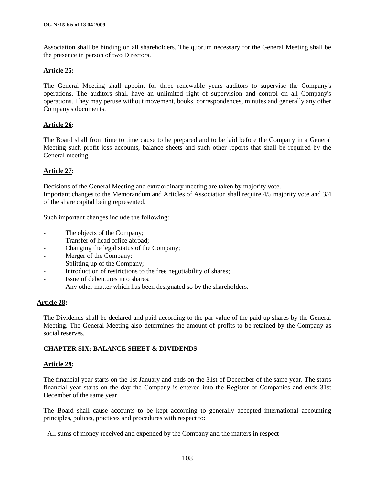Association shall be binding on all shareholders. The quorum necessary for the General Meeting shall be the presence in person of two Directors.

#### **Article 25:**

The General Meeting shall appoint for three renewable years auditors to supervise the Company's operations. The auditors shall have an unlimited right of supervision and control on all Company's operations. They may peruse without movement, books, correspondences, minutes and generally any other Company's documents.

#### **Article 26:**

The Board shall from time to time cause to be prepared and to be laid before the Company in a General Meeting such profit loss accounts, balance sheets and such other reports that shall be required by the General meeting.

#### **Article 27:**

Decisions of the General Meeting and extraordinary meeting are taken by majority vote. Important changes to the Memorandum and Articles of Association shall require 4/5 majority vote and 3/4 of the share capital being represented.

Such important changes include the following:

- The objects of the Company;
- Transfer of head office abroad;
- Changing the legal status of the Company;
- Merger of the Company;
- Splitting up of the Company;
- Introduction of restrictions to the free negotiability of shares;
- Issue of debentures into shares;
- Any other matter which has been designated so by the shareholders.

#### **Article 28:**

The Dividends shall be declared and paid according to the par value of the paid up shares by the General Meeting. The General Meeting also determines the amount of profits to be retained by the Company as social reserves.

### **CHAPTER SIX: BALANCE SHEET & DIVIDENDS**

#### **Article 29:**

The financial year starts on the 1st January and ends on the 31st of December of the same year. The starts financial year starts on the day the Company is entered into the Register of Companies and ends 31st December of the same year.

The Board shall cause accounts to be kept according to generally accepted international accounting principles, polices, practices and procedures with respect to:

- All sums of money received and expended by the Company and the matters in respect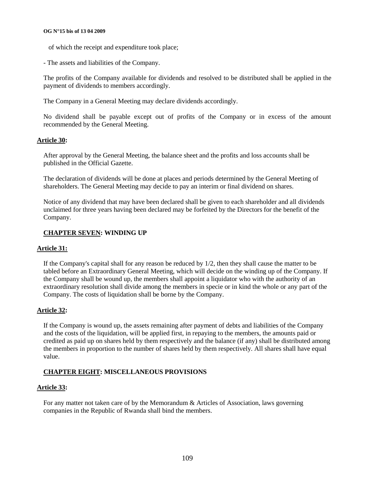#### **OG N°15 bis of 13 04 2009**

- of which the receipt and expenditure took place;
- The assets and liabilities of the Company.

The profits of the Company available for dividends and resolved to be distributed shall be applied in the payment of dividends to members accordingly.

The Company in a General Meeting may declare dividends accordingly.

No dividend shall be payable except out of profits of the Company or in excess of the amount recommended by the General Meeting.

### **Article 30:**

After approval by the General Meeting, the balance sheet and the profits and loss accounts shall be published in the Official Gazette.

The declaration of dividends will be done at places and periods determined by the General Meeting of shareholders. The General Meeting may decide to pay an interim or final dividend on shares.

Notice of any dividend that may have been declared shall be given to each shareholder and all dividends unclaimed for three years having been declared may be forfeited by the Directors for the benefit of the Company.

### **CHAPTER SEVEN: WINDING UP**

### **Article 31:**

If the Company's capital shall for any reason be reduced by 1/2, then they shall cause the matter to be tabled before an Extraordinary General Meeting, which will decide on the winding up of the Company. If the Company shall be wound up, the members shall appoint a liquidator who with the authority of an extraordinary resolution shall divide among the members in specie or in kind the whole or any part of the Company. The costs of liquidation shall be borne by the Company.

### **Article 32:**

If the Company is wound up, the assets remaining after payment of debts and liabilities of the Company and the costs of the liquidation, will be applied first, in repaying to the members, the amounts paid or credited as paid up on shares held by them respectively and the balance (if any) shall be distributed among the members in proportion to the number of shares held by them respectively. All shares shall have equal value.

### **CHAPTER EIGHT: MISCELLANEOUS PROVISIONS**

#### **Article 33:**

For any matter not taken care of by the Memorandum & Articles of Association, laws governing companies in the Republic of Rwanda shall bind the members.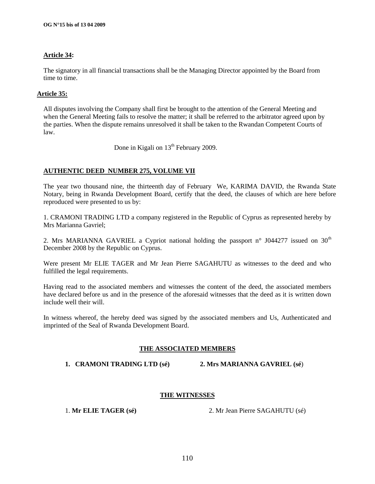# **Article 34:**

The signatory in all financial transactions shall be the Managing Director appointed by the Board from time to time.

### **Article 35:**

All disputes involving the Company shall first be brought to the attention of the General Meeting and when the General Meeting fails to resolve the matter; it shall be referred to the arbitrator agreed upon by the parties. When the dispute remains unresolved it shall be taken to the Rwandan Competent Courts of law.

Done in Kigali on  $13<sup>th</sup>$  February 2009.

# **AUTHENTIC DEED NUMBER 275, VOLUME VII**

The year two thousand nine, the thirteenth day of February We, KARIMA DAVID, the Rwanda State Notary, being in Rwanda Development Board, certify that the deed, the clauses of which are here before reproduced were presented to us by:

1. CRAMONI TRADING LTD a company registered in the Republic of Cyprus as represented hereby by Mrs Marianna Gavriel;

2. Mrs MARIANNA GAVRIEL a Cypriot national holding the passport  $n^{\circ}$  J044277 issued on 30<sup>th</sup> December 2008 by the Republic on Cyprus.

Were present Mr ELIE TAGER and Mr Jean Pierre SAGAHUTU as witnesses to the deed and who fulfilled the legal requirements.

Having read to the associated members and witnesses the content of the deed, the associated members have declared before us and in the presence of the aforesaid witnesses that the deed as it is written down include well their will.

In witness whereof, the hereby deed was signed by the associated members and Us, Authenticated and imprinted of the Seal of Rwanda Development Board.

### **THE ASSOCIATED MEMBERS**

**1. CRAMONI TRADING LTD (sé) 2. Mrs MARIANNA GAVRIEL (sé**)

### **THE WITNESSES**

1. **Mr ELIE TAGER (sé)** 2. Mr Jean Pierre SAGAHUTU (sé)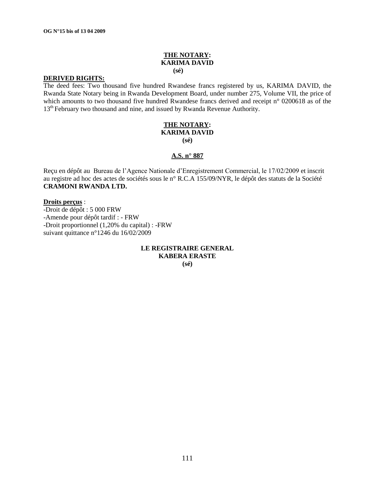# **THE NOTARY: KARIMA DAVID**

 **(sé)**

### **DERIVED RIGHTS:**

The deed fees: Two thousand five hundred Rwandese francs registered by us, KARIMA DAVID, the Rwanda State Notary being in Rwanda Development Board, under number 275, Volume VII, the price of which amounts to two thousand five hundred Rwandese francs derived and receipt n° 0200618 as of the 13<sup>th</sup> February two thousand and nine, and issued by Rwanda Revenue Authority.

#### **THE NOTARY: KARIMA DAVID (sé)**

### **A.S. n° 887**

Reçu en dépôt au Bureau de l"Agence Nationale d"Enregistrement Commercial, le 17/02/2009 et inscrit au registre ad hoc des actes de sociétés sous le n° R.C.A 155/09/NYR, le dépôt des statuts de la Société **CRAMONI RWANDA LTD.**

### **Droits perçus** :

-Droit de dépôt : 5 000 FRW -Amende pour dépôt tardif : - FRW -Droit proportionnel (1,20% du capital) : -FRW suivant quittance n°1246 du 16/02/2009

> **LE REGISTRAIRE GENERAL KABERA ERASTE (sé)**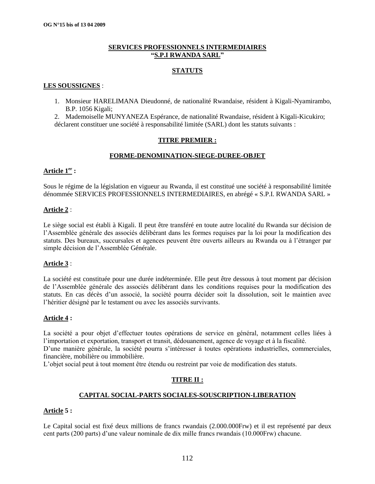### **SERVICES PROFESSIONNELS INTERMEDIAIRES "S.P.I RWANDA SARL"**

### **STATUTS**

### **LES SOUSSIGNES** :

1. Monsieur HARELIMANA Dieudonné, de nationalité Rwandaise, résident à Kigali-Nyamirambo, B.P. 1056 Kigali;

2. Mademoiselle MUNYANEZA Espérance, de nationalité Rwandaise, résident à Kigali-Kicukiro; déclarent constituer une société à responsabilité limitée (SARL) dont les statuts suivants :

# **TITRE PREMIER :**

# **FORME-DENOMINATION-SIEGE-DUREE-OBJET**

### **Article 1er :**

Sous le régime de la législation en vigueur au Rwanda, il est constitué une société à responsabilité limitée dénommée SERVICES PROFESSIONNELS INTERMEDIAIRES, en abrégé « S.P.I. RWANDA SARL »

### **Article 2** :

Le siège social est établi à Kigali. Il peut être transféré en toute autre localité du Rwanda sur décision de l"Assemblée générale des associés délibérant dans les formes requises par la loi pour la modification des statuts. Des bureaux, succursales et agences peuvent être ouverts ailleurs au Rwanda ou à l"étranger par simple décision de l"Assemblée Générale.

### **Article 3** :

La société est constituée pour une durée indéterminée. Elle peut être dessous à tout moment par décision de l"Assemblée générale des associés délibérant dans les conditions requises pour la modification des statuts. En cas décès d"un associé, la société pourra décider soit la dissolution, soit le maintien avec l"héritier désigné par le testament ou avec les associés survivants.

### **Article 4 :**

La société a pour objet d"effectuer toutes opérations de service en général, notamment celles liées à l"importation et exportation, transport et transit, dédouanement, agence de voyage et à la fiscalité.

D'une manière générale, la société pourra s'intéresser à toutes opérations industrielles, commerciales, financière, mobilière ou immobilière.

L"objet social peut à tout moment être étendu ou restreint par voie de modification des statuts.

# **TITRE II :**

# **CAPITAL SOCIAL-PARTS SOCIALES-SOUSCRIPTION-LIBERATION**

### **Article 5 :**

Le Capital social est fixé deux millions de francs rwandais (2.000.000Frw) et il est représenté par deux cent parts (200 parts) d"une valeur nominale de dix mille francs rwandais (10.000Frw) chacune.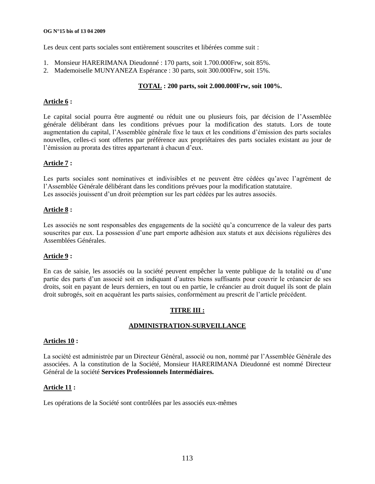#### **OG N°15 bis of 13 04 2009**

Les deux cent parts sociales sont entièrement souscrites et libérées comme suit :

- 1. Monsieur HARERIMANA Dieudonné : 170 parts, soit 1.700.000Frw, soit 85%.
- 2. Mademoiselle MUNYANEZA Espérance : 30 parts, soit 300.000Frw, soit 15%.

# **TOTAL : 200 parts, soit 2.000.000Frw, soit 100%.**

### **Article 6 :**

Le capital social pourra être augmenté ou réduit une ou plusieurs fois, par décision de l"Assemblée générale délibérant dans les conditions prévues pour la modification des statuts. Lors de toute augmentation du capital, l"Assemblée générale fixe le taux et les conditions d"émission des parts sociales nouvelles, celles-ci sont offertes par préférence aux propriétaires des parts sociales existant au jour de l'émission au prorata des titres appartenant à chacun d'eux.

# **Article 7 :**

Les parts sociales sont nominatives et indivisibles et ne peuvent être cédées qu"avec l"agrément de l"Assemblée Générale délibérant dans les conditions prévues pour la modification statutaire. Les associés jouissent d'un droit préemption sur les part cédées par les autres associés.

### **Article 8 :**

Les associés ne sont responsables des engagements de la société qu"a concurrence de la valeur des parts souscrites par eux. La possession d"une part emporte adhésion aux statuts et aux décisions régulières des Assemblées Générales.

### **Article 9 :**

En cas de saisie, les associés ou la société peuvent empêcher la vente publique de la totalité ou d"une partie des parts d"un associé soit en indiquant d"autres biens suffisants pour couvrir le créancier de ses droits, soit en payant de leurs derniers, en tout ou en partie, le créancier au droit duquel ils sont de plain droit subrogés, soit en acquérant les parts saisies, conformément au prescrit de l"article précédent.

# **TITRE III :**

# **ADMINISTRATION-SURVEILLANCE**

### **Articles 10 :**

La société est administrée par un Directeur Général, associé ou non, nommé par l"Assemblée Générale des associées. A la constitution de la Société, Monsieur HARERIMANA Dieudonné est nommé Directeur Général de la société **Services Professionnels Intermédiaires.**

### **Article 11 :**

Les opérations de la Société sont contrôlées par les associés eux-mêmes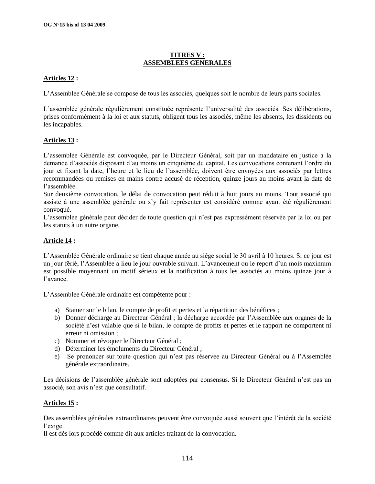# **TITRES V : ASSEMBLEES GENERALES**

# **Articles 12 :**

L"Assemblée Générale se compose de tous les associés, quelques soit le nombre de leurs parts sociales.

L"assemblée générale régulièrement constituée représente l"universalité des associés. Ses délibérations, prises conformément à la loi et aux statuts, obligent tous les associés, même les absents, les dissidents ou les incapables.

# **Articles 13 :**

L"assemblée Générale est convoquée, par le Directeur Général, soit par un mandataire en justice à la demande d"associés disposant d"au moins un cinquième du capital. Les convocations contenant l"ordre du jour et fixant la date, l"heure et le lieu de l"assemblée, doivent être envoyées aux associés par lettres recommandées ou remises en mains contre accusé de réception, quinze jours au moins avant la date de l"assemblée.

Sur deuxième convocation, le délai de convocation peut réduit à huit jours au moins. Tout associé qui assiste à une assemblée générale ou s"y fait représenter est considéré comme ayant été régulièrement convoqué.

L"assemblée générale peut décider de toute question qui n"est pas expressément réservée par la loi ou par les statuts à un autre organe.

### **Article 14 :**

L"Assemblée Générale ordinaire se tient chaque année au siège social le 30 avril à 10 heures. Si ce jour est un jour férié, l'Assemblée a lieu le jour ouvrable suivant. L'avancement ou le report d'un mois maximum est possible moyennant un motif sérieux et la notification à tous les associés au moins quinze jour à l"avance.

L"Assemblée Générale ordinaire est compétente pour :

- a) Statuer sur le bilan, le compte de profit et pertes et la répartition des bénéfices ;
- b) Donner décharge au Directeur Général ; la décharge accordée par l"Assemblée aux organes de la société n"est valable que si le bilan, le compte de profits et pertes et le rapport ne comportent ni erreur ni omission ;
- c) Nommer et révoquer le Directeur Général ;
- d) Déterminer les émoluments du Directeur Général ;
- e) Se prononcer sur toute question qui n"est pas réservée au Directeur Général ou à l"Assemblée générale extraordinaire.

Les décisions de l"assemblée générale sont adoptées par consensus. Si le Directeur Général n"est pas un associé, son avis n"est que consultatif.

### **Articles 15 :**

Des assemblées générales extraordinaires peuvent être convoquée aussi souvent que l"intérêt de la société l"exige.

Il est dès lors procédé comme dit aux articles traitant de la convocation.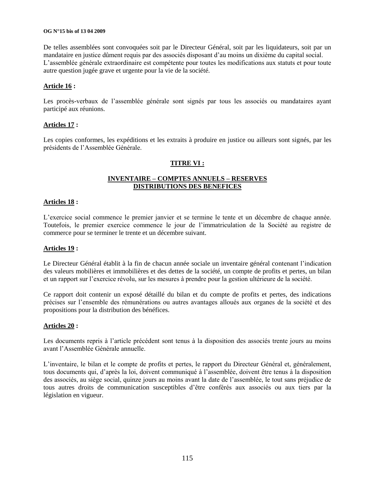#### **OG N°15 bis of 13 04 2009**

De telles assemblées sont convoquées soit par le Directeur Général, soit par les liquidateurs, soit par un mandataire en justice dûment requis par des associés disposant d"au moins un dixième du capital social. L'assemblée générale extraordinaire est compétente pour toutes les modifications aux statuts et pour toute autre question jugée grave et urgente pour la vie de la société.

### **Article 16 :**

Les procès-verbaux de l'assemblée générale sont signés par tous les associés ou mandataires ayant participé aux réunions.

### **Articles 17 :**

Les copies conformes, les expéditions et les extraits à produire en justice ou ailleurs sont signés, par les présidents de l"Assemblée Générale.

# **TITRE VI :**

# **INVENTAIRE – COMPTES ANNUELS – RESERVES DISTRIBUTIONS DES BENEFICES**

#### **Articles 18 :**

L"exercice social commence le premier janvier et se termine le tente et un décembre de chaque année. Toutefois, le premier exercice commence le jour de l"immatriculation de la Société au registre de commerce pour se terminer le trente et un décembre suivant.

#### **Articles 19 :**

Le Directeur Général établit à la fin de chacun année sociale un inventaire général contenant l"indication des valeurs mobilières et immobilières et des dettes de la société, un compte de profits et pertes, un bilan et un rapport sur l"exercice révolu, sur les mesures à prendre pour la gestion ultérieure de la société.

Ce rapport doit contenir un exposé détaillé du bilan et du compte de profits et pertes, des indications précises sur l"ensemble des rémunérations ou autres avantages alloués aux organes de la société et des propositions pour la distribution des bénéfices.

#### **Articles 20 :**

Les documents repris à l"article précédent sont tenus à la disposition des associés trente jours au moins avant l"Assemblée Générale annuelle.

L"inventaire, le bilan et le compte de profits et pertes, le rapport du Directeur Général et, généralement, tous documents qui, d"après la loi, doivent communiqué à l"assemblée, doivent être tenus à la disposition des associés, au siège social, quinze jours au moins avant la date de l"assemblée, le tout sans préjudice de tous autres droits de communication susceptibles d"être conférés aux associés ou aux tiers par la législation en vigueur.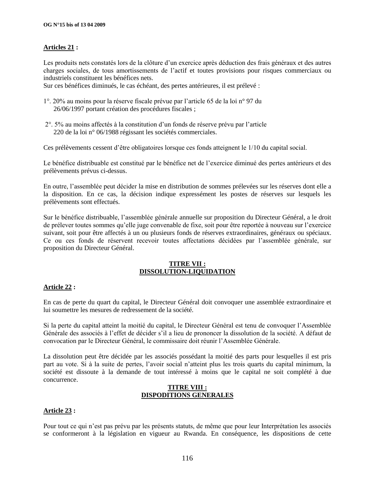# **Articles 21 :**

Les produits nets constatés lors de la clôture d'un exercice après déduction des frais généraux et des autres charges sociales, de tous amortissements de l"actif et toutes provisions pour risques commerciaux ou industriels constituent les bénéfices nets.

Sur ces bénéfices diminués, le cas échéant, des pertes antérieures, il est prélevé :

- 1°. 20% au moins pour la réserve fiscale prévue par l"article 65 de la loi n° 97 du 26/06/1997 portant création des procédures fiscales ;
- 2°. 5% au moins affectés à la constitution d"un fonds de réserve prévu par l"article 220 de la loi n° 06/1988 régissant les sociétés commerciales.

Ces prélèvements cessent d"être obligatoires lorsque ces fonds atteignent le 1/10 du capital social.

Le bénéfice distribuable est constitué par le bénéfice net de l"exercice diminué des pertes antérieurs et des prélèvements prévus ci-dessus.

En outre, l"assemblée peut décider la mise en distribution de sommes prélevées sur les réserves dont elle a la disposition. En ce cas, la décision indique expressément les postes de réserves sur lesquels les prélèvements sont effectués.

Sur le bénéfice distribuable, l"assemblée générale annuelle sur proposition du Directeur Général, a le droit de prélever toutes sommes qu"elle juge convenable de fixe, soit pour être reportée à nouveau sur l"exercice suivant, soit pour être affectés à un ou plusieurs fonds de réserves extraordinaires, généraux ou spéciaux. Ce ou ces fonds de réservent recevoir toutes affectations décidées par l"assemblée générale, sur proposition du Directeur Général.

### **TITRE VII : DISSOLUTION-LIQUIDATION**

### **Article 22 :**

En cas de perte du quart du capital, le Directeur Général doit convoquer une assemblée extraordinaire et lui soumettre les mesures de redressement de la société.

Si la perte du capital atteint la moitié du capital, le Directeur Général est tenu de convoquer l"Assemblée Générale des associés à l"effet de décider s"il a lieu de prononcer la dissolution de la société. A défaut de convocation par le Directeur Général, le commissaire doit réunir l"Assemblée Générale.

La dissolution peut être décidée par les associés possédant la moitié des parts pour lesquelles il est pris part au vote. Si à la suite de pertes, l"avoir social n"atteint plus les trois quarts du capital minimum, la société est dissoute à la demande de tout intéressé à moins que le capital ne soit complété à due concurrence.

### **TITRE VIII : DISPODITIONS GENERALES**

### **Article 23 :**

Pour tout ce qui n"est pas prévu par les présents statuts, de même que pour leur Interprétation les associés se conformeront à la législation en vigueur au Rwanda. En conséquence, les dispositions de cette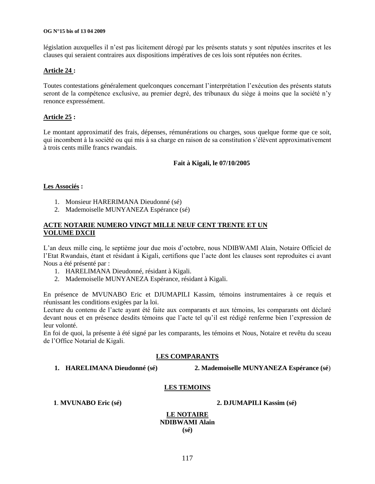#### **OG N°15 bis of 13 04 2009**

législation auxquelles il n'est pas licitement dérogé par les présents statuts y sont réputées inscrites et les clauses qui seraient contraires aux dispositions impératives de ces lois sont réputées non écrites.

### **Article 24 :**

Toutes contestations généralement quelconques concernant l"interprétation l"exécution des présents statuts seront de la compétence exclusive, au premier degré, des tribunaux du siège à moins que la société n"y renonce expressément.

# **Article 25 :**

Le montant approximatif des frais, dépenses, rémunérations ou charges, sous quelque forme que ce soit, qui incombent à la société ou qui mis à sa charge en raison de sa constitution s"élèvent approximativement à trois cents mille francs rwandais.

### **Fait à Kigali, le 07/10/2005**

### **Les Associés :**

- 1. Monsieur HARERIMANA Dieudonné (sé)
- 2. Mademoiselle MUNYANEZA Espérance (sé)

### **ACTE NOTARIE NUMERO VINGT MILLE NEUF CENT TRENTE ET UN VOLUME DXCII**

L"an deux mille cinq, le septième jour due mois d"octobre, nous NDIBWAMI Alain, Notaire Officiel de l"Etat Rwandais, étant et résidant à Kigali, certifions que l"acte dont les clauses sont reproduites ci avant Nous a été présenté par :

- 1. HARELIMANA Dieudonné, résidant à Kigali.
- 2. Mademoiselle MUNYANEZA Espérance, résidant à Kigali.

En présence de MVUNABO Eric et DJUMAPILI Kassim, témoins instrumentaires à ce requis et réunissant les conditions exigées par la loi.

Lecture du contenu de l'acte ayant été faite aux comparants et aux témoins, les comparants ont déclaré devant nous et en présence desdits témoins que l"acte tel qu"il est rédigé renferme bien l"expression de leur volonté.

En foi de quoi, la présente à été signé par les comparants, les témoins et Nous, Notaire et revêtu du sceau de l"Office Notarial de Kigali.

### **LES COMPARANTS**

**1. HARELIMANA Dieudonné (sé) 2. Mademoiselle MUNYANEZA Espérance (sé**)

### **LES TEMOINS**

**1**. **MVUNABO Eric (sé) 2. DJUMAPILI Kassim (sé)**

**LE NOTAIRE NDIBWAMI Alain (sé)**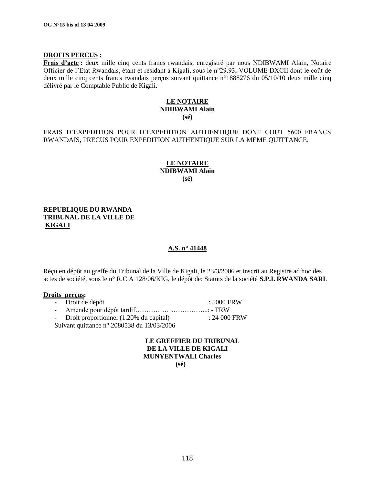### **DROITS PERCUS :**

**Frais d"acte :** deux mille cinq cents francs rwandais, enregistré par nous NDIBWAMI Alain, Notaire Officier de l"Etat Rwandais, étant et résidant à Kigali, sous le n°29.93, VOLUME DXCII dont le coût de deux mille cinq cents francs rwandais perçus suivant quittance n°1888276 du 05/10/10 deux mille cinq délivré par le Comptable Public de Kigali.

### **LE NOTAIRE NDIBWAMI Alain (sé)**

FRAIS D"EXPEDITION POUR D"EXPEDITION AUTHENTIQUE DONT COUT 5600 FRANCS RWANDAIS, PRECUS POUR EXPEDITION AUTHENTIQUE SUR LA MEME QUITTANCE.

### **LE NOTAIRE NDIBWAMI Alain (sé)**

### **REPUBLIQUE DU RWANDA TRIBUNAL DE LA VILLE DE KIGALI**

### **A.S. n° 41448**

Réçu en dépôt au greffe du Tribunal de la Ville de Kigali, le 23/3/2006 et inscrit au Registre ad hoc des actes de société, sous le n° R.C A 128/06/KIG, le dépôt de: Statuts de la société **S.P.I. RWANDA SARL**

### **Droits perçus:**

|                                              | - Droit de dépôt                         | : 5000 FRW    |  |
|----------------------------------------------|------------------------------------------|---------------|--|
|                                              |                                          |               |  |
|                                              | - Droit proportionnel (1.20% du capital) | $: 24000$ FRW |  |
| Suivant quittance n° 2080538 du $13/03/2006$ |                                          |               |  |
|                                              |                                          |               |  |

# **LE GREFFIER DU TRIBUNAL DE LA VILLE DE KIGALI MUNYENTWALI Charles**

 **(sé)**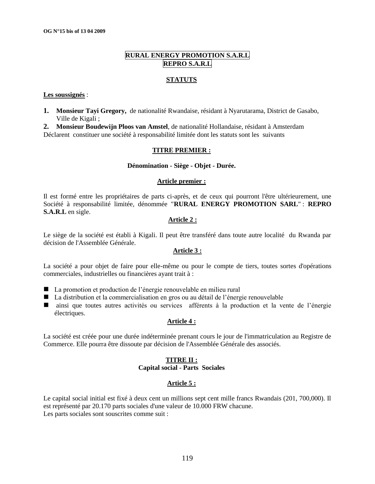# **RURAL ENERGY PROMOTION S.A.R.L REPRO S.A.R.L**

### **STATUTS**

#### **Les soussignés** :

**1. Monsieur Tayi Gregory,** de nationalité Rwandaise, résidant à Nyarutarama, District de Gasabo, Ville de Kigali ;

**2. Monsieur Boudewijn Ploos van Amstel**, de nationalité Hollandaise, résidant à Amsterdam Déclarent constituer une société à responsabilité limitée dont les statuts sont les suivants

### **TITRE PREMIER :**

#### **Dénomination - Siège - Objet - Durée.**

#### **Article premier :**

Il est formé entre les propriétaires de parts ci-après, et de ceux qui pourront l'être ultérieurement, une Société à responsabilité limitée, dénommée "**RURAL ENERGY PROMOTION SARL**" : **REPRO S.A.R.L** en sigle.

### **Article 2 :**

Le siège de la société est établi à Kigali. Il peut être transféré dans toute autre localité du Rwanda par décision de l'Assemblée Générale.

### **Article 3 :**

La société a pour objet de faire pour elle-même ou pour le compte de tiers, toutes sortes d'opérations commerciales, industrielles ou financières ayant trait à :

- La promotion et production de l'énergie renouvelable en milieu rural
- La distribution et la commercialisation en gros ou au détail de l'énergie renouvelable
- ainsi que toutes autres activités ou services afférents à la production et la vente de l"énergie électriques.

### **Article 4 :**

La société est créée pour une durée indéterminée prenant cours le jour de l'immatriculation au Registre de Commerce. Elle pourra être dissoute par décision de l'Assemblée Générale des associés.

### **TITRE II : Capital social - Parts Sociales**

# **Article 5 :**

Le capital social initial est fixé à deux cent un millions sept cent mille francs Rwandais (201, 700,000). Il est représenté par 20.170 parts sociales d'une valeur de 10.000 FRW chacune. Les parts sociales sont souscrites comme suit :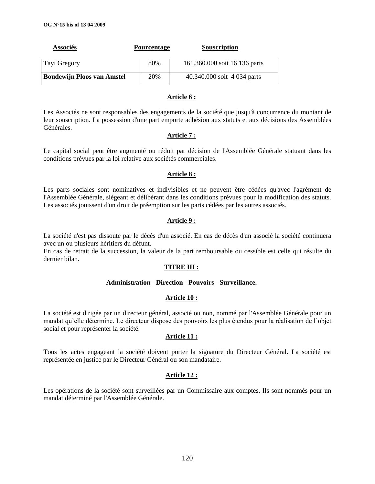| <b>Associés</b>                   | <b>Pourcentage</b> | <b>Souscription</b>           |
|-----------------------------------|--------------------|-------------------------------|
| Tayi Gregory                      | 80%                | 161.360.000 soit 16 136 parts |
| <b>Boudewijn Ploos van Amstel</b> | 20%                | 40.340.000 soit 4 034 parts   |

### **Article 6 :**

Les Associés ne sont responsables des engagements de la société que jusqu'à concurrence du montant de leur souscription. La possession d'une part emporte adhésion aux statuts et aux décisions des Assemblées Générales.

# **Article 7 :**

Le capital social peut être augmenté ou réduit par décision de l'Assemblée Générale statuant dans les conditions prévues par la loi relative aux sociétés commerciales.

# **Article 8 :**

Les parts sociales sont nominatives et indivisibles et ne peuvent être cédées qu'avec l'agrément de l'Assemblée Générale, siégeant et délibérant dans les conditions prévues pour la modification des statuts. Les associés jouissent d'un droit de préemption sur les parts cédées par les autres associés.

# **Article 9 :**

La société n'est pas dissoute par le décès d'un associé. En cas de décès d'un associé la société continuera avec un ou plusieurs héritiers du défunt.

En cas de retrait de la succession, la valeur de la part remboursable ou cessible est celle qui résulte du dernier bilan.

# **TITRE III :**

### **Administration - Direction - Pouvoirs - Surveillance.**

# **Article 10 :**

La société est dirigée par un directeur général, associé ou non, nommé par l'Assemblée Générale pour un mandat qu"elle détermine. Le directeur dispose des pouvoirs les plus étendus pour la réalisation de l"objet social et pour représenter la société.

# **Article 11 :**

Tous les actes engageant la société doivent porter la signature du Directeur Général. La société est représentée en justice par le Directeur Général ou son mandataire.

# **Article 12 :**

Les opérations de la société sont surveillées par un Commissaire aux comptes. Ils sont nommés pour un mandat déterminé par l'Assemblée Générale.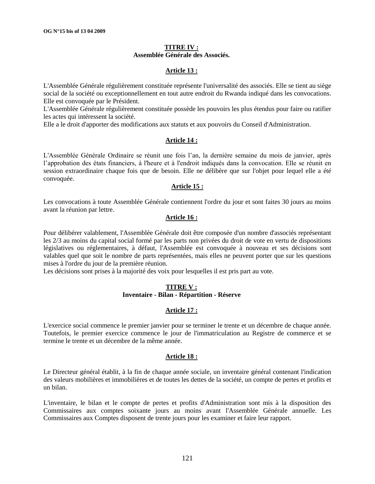### **TITRE IV : Assemblée Générale des Associés.**

### **Article 13 :**

L'Assemblée Générale régulièrement constituée représente l'universalité des associés. Elle se tient au siège social de la société ou exceptionnellement en tout autre endroit du Rwanda indiqué dans les convocations. Elle est convoquée par le Président.

L'Assemblée Générale régulièrement constituée possède les pouvoirs les plus étendus pour faire ou ratifier les actes qui intéressent la société.

Elle a le droit d'apporter des modifications aux statuts et aux pouvoirs du Conseil d'Administration.

### **Article 14 :**

L'Assemblée Générale Ordinaire se réunit une fois l"an, la dernière semaine du mois de janvier, après l"approbation des états financiers, à l'heure et à l'endroit indiqués dans la convocation. Elle se réunit en session extraordinaire chaque fois que de besoin. Elle ne délibère que sur l'objet pour lequel elle a été convoquée.

### **Article 15 :**

Les convocations à toute Assemblée Générale contiennent l'ordre du jour et sont faites 30 jours au moins avant la réunion par lettre.

### **Article 16 :**

Pour délibérer valablement, l'Assemblée Générale doit être composée d'un nombre d'associés représentant les 2/3 au moins du capital social formé par les parts non privées du droit de vote en vertu de dispositions législatives ou réglementaires, à défaut, l'Assemblée est convoquée à nouveau et ses décisions sont valables quel que soit le nombre de parts représentées, mais elles ne peuvent porter que sur les questions mises à l'ordre du jour de la première réunion.

Les décisions sont prises à la majorité des voix pour lesquelles il est pris part au vote.

### **TITRE V : Inventaire - Bilan - Répartition - Réserve**

### **Article 17 :**

L'exercice social commence le premier janvier pour se terminer le trente et un décembre de chaque année. Toutefois, le premier exercice commence le jour de l'immatriculation au Registre de commerce et se termine le trente et un décembre de la même année.

### **Article 18 :**

Le Directeur général établit, à la fin de chaque année sociale, un inventaire général contenant l'indication des valeurs mobilières et immobilières et de toutes les dettes de la société, un compte de pertes et profits et un bilan.

L'inventaire, le bilan et le compte de pertes et profits d'Administration sont mis à la disposition des Commissaires aux comptes soixante jours au moins avant l'Assemblée Générale annuelle. Les Commissaires aux Comptes disposent de trente jours pour les examiner et faire leur rapport.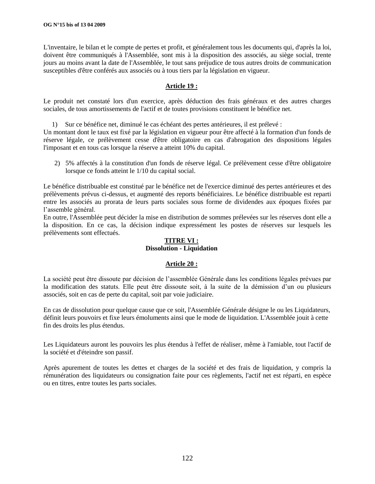L'inventaire, le bilan et le compte de pertes et profit, et généralement tous les documents qui, d'après la loi, doivent être communiqués à l'Assemblée, sont mis à la disposition des associés, au siège social, trente jours au moins avant la date de l'Assemblée, le tout sans préjudice de tous autres droits de communication susceptibles d'être conférés aux associés ou à tous tiers par la législation en vigueur.

# **Article 19 :**

Le produit net constaté lors d'un exercice, après déduction des frais généraux et des autres charges sociales, de tous amortissements de l'actif et de toutes provisions constituent le bénéfice net.

1) Sur ce bénéfice net, diminué le cas échéant des pertes antérieures, il est prélevé :

Un montant dont le taux est fixé par la législation en vigueur pour être affecté à la formation d'un fonds de réserve légale, ce prélèvement cesse d'être obligatoire en cas d'abrogation des dispositions légales l'imposant et en tous cas lorsque la réserve a atteint 10% du capital.

2) 5% affectés à la constitution d'un fonds de réserve légal. Ce prélèvement cesse d'être obligatoire lorsque ce fonds atteint le 1/10 du capital social.

Le bénéfice distribuable est constitué par le bénéfice net de l'exercice diminué des pertes antérieures et des prélèvements prévus ci-dessus, et augmenté des reports bénéficiaires. Le bénéfice distribuable est reparti entre les associés au prorata de leurs parts sociales sous forme de dividendes aux époques fixées par l'assemble général.

En outre, l'Assemblée peut décider la mise en distribution de sommes prélevées sur les réserves dont elle a la disposition. En ce cas, la décision indique expressément les postes de réserves sur lesquels les prélèvements sont effectués.

# **TITRE VI : Dissolution - Liquidation**

### **Article 20 :**

La société peut être dissoute par décision de l"assemblée Générale dans les conditions légales prévues par la modification des statuts. Elle peut être dissoute soit, à la suite de la démission d"un ou plusieurs associés, soit en cas de perte du capital, soit par voie judiciaire.

En cas de dissolution pour quelque cause que ce soit, l'Assemblée Générale désigne le ou les Liquidateurs, définit leurs pouvoirs et fixe leurs émoluments ainsi que le mode de liquidation. L'Assemblée jouit à cette fin des droits les plus étendus.

Les Liquidateurs auront les pouvoirs les plus étendus à l'effet de réaliser, même à l'amiable, tout l'actif de la société et d'éteindre son passif.

Après apurement de toutes les dettes et charges de la société et des frais de liquidation, y compris la rémunération des liquidateurs ou consignation faite pour ces règlements, l'actif net est réparti, en espèce ou en titres, entre toutes les parts sociales.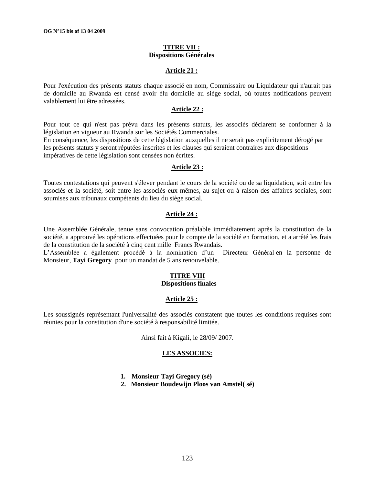### **TITRE VII : Dispositions Générales**

### **Article 21 :**

Pour l'exécution des présents statuts chaque associé en nom, Commissaire ou Liquidateur qui n'aurait pas de domicile au Rwanda est censé avoir élu domicile au siège social, où toutes notifications peuvent valablement lui être adressées.

#### **Article 22 :**

Pour tout ce qui n'est pas prévu dans les présents statuts, les associés déclarent se conformer à la législation en vigueur au Rwanda sur les Sociétés Commerciales.

En conséquence, les dispositions de cette législation auxquelles il ne serait pas explicitement dérogé par les présents statuts y seront réputées inscrites et les clauses qui seraient contraires aux dispositions impératives de cette législation sont censées non écrites.

#### **Article 23 :**

Toutes contestations qui peuvent s'élever pendant le cours de la société ou de sa liquidation, soit entre les associés et la société, soit entre les associés eux-mêmes, au sujet ou à raison des affaires sociales, sont soumises aux tribunaux compétents du lieu du siège social.

### **Article 24 :**

Une Assemblée Générale, tenue sans convocation préalable immédiatement après la constitution de la société, a approuvé les opérations effectuées pour le compte de la société en formation, et a arrêté les frais de la constitution de la société à cinq cent mille Francs Rwandais.

L"Assemblée a également procédé à la nomination d"un Directeur Général en la personne de Monsieur, **Tayi Gregory** pour un mandat de 5 ans renouvelable.

#### **TITRE VIII Dispositions finales**

# **Article 25 :**

Les soussignés représentant l'universalité des associés constatent que toutes les conditions requises sont réunies pour la constitution d'une société à responsabilité limitée.

Ainsi fait à Kigali, le 28/09/ 2007.

#### **LES ASSOCIES:**

- **1. Monsieur Tayi Gregory (sé)**
- **2. Monsieur Boudewijn Ploos van Amstel( sé)**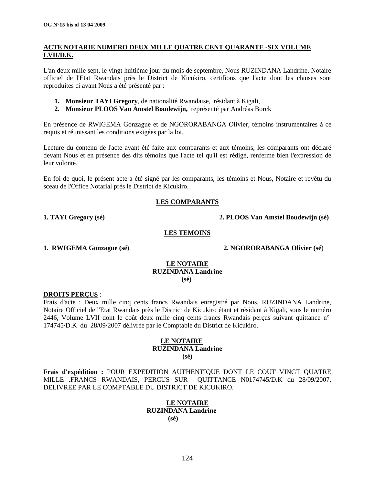# **ACTE NOTARIE NUMERO DEUX MILLE QUATRE CENT QUARANTE -SIX VOLUME LVII/D.K.**

L'an deux mille sept, le vingt huitième jour du mois de septembre, Nous RUZINDANA Landrine, Notaire officiel de l'Etat Rwandais près le District de Kicukiro, certifions que l'acte dont les clauses sont reproduites ci avant Nous a été présenté par :

- **1. Monsieur TAYI Gregory**, de nationalité Rwandaise, résidant à Kigali,
- **2. Monsieur PLOOS Van Amstel Boudewijn,** représenté par Andréas Borck

En présence de RWIGEMA Gonzague et de NGORORABANGA Olivier, témoins instrumentaires à ce requis et réunissant les conditions exigées par la loi.

Lecture du contenu de l'acte ayant été faite aux comparants et aux témoins, les comparants ont déclaré devant Nous et en présence des dits témoins que l'acte tel qu'il est rédigé, renferme bien l'expression de leur volonté.

En foi de quoi, le présent acte a été signé par les comparants, les témoins et Nous, Notaire et revêtu du sceau de l'Office Notarial près le District de Kicukiro.

# **LES COMPARANTS**

**1. TAYI Gregory (sé) 2. PLOOS Van Amstel Boudewijn (sé)**

### **LES TEMOINS**

**1. RWIGEMA Gonzague (sé) 2. NGORORABANGA Olivier (sé**)

### **LE NOTAIRE RUZINDANA Landrine (sé)**

### **DROITS PERÇUS** :

Frais d'acte : Deux mille cinq cents francs Rwandais enregistré par Nous, RUZINDANA Landrine, Notaire Officiel de l'Etat Rwandais près le District de Kicukiro étant et résidant à Kigali, sous le numéro 2446, Volume LVII dont le coût deux mille cinq cents francs Rwandais perçus suivant quittance n° 174745/D.K du 28/09/2007 délivrée par le Comptable du District de Kicukiro.

# **LE NOTAIRE RUZINDANA Landrine**

**(sé)**

**Frais d'expédition :** POUR EXPEDITION AUTHENTIQUE DONT LE COUT VINGT QUATRE MILLE .FRANCS RWANDAIS, PERCUS SUR QUITTANCE N0174745/D.K du 28/09/2007, DELIVREE PAR LE COMPTABLE DU DISTRICT DE KICUKIRO.

# **LE NOTAIRE RUZINDANA Landrine (sé)**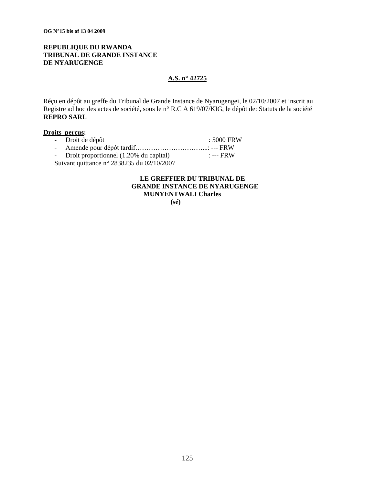# **REPUBLIQUE DU RWANDA TRIBUNAL DE GRANDE INSTANCE DE NYARUGENGE**

# **A.S. n° 42725**

Réçu en dépôt au greffe du Tribunal de Grande Instance de Nyarugengei, le 02/10/2007 et inscrit au Registre ad hoc des actes de société, sous le n° R.C A 619/07/KIG, le dépôt de: Statuts de la société **REPRO SARL**

### **Droits perçus:**

|                                            | - Droit de dépôt                         | $\pm 5000$ FRW |  |  |
|--------------------------------------------|------------------------------------------|----------------|--|--|
|                                            |                                          |                |  |  |
|                                            | - Droit proportionnel (1.20% du capital) | : --- FRW      |  |  |
| Suivant quittance n° 2838235 du 02/10/2007 |                                          |                |  |  |

# **LE GREFFIER DU TRIBUNAL DE GRANDE INSTANCE DE NYARUGENGE MUNYENTWALI Charles**

 **(sé)**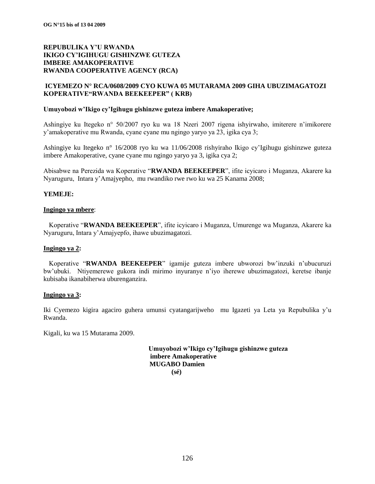### **ICYEMEZO N° RCA/0608/2009 CYO KUWA 05 MUTARAMA 2009 GIHA UBUZIMAGATOZI KOPERATIVE"RWANDA BEEKEEPER" ( KRB)**

### **Umuyobozi w"Ikigo cy"Igihugu gishinzwe guteza imbere Amakoperative;**

Ashingiye ku Itegeko n° 50/2007 ryo ku wa 18 Nzeri 2007 rigena ishyirwaho, imiterere n"imikorere y"amakoperative mu Rwanda, cyane cyane mu ngingo yaryo ya 23, igika cya 3;

Ashingiye ku Itegeko n° 16/2008 ryo ku wa 11/06/2008 rishyiraho Ikigo cy"Igihugu gishinzwe guteza imbere Amakoperative, cyane cyane mu ngingo yaryo ya 3, igika cya 2;

Abisabwe na Perezida wa Koperative "**RWANDA BEEKEEPER**", ifite icyicaro i Muganza, Akarere ka Nyaruguru, Intara y"Amajyepho, mu rwandiko rwe rwo ku wa 25 Kanama 2008;

### **YEMEJE:**

### **Ingingo ya mbere**:

Koperative "**RWANDA BEEKEEPER**", ifite icyicaro i Muganza, Umurenge wa Muganza, Akarere ka Nyaruguru, Intara y"Amajyepfo, ihawe ubuzimagatozi.

#### **Ingingo ya 2:**

Koperative "**RWANDA BEEKEEPER**" igamije guteza imbere ubworozi bw"inzuki n"ubucuruzi bw"ubuki. Ntiyemerewe gukora indi mirimo inyuranye n"iyo iherewe ubuzimagatozi, keretse ibanje kubisaba ikanabiherwa uburenganzira.

### **Ingingo ya 3:**

Iki Cyemezo kigira agaciro guhera umunsi cyatangarijweho mu Igazeti ya Leta ya Repubulika y"u Rwanda.

Kigali, ku wa 15 Mutarama 2009.

 **Umuyobozi w"Ikigo cy"Igihugu gishinzwe guteza imbere Amakoperative MUGABO Damien (sé)**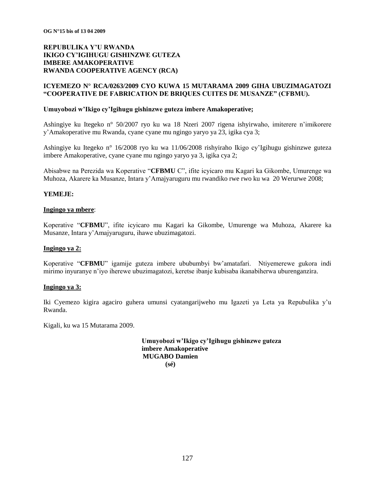### **ICYEMEZO N° RCA/0263/2009 CYO KUWA 15 MUTARAMA 2009 GIHA UBUZIMAGATOZI "COOPERATIVE DE FABRICATION DE BRIQUES CUITES DE MUSANZE" (CFBMU).**

### **Umuyobozi w"Ikigo cy"Igihugu gishinzwe guteza imbere Amakoperative;**

Ashingiye ku Itegeko n° 50/2007 ryo ku wa 18 Nzeri 2007 rigena ishyirwaho, imiterere n"imikorere y"Amakoperative mu Rwanda, cyane cyane mu ngingo yaryo ya 23, igika cya 3;

Ashingiye ku Itegeko n° 16/2008 ryo ku wa 11/06/2008 rishyiraho Ikigo cy"Igihugu gishinzwe guteza imbere Amakoperative, cyane cyane mu ngingo yaryo ya 3, igika cya 2;

Abisabwe na Perezida wa Koperative "**CFBMU** C", ifite icyicaro mu Kagari ka Gikombe, Umurenge wa Muhoza, Akarere ka Musanze, Intara y"Amajyaruguru mu rwandiko rwe rwo ku wa 20 Werurwe 2008;

### **YEMEJE:**

### **Ingingo ya mbere**:

Koperative "**CFBMU**", ifite icyicaro mu Kagari ka Gikombe, Umurenge wa Muhoza, Akarere ka Musanze, Intara y"Amajyaruguru, ihawe ubuzimagatozi.

#### **Ingingo ya 2:**

Koperative "**CFBMU**" igamije guteza imbere ububumbyi bw"amatafari. Ntiyemerewe gukora indi mirimo inyuranye n"iyo iherewe ubuzimagatozi, keretse ibanje kubisaba ikanabiherwa uburenganzira.

#### **Ingingo ya 3:**

Iki Cyemezo kigira agaciro guhera umunsi cyatangarijweho mu Igazeti ya Leta ya Repubulika y"u Rwanda.

Kigali, ku wa 15 Mutarama 2009.

 **Umuyobozi w"Ikigo cy"Igihugu gishinzwe guteza imbere Amakoperative MUGABO Damien (sé)**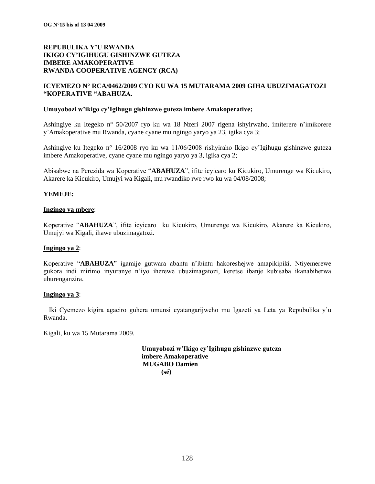### **ICYEMEZO N° RCA/0462/2009 CYO KU WA 15 MUTARAMA 2009 GIHA UBUZIMAGATOZI "KOPERATIVE "ABAHUZA.**

### **Umuyobozi w"ikigo cy"Igihugu gishinzwe guteza imbere Amakoperative;**

Ashingiye ku Itegeko n° 50/2007 ryo ku wa 18 Nzeri 2007 rigena ishyirwaho, imiterere n"imikorere y"Amakoperative mu Rwanda, cyane cyane mu ngingo yaryo ya 23, igika cya 3;

Ashingiye ku Itegeko n° 16/2008 ryo ku wa 11/06/2008 rishyiraho Ikigo cy"Igihugu gishinzwe guteza imbere Amakoperative, cyane cyane mu ngingo yaryo ya 3, igika cya 2;

Abisabwe na Perezida wa Koperative "**ABAHUZA**", ifite icyicaro ku Kicukiro, Umurenge wa Kicukiro, Akarere ka Kicukiro, Umujyi wa Kigali, mu rwandiko rwe rwo ku wa 04/08/2008;

### **YEMEJE:**

### **Ingingo ya mbere**:

Koperative "**ABAHUZA**", ifite icyicaro ku Kicukiro, Umurenge wa Kicukiro, Akarere ka Kicukiro, Umujyi wa Kigali, ihawe ubuzimagatozi.

#### **Ingingo ya 2**:

Koperative "**ABAHUZA**" igamije gutwara abantu n"ibintu hakoreshejwe amapikipiki. Ntiyemerewe gukora indi mirimo inyuranye n"iyo iherewe ubuzimagatozi, keretse ibanje kubisaba ikanabiherwa uburenganzira.

#### **Ingingo ya 3**:

Iki Cyemezo kigira agaciro guhera umunsi cyatangarijweho mu Igazeti ya Leta ya Repubulika y"u Rwanda.

Kigali, ku wa 15 Mutarama 2009.

 **Umuyobozi w"Ikigo cy"Igihugu gishinzwe guteza imbere Amakoperative MUGABO Damien (sé)**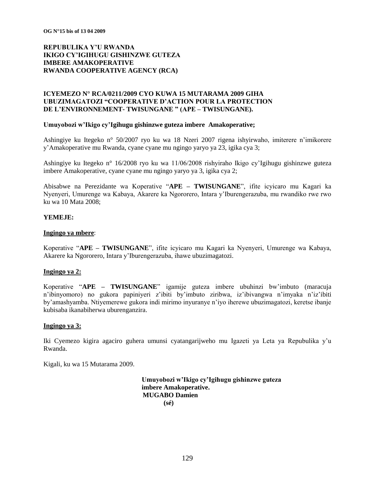### **ICYEMEZO N° RCA/0211/2009 CYO KUWA 15 MUTARAMA 2009 GIHA UBUZIMAGATOZI "COOPERATIVE D"ACTION POUR LA PROTECTION DE L"ENVIRONNEMENT- TWISUNGANE " (APE – TWISUNGANE).**

#### **Umuyobozi w"Ikigo cy"Igihugu gishinzwe guteza imbere Amakoperative;**

Ashingiye ku Itegeko n° 50/2007 ryo ku wa 18 Nzeri 2007 rigena ishyirwaho, imiterere n"imikorere y"Amakoperative mu Rwanda, cyane cyane mu ngingo yaryo ya 23, igika cya 3;

Ashingiye ku Itegeko n° 16/2008 ryo ku wa 11/06/2008 rishyiraho Ikigo cy"Igihugu gishinzwe guteza imbere Amakoperative, cyane cyane mu ngingo yaryo ya 3, igika cya 2;

Abisabwe na Perezidante wa Koperative "**APE – TWISUNGANE**", ifite icyicaro mu Kagari ka Nyenyeri, Umurenge wa Kabaya, Akarere ka Ngororero, Intara y"Iburengerazuba, mu rwandiko rwe rwo ku wa 10 Mata 2008;

### **YEMEJE:**

#### **Ingingo ya mbere**:

Koperative "**APE – TWISUNGANE**", ifite icyicaro mu Kagari ka Nyenyeri, Umurenge wa Kabaya, Akarere ka Ngororero, Intara y"Iburengerazuba, ihawe ubuzimagatozi.

### **Ingingo ya 2:**

Koperative "**APE – TWISUNGANE**" igamije guteza imbere ubuhinzi bw"imbuto (maracuja n"ibinyomoro) no gukora papiniyeri z"ibiti by"imbuto ziribwa, iz"ibivangwa n"imyaka n"iz"ibiti by"amashyamba. Ntiyemerewe gukora indi mirimo inyuranye n"iyo iherewe ubuzimagatozi, keretse ibanje kubisaba ikanabiherwa uburenganzira.

#### **Ingingo ya 3:**

Iki Cyemezo kigira agaciro guhera umunsi cyatangarijweho mu Igazeti ya Leta ya Repubulika y"u Rwanda.

Kigali, ku wa 15 Mutarama 2009.

 **Umuyobozi w"Ikigo cy"Igihugu gishinzwe guteza imbere Amakoperative. MUGABO Damien (sé)**